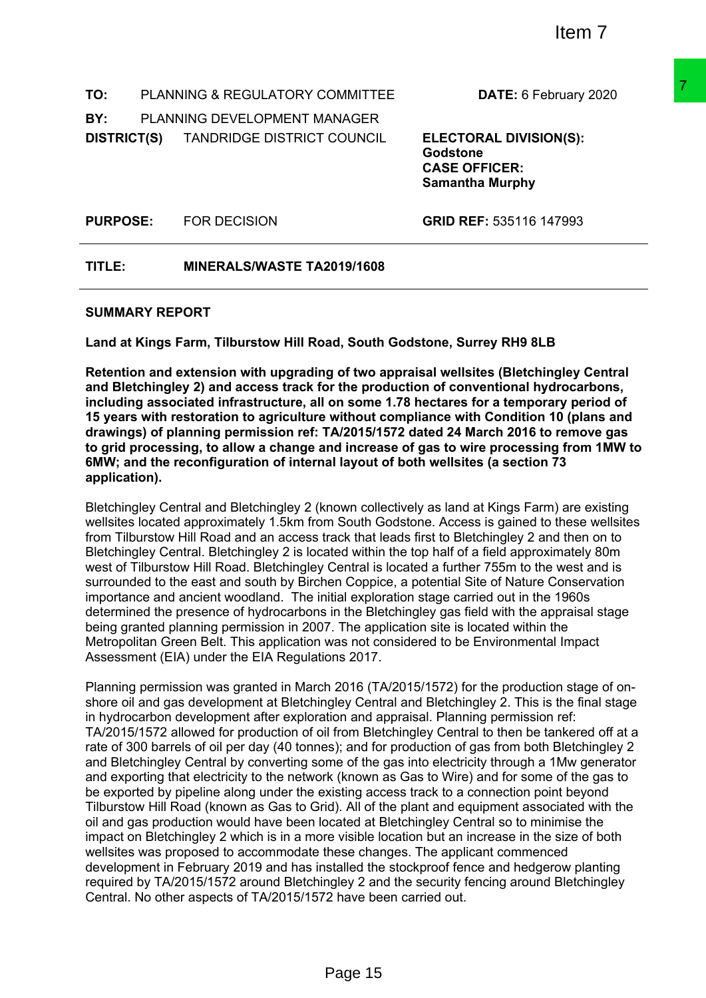**TO:** PLANNING & REGULATORY COMMITTEE **DATE:** 6 February 2020

**BY:** PLANNING DEVELOPMENT MANAGER

**DISTRICT(S)** TANDRIDGE DISTRICT COUNCIL **ELECTORAL DIVISION(S):**

**Godstone CASE OFFICER: Samantha Murphy**

**PURPOSE:** FOR DECISION **GRID REF:** 535116 147993

**TITLE: MINERALS/WASTE TA2019/1608**

#### **SUMMARY REPORT**

**Land at Kings Farm, Tilburstow Hill Road, South Godstone, Surrey RH9 8LB**

**Retention and extension with upgrading of two appraisal wellsites (Bletchingley Central and Bletchingley 2) and access track for the production of conventional hydrocarbons, including associated infrastructure, all on some 1.78 hectares for a temporary period of 15 years with restoration to agriculture without compliance with Condition 10 (plans and drawings) of planning permission ref: TA/2015/1572 dated 24 March 2016 to remove gas to grid processing, to allow a change and increase of gas to wire processing from 1MW to 6MW; and the reconfiguration of internal layout of both wellsites (a section 73 application).**

Bletchingley Central and Bletchingley 2 (known collectively as land at Kings Farm) are existing wellsites located approximately 1.5km from South Godstone. Access is gained to these wellsites from Tilburstow Hill Road and an access track that leads first to Bletchingley 2 and then on to Bletchingley Central. Bletchingley 2 is located within the top half of a field approximately 80m west of Tilburstow Hill Road. Bletchingley Central is located a further 755m to the west and is surrounded to the east and south by Birchen Coppice, a potential Site of Nature Conservation importance and ancient woodland. The initial exploration stage carried out in the 1960s determined the presence of hydrocarbons in the Bletchingley gas field with the appraisal stage being granted planning permission in 2007. The application site is located within the Metropolitan Green Belt. This application was not considered to be Environmental Impact Assessment (EIA) under the EIA Regulations 2017.

Planning permission was granted in March 2016 (TA/2015/1572) for the production stage of onshore oil and gas development at Bletchingley Central and Bletchingley 2. This is the final stage in hydrocarbon development after exploration and appraisal. Planning permission ref: TA/2015/1572 allowed for production of oil from Bletchingley Central to then be tankered off at a rate of 300 barrels of oil per day (40 tonnes); and for production of gas from both Bletchingley 2 and Bletchingley Central by converting some of the gas into electricity through a 1Mw generator and exporting that electricity to the network (known as Gas to Wire) and for some of the gas to be exported by pipeline along under the existing access track to a connection point beyond Tilburstow Hill Road (known as Gas to Grid). All of the plant and equipment associated with the oil and gas production would have been located at Bletchingley Central so to minimise the impact on Bletchingley 2 which is in a more visible location but an increase in the size of both wellsites was proposed to accommodate these changes. The applicant commenced development in February 2019 and has installed the stockproof fence and hedgerow planting required by TA/2015/1572 around Bletchingley 2 and the security fencing around Bletchingley Central. No other aspects of TA/2015/1572 have been carried out. COMMITTEE DATE: 6 February 2020<br>
ANAGER<br>
COUNCIL GLECTORAL DIVISION(S):<br>
GASE OFFICER:<br>
GASE OFFICER:<br>
Samantha Murphy<br>
GRID REF: 535116 147993<br>
2019/1608<br>
2019/1608<br>
2019/1608<br>
2019/1608<br>
2019/1608<br>
2019/1608<br>
2019/1608<br>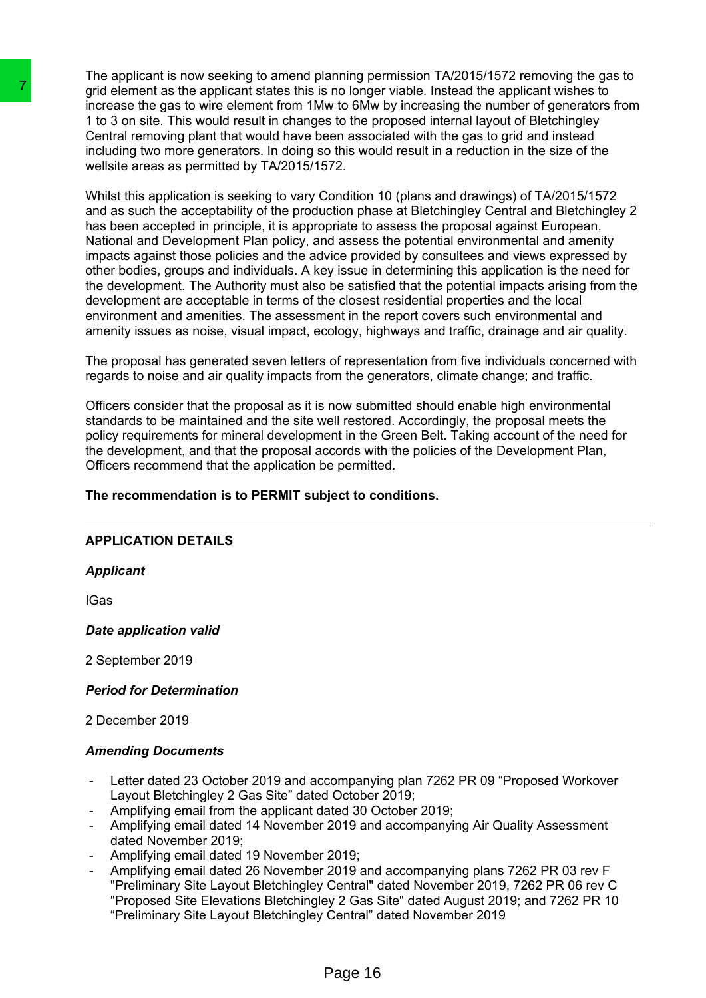The applicant is now seeking to amend planning permission TA/2015/1572 removing the gas to grid element as the applicant states this is no longer viable. Instead the applicant wishes to increase the gas to wire element from 1Mw to 6Mw by increasing the number of generators from 1 to 3 on site. This would result in changes to the proposed internal layout of Bletchingley Central removing plant that would have been associated with the gas to grid and instead including two more generators. In doing so this would result in a reduction in the size of the wellsite areas as permitted by TA/2015/1572.

Whilst this application is seeking to vary Condition 10 (plans and drawings) of TA/2015/1572 and as such the acceptability of the production phase at Bletchingley Central and Bletchingley 2 has been accepted in principle, it is appropriate to assess the proposal against European, National and Development Plan policy, and assess the potential environmental and amenity impacts against those policies and the advice provided by consultees and views expressed by other bodies, groups and individuals. A key issue in determining this application is the need for the development. The Authority must also be satisfied that the potential impacts arising from the development are acceptable in terms of the closest residential properties and the local environment and amenities. The assessment in the report covers such environmental and amenity issues as noise, visual impact, ecology, highways and traffic, drainage and air quality. Translate means the applicant states this is no longer to the mean a final state and the momenta of the animator of the contral removing plant that would result in changes to the perform of Central removing plant that woul

The proposal has generated seven letters of representation from five individuals concerned with regards to noise and air quality impacts from the generators, climate change; and traffic.

Officers consider that the proposal as it is now submitted should enable high environmental standards to be maintained and the site well restored. Accordingly, the proposal meets the policy requirements for mineral development in the Green Belt. Taking account of the need for the development, and that the proposal accords with the policies of the Development Plan, Officers recommend that the application be permitted.

### **The recommendation is to PERMIT subject to conditions.**

# **APPLICATION DETAILS**

### *Applicant*

IGas

### *Date application valid*

2 September 2019

### *Period for Determination*

2 December 2019

### *Amending Documents*

- Letter dated 23 October 2019 and accompanying plan 7262 PR 09 "Proposed Workover Layout Bletchingley 2 Gas Site" dated October 2019;
- Amplifying email from the applicant dated 30 October 2019;
- Amplifying email dated 14 November 2019 and accompanying Air Quality Assessment dated November 2019;
- Amplifying email dated 19 November 2019;
- Amplifying email dated 26 November 2019 and accompanying plans 7262 PR 03 rev F "Preliminary Site Layout Bletchingley Central" dated November 2019, 7262 PR 06 rev C "Proposed Site Elevations Bletchingley 2 Gas Site" dated August 2019; and 7262 PR 10 "Preliminary Site Layout Bletchingley Central" dated November 2019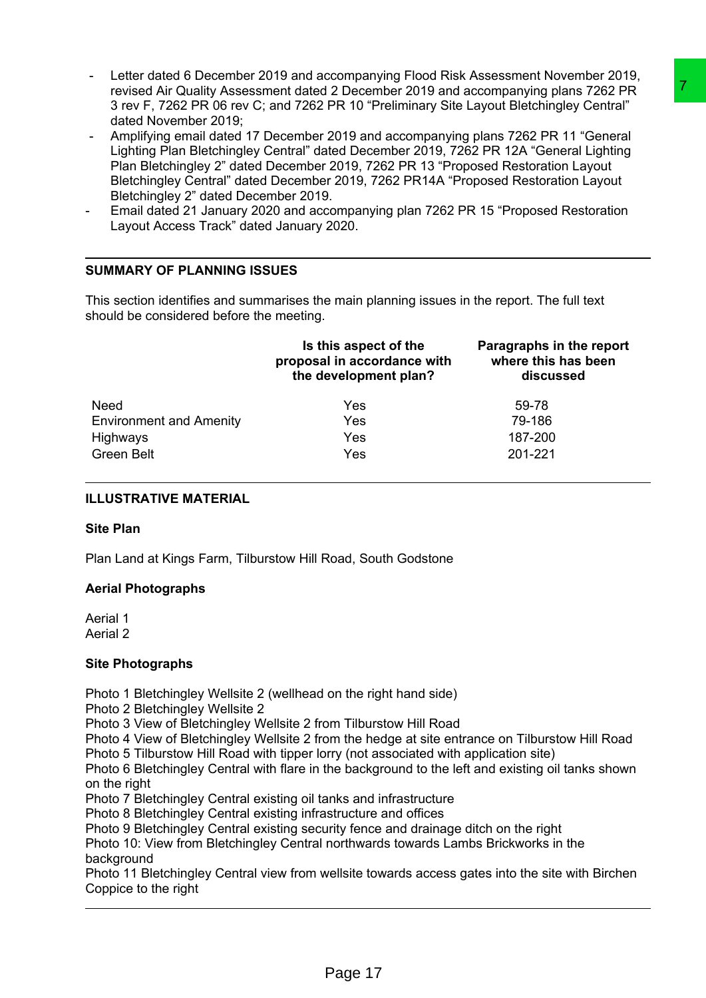- Letter dated 6 December 2019 and accompanying Flood Risk Assessment November 2019, revised Air Quality Assessment dated 2 December 2019 and accompanying plans 7262 PR 3 rev F, 7262 PR 06 rev C; and 7262 PR 10 "Preliminary Site Layout Bletchingley Central" dated November 2019;
- Amplifying email dated 17 December 2019 and accompanying plans 7262 PR 11 "General Lighting Plan Bletchingley Central" dated December 2019, 7262 PR 12A "General Lighting Plan Bletchingley 2" dated December 2019, 7262 PR 13 "Proposed Restoration Layout Bletchingley Central" dated December 2019, 7262 PR14A "Proposed Restoration Layout Bletchingley 2" dated December 2019.
- Email dated 21 January 2020 and accompanying plan 7262 PR 15 "Proposed Restoration Layout Access Track" dated January 2020.

# **SUMMARY OF PLANNING ISSUES**

| revised Air Quality Assessment dated 2 December 2019 and accompanying plans 7262 PR<br>3 rev F, 7262 PR 06 rev C; and 7262 PR 10 "Preliminary Site Layout Bletchingley Central"<br>dated November 2019;<br>Amplifying email dated 17 December 2019 and accompanying plans 7262 PR 11 "General<br>Lighting Plan Bletchingley Central" dated December 2019, 7262 PR 12A "General Lighting<br>Plan Bletchingley 2" dated December 2019, 7262 PR 13 "Proposed Restoration Layout<br>Bletchingley Central" dated December 2019, 7262 PR14A "Proposed Restoration Layout<br>Bletchingley 2" dated December 2019.<br>Email dated 21 January 2020 and accompanying plan 7262 PR 15 "Proposed Restoration<br>Layout Access Track" dated January 2020.<br><b>SUMMARY OF PLANNING ISSUES</b> |                                                                                                                                                                                                                                                                                                                                                                                                                                                                                                                                                                                                                                                                                                                                                                                                                                                                       |                                                              |  |  |
|-----------------------------------------------------------------------------------------------------------------------------------------------------------------------------------------------------------------------------------------------------------------------------------------------------------------------------------------------------------------------------------------------------------------------------------------------------------------------------------------------------------------------------------------------------------------------------------------------------------------------------------------------------------------------------------------------------------------------------------------------------------------------------------|-----------------------------------------------------------------------------------------------------------------------------------------------------------------------------------------------------------------------------------------------------------------------------------------------------------------------------------------------------------------------------------------------------------------------------------------------------------------------------------------------------------------------------------------------------------------------------------------------------------------------------------------------------------------------------------------------------------------------------------------------------------------------------------------------------------------------------------------------------------------------|--------------------------------------------------------------|--|--|
| should be considered before the meeting.                                                                                                                                                                                                                                                                                                                                                                                                                                                                                                                                                                                                                                                                                                                                          | This section identifies and summarises the main planning issues in the report. The full text                                                                                                                                                                                                                                                                                                                                                                                                                                                                                                                                                                                                                                                                                                                                                                          |                                                              |  |  |
|                                                                                                                                                                                                                                                                                                                                                                                                                                                                                                                                                                                                                                                                                                                                                                                   | Is this aspect of the<br>proposal in accordance with<br>the development plan?                                                                                                                                                                                                                                                                                                                                                                                                                                                                                                                                                                                                                                                                                                                                                                                         | Paragraphs in the report<br>where this has been<br>discussed |  |  |
| <b>Need</b><br><b>Environment and Amenity</b><br>Highways<br><b>Green Belt</b>                                                                                                                                                                                                                                                                                                                                                                                                                                                                                                                                                                                                                                                                                                    | Yes<br>Yes<br>Yes<br>Yes                                                                                                                                                                                                                                                                                                                                                                                                                                                                                                                                                                                                                                                                                                                                                                                                                                              | 59-78<br>79-186<br>187-200<br>201-221                        |  |  |
| <b>ILLUSTRATIVE MATERIAL</b>                                                                                                                                                                                                                                                                                                                                                                                                                                                                                                                                                                                                                                                                                                                                                      |                                                                                                                                                                                                                                                                                                                                                                                                                                                                                                                                                                                                                                                                                                                                                                                                                                                                       |                                                              |  |  |
| <b>Site Plan</b>                                                                                                                                                                                                                                                                                                                                                                                                                                                                                                                                                                                                                                                                                                                                                                  |                                                                                                                                                                                                                                                                                                                                                                                                                                                                                                                                                                                                                                                                                                                                                                                                                                                                       |                                                              |  |  |
|                                                                                                                                                                                                                                                                                                                                                                                                                                                                                                                                                                                                                                                                                                                                                                                   | Plan Land at Kings Farm, Tilburstow Hill Road, South Godstone                                                                                                                                                                                                                                                                                                                                                                                                                                                                                                                                                                                                                                                                                                                                                                                                         |                                                              |  |  |
| <b>Aerial Photographs</b>                                                                                                                                                                                                                                                                                                                                                                                                                                                                                                                                                                                                                                                                                                                                                         |                                                                                                                                                                                                                                                                                                                                                                                                                                                                                                                                                                                                                                                                                                                                                                                                                                                                       |                                                              |  |  |
| Aerial 1<br>Aerial 2                                                                                                                                                                                                                                                                                                                                                                                                                                                                                                                                                                                                                                                                                                                                                              |                                                                                                                                                                                                                                                                                                                                                                                                                                                                                                                                                                                                                                                                                                                                                                                                                                                                       |                                                              |  |  |
| <b>Site Photographs</b>                                                                                                                                                                                                                                                                                                                                                                                                                                                                                                                                                                                                                                                                                                                                                           |                                                                                                                                                                                                                                                                                                                                                                                                                                                                                                                                                                                                                                                                                                                                                                                                                                                                       |                                                              |  |  |
| Photo 2 Bletchingley Wellsite 2<br>on the right<br>background<br>Coppice to the right                                                                                                                                                                                                                                                                                                                                                                                                                                                                                                                                                                                                                                                                                             | Photo 1 Bletchingley Wellsite 2 (wellhead on the right hand side)<br>Photo 3 View of Bletchingley Wellsite 2 from Tilburstow Hill Road<br>Photo 4 View of Bletchingley Wellsite 2 from the hedge at site entrance on Tilburstow Hill Road<br>Photo 5 Tilburstow Hill Road with tipper lorry (not associated with application site)<br>Photo 6 Bletchingley Central with flare in the background to the left and existing oil tanks shown<br>Photo 7 Bletchingley Central existing oil tanks and infrastructure<br>Photo 8 Bletchingley Central existing infrastructure and offices<br>Photo 9 Bletchingley Central existing security fence and drainage ditch on the right<br>Photo 10: View from Bletchingley Central northwards towards Lambs Brickworks in the<br>Photo 11 Bletchingley Central view from wellsite towards access gates into the site with Birchen |                                                              |  |  |
|                                                                                                                                                                                                                                                                                                                                                                                                                                                                                                                                                                                                                                                                                                                                                                                   |                                                                                                                                                                                                                                                                                                                                                                                                                                                                                                                                                                                                                                                                                                                                                                                                                                                                       |                                                              |  |  |
|                                                                                                                                                                                                                                                                                                                                                                                                                                                                                                                                                                                                                                                                                                                                                                                   | Page 17                                                                                                                                                                                                                                                                                                                                                                                                                                                                                                                                                                                                                                                                                                                                                                                                                                                               |                                                              |  |  |

### **ILLUSTRATIVE MATERIAL**

### **Site Plan**

### **Aerial Photographs**

### **Site Photographs**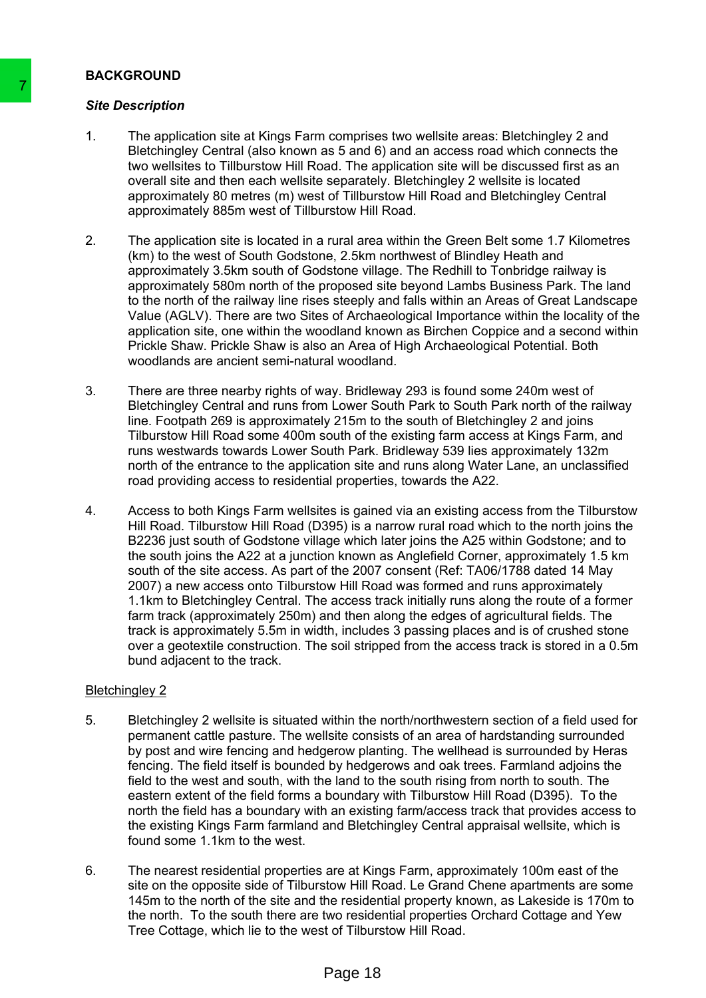### **BACKGROUND**

### *Site Description*

- 1. The application site at Kings Farm comprises two wellsite areas: Bletchingley 2 and Bletchingley Central (also known as 5 and 6) and an access road which connects the two wellsites to Tillburstow Hill Road. The application site will be discussed first as an overall site and then each wellsite separately. Bletchingley 2 wellsite is located approximately 80 metres (m) west of Tillburstow Hill Road and Bletchingley Central approximately 885m west of Tillburstow Hill Road.
- 2. The application site is located in a rural area within the Green Belt some 1.7 Kilometres (km) to the west of South Godstone, 2.5km northwest of Blindley Heath and approximately 3.5km south of Godstone village. The Redhill to Tonbridge railway is approximately 580m north of the proposed site beyond Lambs Business Park. The land to the north of the railway line rises steeply and falls within an Areas of Great Landscape Value (AGLV). There are two Sites of Archaeological Importance within the locality of the application site, one within the woodland known as Birchen Coppice and a second within Prickle Shaw. Prickle Shaw is also an Area of High Archaeological Potential. Both woodlands are ancient semi-natural woodland.
- 3. There are three nearby rights of way. Bridleway 293 is found some 240m west of Bletchingley Central and runs from Lower South Park to South Park north of the railway line. Footpath 269 is approximately 215m to the south of Bletchingley 2 and joins Tilburstow Hill Road some 400m south of the existing farm access at Kings Farm, and runs westwards towards Lower South Park. Bridleway 539 lies approximately 132m north of the entrance to the application site and runs along Water Lane, an unclassified road providing access to residential properties, towards the A22.
- 4. Access to both Kings Farm wellsites is gained via an existing access from the Tilburstow Hill Road. Tilburstow Hill Road (D395) is a narrow rural road which to the north joins the B2236 just south of Godstone village which later joins the A25 within Godstone; and to the south joins the A22 at a junction known as Anglefield Corner, approximately 1.5 km south of the site access. As part of the 2007 consent (Ref: TA06/1788 dated 14 May 2007) a new access onto Tilburstow Hill Road was formed and runs approximately 1.1km to Bletchingley Central. The access track initially runs along the route of a former farm track (approximately 250m) and then along the edges of agricultural fields. The track is approximately 5.5m in width, includes 3 passing places and is of crushed stone over a geotextile construction. The soil stripped from the access track is stored in a 0.5m bund adjacent to the track. Stie Description<br>
1. The application site at Kings Farm comprise<br>
1. Belechtingley Central (also known as S and 6<br>
two wellsites to Tillburstow Hill Road. The a<br>
overall site and then each wellst esperate<br>
4 8 approximatel

### Bletchingley 2

- 5. Bletchingley 2 wellsite is situated within the north/northwestern section of a field used for permanent cattle pasture. The wellsite consists of an area of hardstanding surrounded by post and wire fencing and hedgerow planting. The wellhead is surrounded by Heras fencing. The field itself is bounded by hedgerows and oak trees. Farmland adjoins the field to the west and south, with the land to the south rising from north to south. The eastern extent of the field forms a boundary with Tilburstow Hill Road (D395). To the north the field has a boundary with an existing farm/access track that provides access to the existing Kings Farm farmland and Bletchingley Central appraisal wellsite, which is found some 1.1km to the west.
- 6. The nearest residential properties are at Kings Farm, approximately 100m east of the site on the opposite side of Tilburstow Hill Road. Le Grand Chene apartments are some 145m to the north of the site and the residential property known, as Lakeside is 170m to the north. To the south there are two residential properties Orchard Cottage and Yew Tree Cottage, which lie to the west of Tilburstow Hill Road.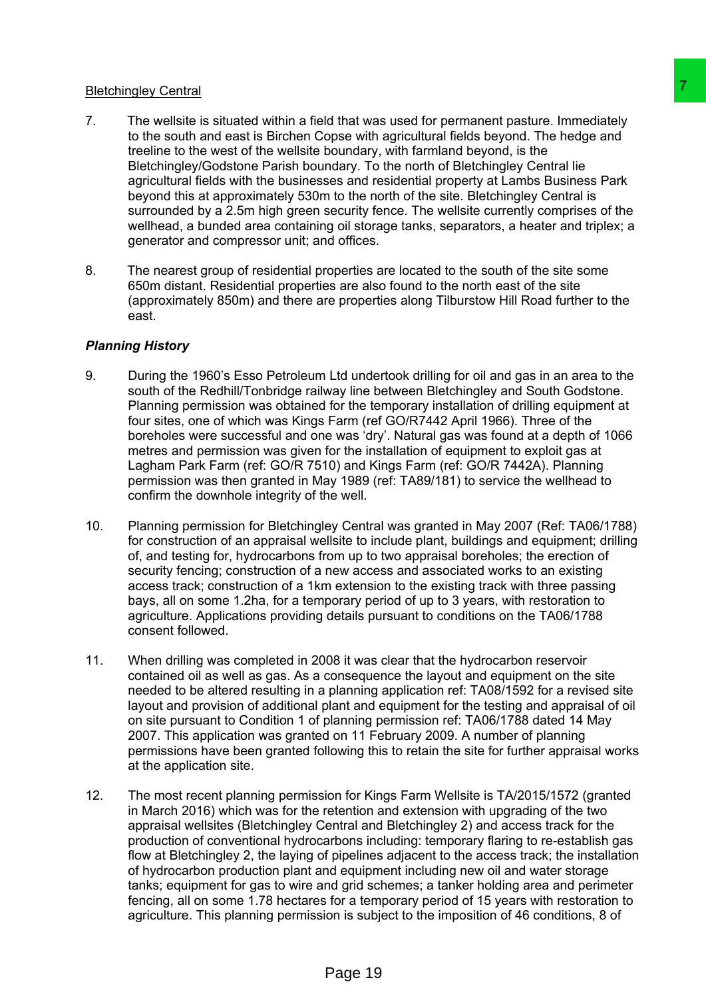### Bletchingley Central

- 7. The wellsite is situated within a field that was used for permanent pasture. Immediately to the south and east is Birchen Copse with agricultural fields beyond. The hedge and treeline to the west of the wellsite boundary, with farmland beyond, is the Bletchingley/Godstone Parish boundary. To the north of Bletchingley Central lie agricultural fields with the businesses and residential property at Lambs Business Park beyond this at approximately 530m to the north of the site. Bletchingley Central is surrounded by a 2.5m high green security fence. The wellsite currently comprises of the wellhead, a bunded area containing oil storage tanks, separators, a heater and triplex; a generator and compressor unit; and offices.
- 8. The nearest group of residential properties are located to the south of the site some 650m distant. Residential properties are also found to the north east of the site (approximately 850m) and there are properties along Tilburstow Hill Road further to the east.

### *Planning History*

- 9. During the 1960's Esso Petroleum Ltd undertook drilling for oil and gas in an area to the south of the Redhill/Tonbridge railway line between Bletchingley and South Godstone. Planning permission was obtained for the temporary installation of drilling equipment at four sites, one of which was Kings Farm (ref GO/R7442 April 1966). Three of the boreholes were successful and one was 'dry'. Natural gas was found at a depth of 1066 metres and permission was given for the installation of equipment to exploit gas at Lagham Park Farm (ref: GO/R 7510) and Kings Farm (ref: GO/R 7442A). Planning permission was then granted in May 1989 (ref: TA89/181) to service the wellhead to confirm the downhole integrity of the well.
- 10. Planning permission for Bletchingley Central was granted in May 2007 (Ref: TA06/1788) for construction of an appraisal wellsite to include plant, buildings and equipment; drilling of, and testing for, hydrocarbons from up to two appraisal boreholes; the erection of security fencing; construction of a new access and associated works to an existing access track; construction of a 1km extension to the existing track with three passing bays, all on some 1.2ha, for a temporary period of up to 3 years, with restoration to agriculture. Applications providing details pursuant to conditions on the TA06/1788 consent followed.
- 11. When drilling was completed in 2008 it was clear that the hydrocarbon reservoir contained oil as well as gas. As a consequence the layout and equipment on the site needed to be altered resulting in a planning application ref: TA08/1592 for a revised site layout and provision of additional plant and equipment for the testing and appraisal of oil on site pursuant to Condition 1 of planning permission ref: TA06/1788 dated 14 May 2007. This application was granted on 11 February 2009. A number of planning permissions have been granted following this to retain the site for further appraisal works at the application site.
- 12. The most recent planning permission for Kings Farm Wellsite is TA/2015/1572 (granted in March 2016) which was for the retention and extension with upgrading of the two appraisal wellsites (Bletchingley Central and Bletchingley 2) and access track for the production of conventional hydrocarbons including: temporary flaring to re-establish gas flow at Bletchingley 2, the laying of pipelines adjacent to the access track; the installation of hydrocarbon production plant and equipment including new oil and water storage tanks; equipment for gas to wire and grid schemes; a tanker holding area and perimeter fencing, all on some 1.78 hectares for a temporary period of 15 years with restoration to agriculture. This planning permission is subject to the imposition of 46 conditions, 8 of Id that was used for permanent pasture, inmediately<br>opse with agricultural fields beyond. The hedge and<br>oboutary, with familian fields beyond. The hedge and<br>oboutary, with familian poperty at the mediate profision and the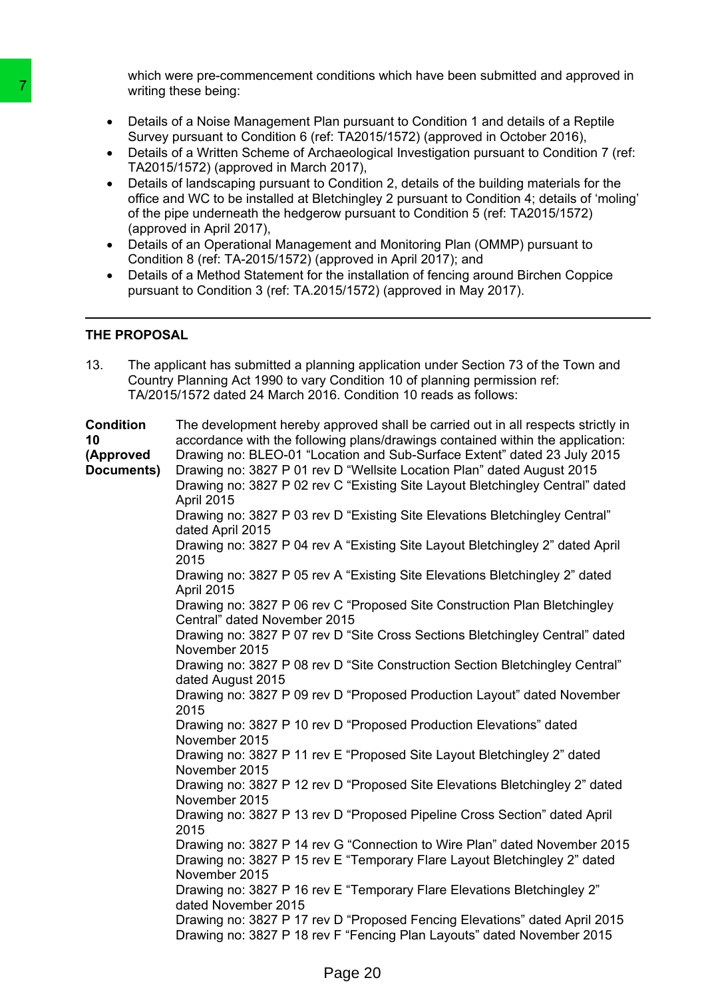which were pre-commencement conditions which have been submitted and approved in writing these being:

- Details of a Noise Management Plan pursuant to Condition 1 and details of a Reptile Survey pursuant to Condition 6 (ref: TA2015/1572) (approved in October 2016),
- Details of a Written Scheme of Archaeological Investigation pursuant to Condition 7 (ref: TA2015/1572) (approved in March 2017),
- Details of landscaping pursuant to Condition 2, details of the building materials for the office and WC to be installed at Bletchingley 2 pursuant to Condition 4; details of 'moling' of the pipe underneath the hedgerow pursuant to Condition 5 (ref: TA2015/1572) (approved in April 2017),
- Details of an Operational Management and Monitoring Plan (OMMP) pursuant to Condition 8 (ref: TA-2015/1572) (approved in April 2017); and
- Details of a Method Statement for the installation of fencing around Birchen Coppice pursuant to Condition 3 (ref: TA.2015/1572) (approved in May 2017).

### **THE PROPOSAL**

| writing these being:                                                                                                                                                                                                                                                                                                                                                                                                                                                                                                                                                                                                                                                                                                                                                                                                                                                                                                                                                                                                                |
|-------------------------------------------------------------------------------------------------------------------------------------------------------------------------------------------------------------------------------------------------------------------------------------------------------------------------------------------------------------------------------------------------------------------------------------------------------------------------------------------------------------------------------------------------------------------------------------------------------------------------------------------------------------------------------------------------------------------------------------------------------------------------------------------------------------------------------------------------------------------------------------------------------------------------------------------------------------------------------------------------------------------------------------|
| Details of a Noise Management Plan pursuant to Condition 1 and details of a Reptile<br>Survey pursuant to Condition 6 (ref: TA2015/1572) (approved in October 2016),<br>Details of a Written Scheme of Archaeological Investigation pursuant to Condition 7 (ref<br>TA2015/1572) (approved in March 2017),<br>Details of landscaping pursuant to Condition 2, details of the building materials for the<br>office and WC to be installed at Bletchingley 2 pursuant to Condition 4; details of 'moling<br>of the pipe underneath the hedgerow pursuant to Condition 5 (ref: TA2015/1572)<br>(approved in April 2017),<br>Details of an Operational Management and Monitoring Plan (OMMP) pursuant to<br>Condition 8 (ref: TA-2015/1572) (approved in April 2017); and<br>Details of a Method Statement for the installation of fencing around Birchen Coppice<br>pursuant to Condition 3 (ref: TA.2015/1572) (approved in May 2017).                                                                                                |
| THE PROPOSAL                                                                                                                                                                                                                                                                                                                                                                                                                                                                                                                                                                                                                                                                                                                                                                                                                                                                                                                                                                                                                        |
| The applicant has submitted a planning application under Section 73 of the Town and<br>Country Planning Act 1990 to vary Condition 10 of planning permission ref:<br>TA/2015/1572 dated 24 March 2016. Condition 10 reads as follows:                                                                                                                                                                                                                                                                                                                                                                                                                                                                                                                                                                                                                                                                                                                                                                                               |
| The development hereby approved shall be carried out in all respects strictly in<br>accordance with the following plans/drawings contained within the application:<br>Drawing no: BLEO-01 "Location and Sub-Surface Extent" dated 23 July 2015<br>Drawing no: 3827 P 01 rev D "Wellsite Location Plan" dated August 2015<br>Drawing no: 3827 P 02 rev C "Existing Site Layout Bletchingley Central" dated<br>April 2015<br>Drawing no: 3827 P 03 rev D "Existing Site Elevations Bletchingley Central"<br>dated April 2015<br>Drawing no: 3827 P 04 rev A "Existing Site Layout Bletchingley 2" dated April<br>2015<br>Drawing no: 3827 P 05 rev A "Existing Site Elevations Bletchingley 2" dated<br>April 2015<br>Drawing no: 3827 P 06 rev C "Proposed Site Construction Plan Bletchingley<br>Central" dated November 2015<br>Drawing no: 3827 P 07 rev D "Site Cross Sections Bletchingley Central" dated<br>November 2015<br>Drawing no: 3827 P 08 rev D "Site Construction Section Bletchingley Central"<br>dated August 2015 |
| Drawing no: 3827 P 09 rev D "Proposed Production Layout" dated November<br>2015<br>Drawing no: 3827 P 10 rev D "Proposed Production Elevations" dated<br>November 2015<br>Drawing no: 3827 P 11 rev E "Proposed Site Layout Bletchingley 2" dated<br>November 2015                                                                                                                                                                                                                                                                                                                                                                                                                                                                                                                                                                                                                                                                                                                                                                  |
|                                                                                                                                                                                                                                                                                                                                                                                                                                                                                                                                                                                                                                                                                                                                                                                                                                                                                                                                                                                                                                     |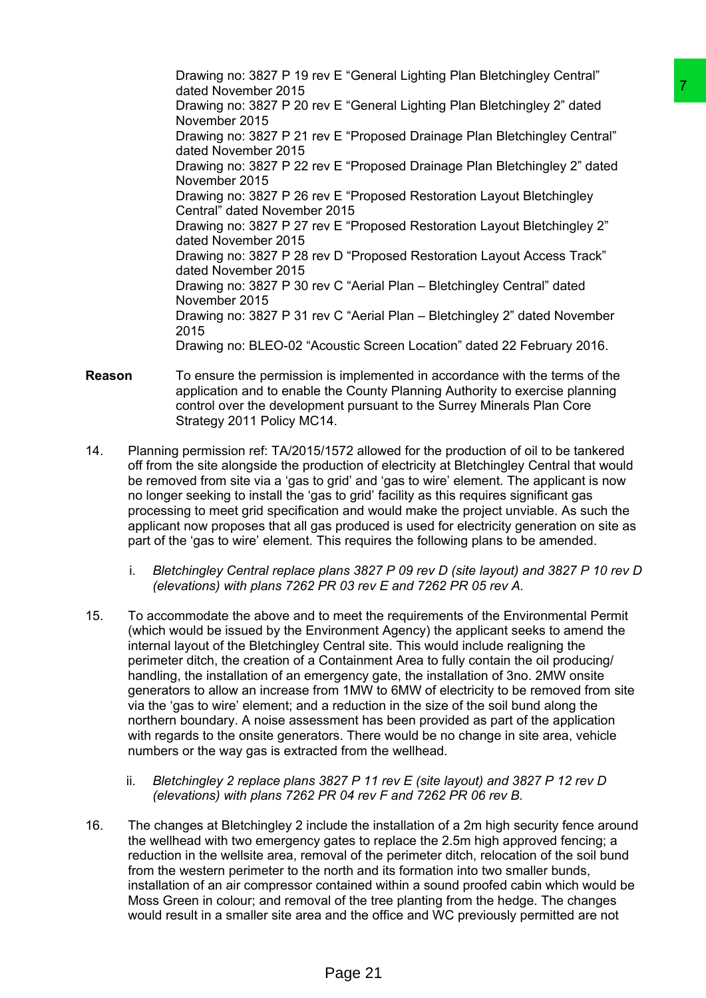Drawing no: 3827 P 19 rev E "General Lighting Plan Bletchingley Central" dated November 2015 Drawing no: 3827 P 20 rev E "General Lighting Plan Bletchingley 2" dated November 2015 Drawing no: 3827 P 21 rev E "Proposed Drainage Plan Bletchingley Central" dated November 2015 Drawing no: 3827 P 22 rev E "Proposed Drainage Plan Bletchingley 2" dated November 2015 Drawing no: 3827 P 26 rev E "Proposed Restoration Layout Bletchingley Central" dated November 2015 Drawing no: 3827 P 27 rev E "Proposed Restoration Layout Bletchingley 2" dated November 2015 Drawing no: 3827 P 28 rev D "Proposed Restoration Layout Access Track" dated November 2015 Drawing no: 3827 P 30 rev C "Aerial Plan – Bletchingley Central" dated November 2015 Drawing no: 3827 P 31 rev C "Aerial Plan – Bletchingley 2" dated November 2015 Drawing no: BLEO-02 "Acoustic Screen Location" dated 22 February 2016. <sup>2</sup> E "Greental Upstring Plan Bletchingley 2" dated<br>
V E "General Lighting Plan Bletchingley 2" dated<br>
V E "Proposed Drainage Plan Bletchingley 2" dated<br>
V E "Proposed Drainage Plan Bletchingley 2" dated<br>
V E "Proposed Re

- **Reason** To ensure the permission is implemented in accordance with the terms of the application and to enable the County Planning Authority to exercise planning control over the development pursuant to the Surrey Minerals Plan Core Strategy 2011 Policy MC14.
- 14. Planning permission ref: TA/2015/1572 allowed for the production of oil to be tankered off from the site alongside the production of electricity at Bletchingley Central that would be removed from site via a 'gas to grid' and 'gas to wire' element. The applicant is now no longer seeking to install the 'gas to grid' facility as this requires significant gas processing to meet grid specification and would make the project unviable. As such the applicant now proposes that all gas produced is used for electricity generation on site as part of the 'gas to wire' element. This requires the following plans to be amended.
	- i. *Bletchingley Central replace plans 3827 P 09 rev D (site layout) and 3827 P 10 rev D (elevations) with plans 7262 PR 03 rev E and 7262 PR 05 rev A.*
- 15. To accommodate the above and to meet the requirements of the Environmental Permit (which would be issued by the Environment Agency) the applicant seeks to amend the internal layout of the Bletchingley Central site. This would include realigning the perimeter ditch, the creation of a Containment Area to fully contain the oil producing/ handling, the installation of an emergency gate, the installation of 3no. 2MW onsite generators to allow an increase from 1MW to 6MW of electricity to be removed from site via the 'gas to wire' element; and a reduction in the size of the soil bund along the northern boundary. A noise assessment has been provided as part of the application with regards to the onsite generators. There would be no change in site area, vehicle numbers or the way gas is extracted from the wellhead.
	- ii. *Bletchingley 2 replace plans 3827 P 11 rev E (site layout) and 3827 P 12 rev D (elevations) with plans 7262 PR 04 rev F and 7262 PR 06 rev B.*
- 16. The changes at Bletchingley 2 include the installation of a 2m high security fence around the wellhead with two emergency gates to replace the 2.5m high approved fencing; a reduction in the wellsite area, removal of the perimeter ditch, relocation of the soil bund from the western perimeter to the north and its formation into two smaller bunds, installation of an air compressor contained within a sound proofed cabin which would be Moss Green in colour; and removal of the tree planting from the hedge. The changes would result in a smaller site area and the office and WC previously permitted are not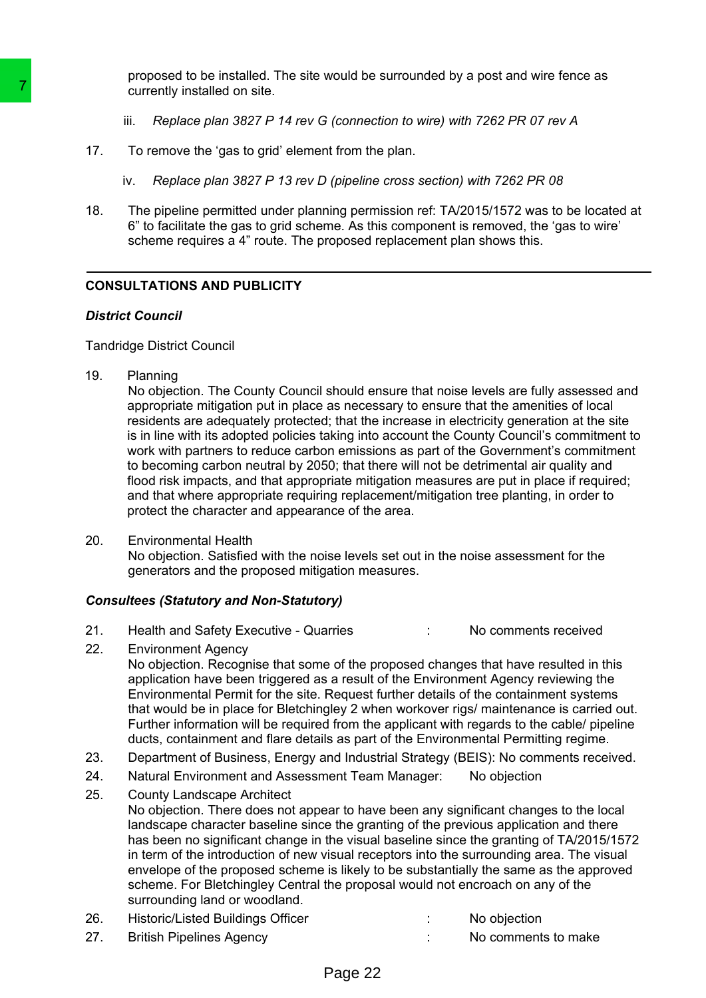proposed to be installed. The site would be surrounded by a post and wire fence as currently installed on site.

- iii. *Replace plan 3827 P 14 rev G (connection to wire) with 7262 PR 07 rev A*
- 17. To remove the 'gas to grid' element from the plan.
	- iv. *Replace plan 3827 P 13 rev D (pipeline cross section) with 7262 PR 08*
- 18. The pipeline permitted under planning permission ref: TA/2015/1572 was to be located at 6" to facilitate the gas to grid scheme. As this component is removed, the 'gas to wire' scheme requires a 4" route. The proposed replacement plan shows this.

### **CONSULTATIONS AND PUBLICITY**

#### *District Council*

Tandridge District Council

19. Planning

No objection. The County Council should ensure that noise levels are fully assessed and appropriate mitigation put in place as necessary to ensure that the amenities of local residents are adequately protected; that the increase in electricity generation at the site is in line with its adopted policies taking into account the County Council's commitment to work with partners to reduce carbon emissions as part of the Government's commitment to becoming carbon neutral by 2050; that there will not be detrimental air quality and flood risk impacts, and that appropriate mitigation measures are put in place if required; and that where appropriate requiring replacement/mitigation tree planting, in order to protect the character and appearance of the area.

20. Environmental Health No objection. Satisfied with the noise levels set out in the noise assessment for the generators and the proposed mitigation measures.

### *Consultees (Statutory and Non-Statutory)*

- 21. Health and Safety Executive Quarries : No comments received
- 22. Environment Agency No objection. Recognise that some of the proposed changes that have resulted in this application have been triggered as a result of the Environment Agency reviewing the Environmental Permit for the site. Request further details of the containment systems that would be in place for Bletchingley 2 when workover rigs/ maintenance is carried out. Further information will be required from the applicant with regards to the cable/ pipeline ducts, containment and flare details as part of the Environmental Permitting regime.
- 23. Department of Business, Energy and Industrial Strategy (BEIS): No comments received.
- 24. Natural Environment and Assessment Team Manager: No objection
- 25. County Landscape Architect No objection. There does not appear to have been any significant changes to the local landscape character baseline since the granting of the previous application and there has been no significant change in the visual baseline since the granting of TA/2015/1572 in term of the introduction of new visual receptors into the surrounding area. The visual envelope of the proposed scheme is likely to be substantially the same as the approved scheme. For Bletchingley Central the proposal would not encroach on any of the surrounding land or woodland. To the properties of the same of the same of the same of the same of the properties of the same of the same of the same of the properties of the properties of the properties of the properties of the properties of the prop

| 26. | <b>Historic/Listed Buildings Officer</b> | No objection        |
|-----|------------------------------------------|---------------------|
| 27. | <b>British Pipelines Agency</b>          | No comments to make |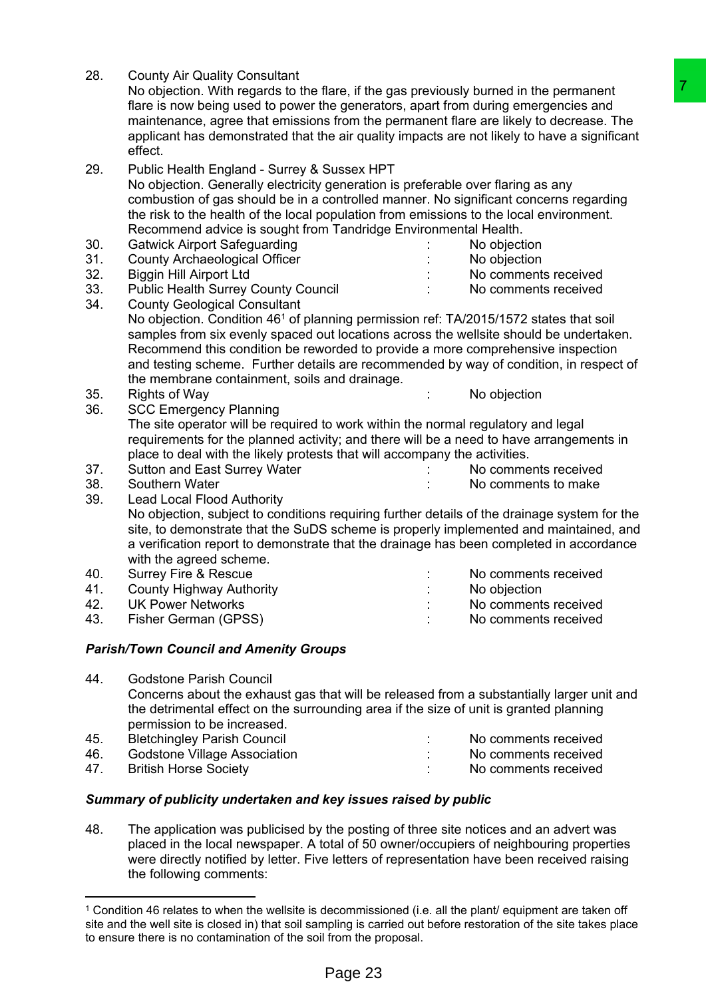| 28. | <b>County Air Quality Consultant</b><br>No objection. With regards to the flare, if the gas previously burned in the permanent                                                                                                                                                                                   |  | 7                    |  |  |  |
|-----|------------------------------------------------------------------------------------------------------------------------------------------------------------------------------------------------------------------------------------------------------------------------------------------------------------------|--|----------------------|--|--|--|
|     | flare is now being used to power the generators, apart from during emergencies and                                                                                                                                                                                                                               |  |                      |  |  |  |
|     | maintenance, agree that emissions from the permanent flare are likely to decrease. The                                                                                                                                                                                                                           |  |                      |  |  |  |
|     | applicant has demonstrated that the air quality impacts are not likely to have a significant                                                                                                                                                                                                                     |  |                      |  |  |  |
|     | effect.                                                                                                                                                                                                                                                                                                          |  |                      |  |  |  |
| 29. | Public Health England - Surrey & Sussex HPT                                                                                                                                                                                                                                                                      |  |                      |  |  |  |
|     | No objection. Generally electricity generation is preferable over flaring as any                                                                                                                                                                                                                                 |  |                      |  |  |  |
|     | combustion of gas should be in a controlled manner. No significant concerns regarding                                                                                                                                                                                                                            |  |                      |  |  |  |
|     | the risk to the health of the local population from emissions to the local environment.                                                                                                                                                                                                                          |  |                      |  |  |  |
|     | Recommend advice is sought from Tandridge Environmental Health.                                                                                                                                                                                                                                                  |  |                      |  |  |  |
| 30. | <b>Gatwick Airport Safeguarding</b>                                                                                                                                                                                                                                                                              |  | No objection         |  |  |  |
| 31. | <b>County Archaeological Officer</b>                                                                                                                                                                                                                                                                             |  | No objection         |  |  |  |
| 32. | <b>Biggin Hill Airport Ltd</b>                                                                                                                                                                                                                                                                                   |  | No comments received |  |  |  |
| 33. | <b>Public Health Surrey County Council</b>                                                                                                                                                                                                                                                                       |  | No comments received |  |  |  |
| 34. | <b>County Geological Consultant</b>                                                                                                                                                                                                                                                                              |  |                      |  |  |  |
|     | No objection. Condition 46 <sup>1</sup> of planning permission ref: TA/2015/1572 states that soil                                                                                                                                                                                                                |  |                      |  |  |  |
|     | samples from six evenly spaced out locations across the wellsite should be undertaken.                                                                                                                                                                                                                           |  |                      |  |  |  |
|     | Recommend this condition be reworded to provide a more comprehensive inspection                                                                                                                                                                                                                                  |  |                      |  |  |  |
|     | and testing scheme. Further details are recommended by way of condition, in respect of                                                                                                                                                                                                                           |  |                      |  |  |  |
|     | the membrane containment, soils and drainage.                                                                                                                                                                                                                                                                    |  |                      |  |  |  |
| 35. | <b>Rights of Way</b>                                                                                                                                                                                                                                                                                             |  | No objection         |  |  |  |
| 36. | <b>SCC Emergency Planning</b>                                                                                                                                                                                                                                                                                    |  |                      |  |  |  |
|     | The site operator will be required to work within the normal regulatory and legal                                                                                                                                                                                                                                |  |                      |  |  |  |
|     | requirements for the planned activity; and there will be a need to have arrangements in                                                                                                                                                                                                                          |  |                      |  |  |  |
|     | place to deal with the likely protests that will accompany the activities.                                                                                                                                                                                                                                       |  |                      |  |  |  |
| 37. | Sutton and East Surrey Water                                                                                                                                                                                                                                                                                     |  | No comments received |  |  |  |
| 38. | Southern Water                                                                                                                                                                                                                                                                                                   |  | No comments to make  |  |  |  |
| 39. | <b>Lead Local Flood Authority</b>                                                                                                                                                                                                                                                                                |  |                      |  |  |  |
|     | No objection, subject to conditions requiring further details of the drainage system for the                                                                                                                                                                                                                     |  |                      |  |  |  |
|     | site, to demonstrate that the SuDS scheme is properly implemented and maintained, and                                                                                                                                                                                                                            |  |                      |  |  |  |
|     | a verification report to demonstrate that the drainage has been completed in accordance                                                                                                                                                                                                                          |  |                      |  |  |  |
|     | with the agreed scheme.                                                                                                                                                                                                                                                                                          |  |                      |  |  |  |
| 40. | <b>Surrey Fire &amp; Rescue</b>                                                                                                                                                                                                                                                                                  |  | No comments received |  |  |  |
| 41. | <b>County Highway Authority</b>                                                                                                                                                                                                                                                                                  |  | No objection         |  |  |  |
| 42. | <b>UK Power Networks</b>                                                                                                                                                                                                                                                                                         |  | No comments received |  |  |  |
| 43. | Fisher German (GPSS)                                                                                                                                                                                                                                                                                             |  | No comments received |  |  |  |
|     | <b>Parish/Town Council and Amenity Groups</b>                                                                                                                                                                                                                                                                    |  |                      |  |  |  |
| 44. | <b>Godstone Parish Council</b>                                                                                                                                                                                                                                                                                   |  |                      |  |  |  |
|     |                                                                                                                                                                                                                                                                                                                  |  |                      |  |  |  |
|     | Concerns about the exhaust gas that will be released from a substantially larger unit and<br>the detrimental effect on the surrounding area if the size of unit is granted planning                                                                                                                              |  |                      |  |  |  |
|     | permission to be increased.                                                                                                                                                                                                                                                                                      |  |                      |  |  |  |
| 45. | <b>Bletchingley Parish Council</b>                                                                                                                                                                                                                                                                               |  | No comments received |  |  |  |
| 46. | <b>Godstone Village Association</b>                                                                                                                                                                                                                                                                              |  | No comments received |  |  |  |
| 47. | <b>British Horse Society</b>                                                                                                                                                                                                                                                                                     |  | No comments received |  |  |  |
|     | Summary of publicity undertaken and key issues raised by public                                                                                                                                                                                                                                                  |  |                      |  |  |  |
|     |                                                                                                                                                                                                                                                                                                                  |  |                      |  |  |  |
| 48. | The application was publicised by the posting of three site notices and an advert was<br>placed in the local newspaper. A total of 50 owner/occupiers of neighbouring properties<br>were directly notified by letter. Five letters of representation have been received raising<br>the following comments:       |  |                      |  |  |  |
|     |                                                                                                                                                                                                                                                                                                                  |  |                      |  |  |  |
|     | <sup>1</sup> Condition 46 relates to when the wellsite is decommissioned (i.e. all the plant/ equipment are taken off<br>site and the well site is closed in) that soil sampling is carried out before restoration of the site takes place<br>to ensure there is no contamination of the soil from the proposal. |  |                      |  |  |  |
|     | Page 23                                                                                                                                                                                                                                                                                                          |  |                      |  |  |  |

### *Parish/Town Council and Amenity Groups*

|                                                              | TNO COMMENTS RECEIVED       |
|--------------------------------------------------------------|-----------------------------|
|                                                              | No comments received        |
|                                                              | No comments received        |
| Godstone Village Association<br><b>British Horse Society</b> | BIEICHINGIEV Parish Council |

### *Summary of publicity undertaken and key issues raised by public*

<sup>1</sup> Condition 46 relates to when the wellsite is decommissioned (i.e. all the plant/ equipment are taken off site and the well site is closed in) that soil sampling is carried out before restoration of the site takes place to ensure there is no contamination of the soil from the proposal.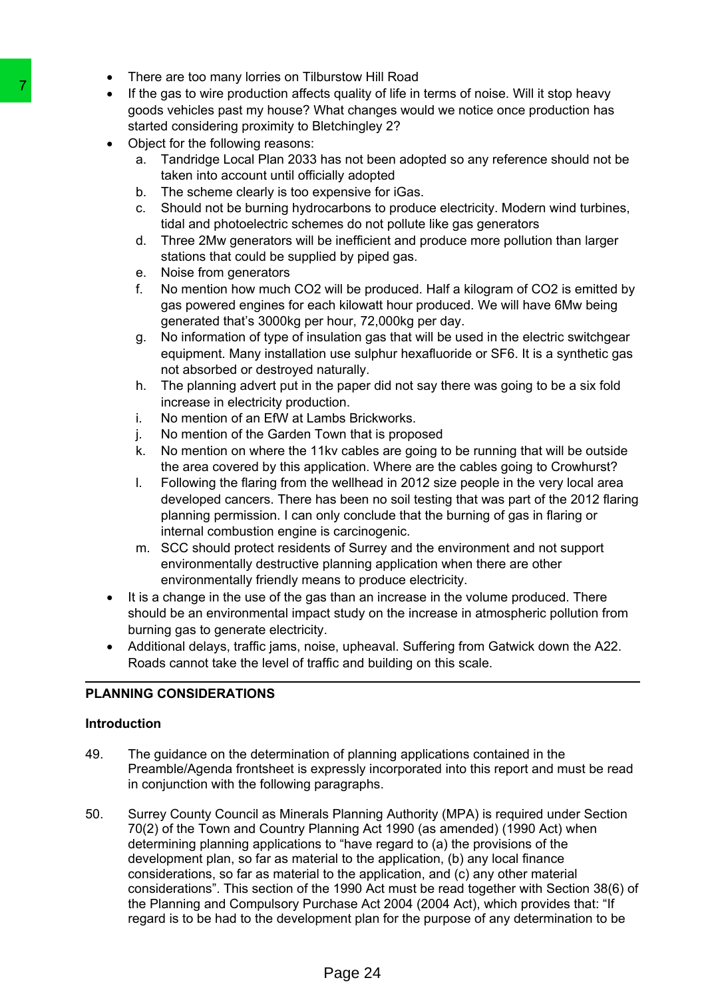- There are too many lorries on Tilburstow Hill Road
- If the gas to wire production affects quality of life in terms of noise. Will it stop heavy goods vehicles past my house? What changes would we notice once production has started considering proximity to Bletchingley 2?
- Object for the following reasons:
	- a. Tandridge Local Plan 2033 has not been adopted so any reference should not be taken into account until officially adopted
	- b. The scheme clearly is too expensive for iGas.
	- c. Should not be burning hydrocarbons to produce electricity. Modern wind turbines, tidal and photoelectric schemes do not pollute like gas generators
	- d. Three 2Mw generators will be inefficient and produce more pollution than larger stations that could be supplied by piped gas.
	- e. Noise from generators
	- f. No mention how much CO2 will be produced. Half a kilogram of CO2 is emitted by gas powered engines for each kilowatt hour produced. We will have 6Mw being generated that's 3000kg per hour, 72,000kg per day.
	- g. No information of type of insulation gas that will be used in the electric switchgear equipment. Many installation use sulphur hexafluoride or SF6. It is a synthetic gas not absorbed or destroyed naturally.
	- h. The planning advert put in the paper did not say there was going to be a six fold increase in electricity production.
	- i. No mention of an EfW at Lambs Brickworks.
	- j. No mention of the Garden Town that is proposed
	- k. No mention on where the 11kv cables are going to be running that will be outside the area covered by this application. Where are the cables going to Crowhurst?
	- l. Following the flaring from the wellhead in 2012 size people in the very local area developed cancers. There has been no soil testing that was part of the 2012 flaring planning permission. I can only conclude that the burning of gas in flaring or internal combustion engine is carcinogenic.
	- m. SCC should protect residents of Surrey and the environment and not support environmentally destructive planning application when there are other environmentally friendly means to produce electricity.
- It is a change in the use of the gas than an increase in the volume produced. There should be an environmental impact study on the increase in atmospheric pollution from burning gas to generate electricity.
- Additional delays, traffic jams, noise, upheaval. Suffering from Gatwick down the A22. Roads cannot take the level of traffic and building on this scale.

# **PLANNING CONSIDERATIONS**

### **Introduction**

- 49. The guidance on the determination of planning applications contained in the Preamble/Agenda frontsheet is expressly incorporated into this report and must be read in conjunction with the following paragraphs.
- 50. Surrey County Council as Minerals Planning Authority (MPA) is required under Section 70(2) of the Town and Country Planning Act 1990 (as amended) (1990 Act) when determining planning applications to "have regard to (a) the provisions of the development plan, so far as material to the application, (b) any local finance considerations, so far as material to the application, and (c) any other material considerations". This section of the 1990 Act must be read together with Section 38(6) of the Planning and Compulsory Purchase Act 2004 (2004 Act), which provides that: "If regard is to be had to the development plan for the purpose of any determination to be The term of the following reason of the term of the considered and the production affects quality of good selected part in youse Y What change 10 by the following reasons:<br>
a. Trandidge Local Plan 2033 has not be assumed t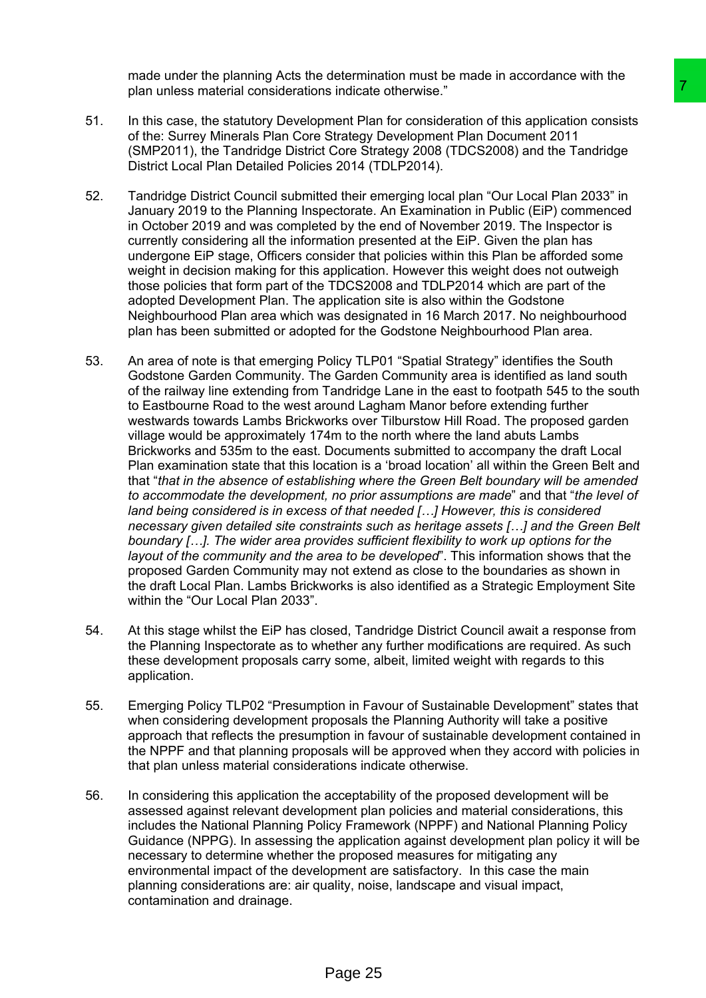made under the planning Acts the determination must be made in accordance with the plan unless material considerations indicate otherwise."

- 51. In this case, the statutory Development Plan for consideration of this application consists of the: Surrey Minerals Plan Core Strategy Development Plan Document 2011 (SMP2011), the Tandridge District Core Strategy 2008 (TDCS2008) and the Tandridge District Local Plan Detailed Policies 2014 (TDLP2014).
- 52. Tandridge District Council submitted their emerging local plan "Our Local Plan 2033" in January 2019 to the Planning Inspectorate. An Examination in Public (EiP) commenced in October 2019 and was completed by the end of November 2019. The Inspector is currently considering all the information presented at the EiP. Given the plan has undergone EiP stage, Officers consider that policies within this Plan be afforded some weight in decision making for this application. However this weight does not outweigh those policies that form part of the TDCS2008 and TDLP2014 which are part of the adopted Development Plan. The application site is also within the Godstone Neighbourhood Plan area which was designated in 16 March 2017. No neighbourhood plan has been submitted or adopted for the Godstone Neighbourhood Plan area.
- 53. An area of note is that emerging Policy TLP01 "Spatial Strategy" identifies the South Godstone Garden Community. The Garden Community area is identified as land south of the railway line extending from Tandridge Lane in the east to footpath 545 to the south to Eastbourne Road to the west around Lagham Manor before extending further westwards towards Lambs Brickworks over Tilburstow Hill Road. The proposed garden village would be approximately 174m to the north where the land abuts Lambs Brickworks and 535m to the east. Documents submitted to accompany the draft Local Plan examination state that this location is a 'broad location' all within the Green Belt and that "*that in the absence of establishing where the Green Belt boundary will be amended to accommodate the development, no prior assumptions are made*" and that "*the level of land being considered is in excess of that needed […] However, this is considered necessary given detailed site constraints such as heritage assets […] and the Green Belt boundary […]. The wider area provides sufficient flexibility to work up options for the layout of the community and the area to be developed*". This information shows that the proposed Garden Community may not extend as close to the boundaries as shown in the draft Local Plan. Lambs Brickworks is also identified as a Strategic Employment Site within the "Our Local Plan 2033". is indicate otherwise."<br>
The forconsideration of this application consists<br>
mentr Plan Tor consideration of this application consists<br>
Strategy Development Plan Document 2011<br>
Core Strategy 2008 (TDCS2008) and the Tandridg
- 54. At this stage whilst the EiP has closed, Tandridge District Council await a response from the Planning Inspectorate as to whether any further modifications are required. As such these development proposals carry some, albeit, limited weight with regards to this application.
- 55. Emerging Policy TLP02 "Presumption in Favour of Sustainable Development" states that when considering development proposals the Planning Authority will take a positive approach that reflects the presumption in favour of sustainable development contained in the NPPF and that planning proposals will be approved when they accord with policies in that plan unless material considerations indicate otherwise.
- 56. In considering this application the acceptability of the proposed development will be assessed against relevant development plan policies and material considerations, this includes the National Planning Policy Framework (NPPF) and National Planning Policy Guidance (NPPG). In assessing the application against development plan policy it will be necessary to determine whether the proposed measures for mitigating any environmental impact of the development are satisfactory. In this case the main planning considerations are: air quality, noise, landscape and visual impact, contamination and drainage.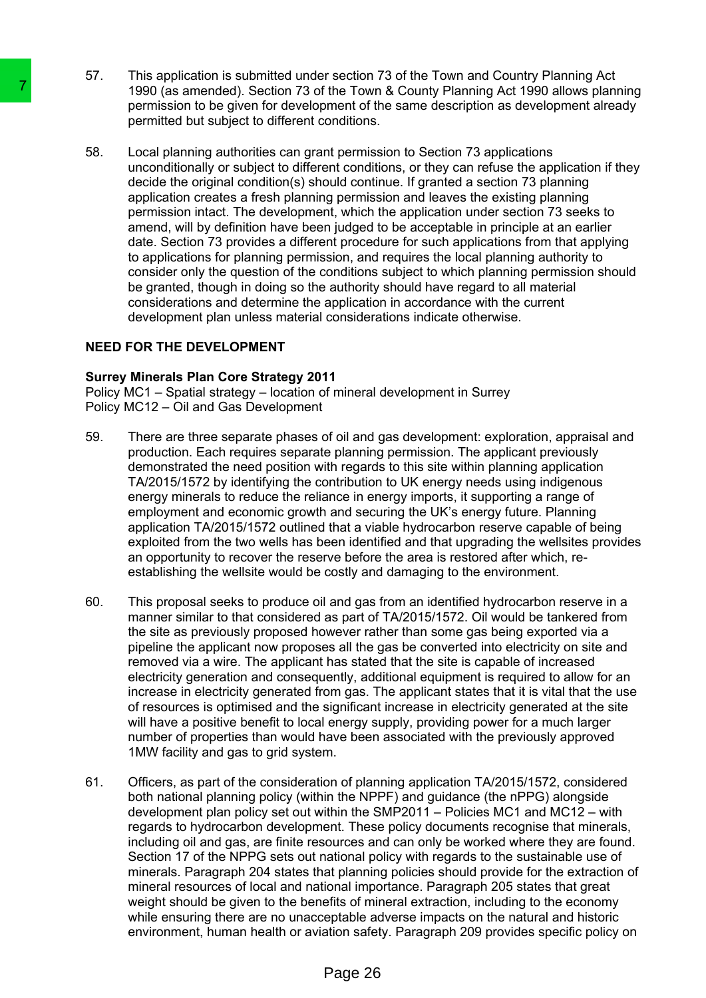- 57. This application is submitted under section 73 of the Town and Country Planning Act 1990 (as amended). Section 73 of the Town & County Planning Act 1990 allows planning permission to be given for development of the same description as development already permitted but subject to different conditions.
- 58. Local planning authorities can grant permission to Section 73 applications unconditionally or subject to different conditions, or they can refuse the application if they decide the original condition(s) should continue. If granted a section 73 planning application creates a fresh planning permission and leaves the existing planning permission intact. The development, which the application under section 73 seeks to amend, will by definition have been judged to be acceptable in principle at an earlier date. Section 73 provides a different procedure for such applications from that applying to applications for planning permission, and requires the local planning authority to consider only the question of the conditions subject to which planning permission should be granted, though in doing so the authority should have regard to all material considerations and determine the application in accordance with the current development plan unless material considerations indicate otherwise. The material scheme that a member of the Towman paper paper and the mattern conditions be payer for development of the Towman particle to different conditions.<br>
Local planning authorities can grant permission to be given f

### **NEED FOR THE DEVELOPMENT**

#### **Surrey Minerals Plan Core Strategy 2011**

Policy MC1 – Spatial strategy – location of mineral development in Surrey Policy MC12 – Oil and Gas Development

- 59. There are three separate phases of oil and gas development: exploration, appraisal and production. Each requires separate planning permission. The applicant previously demonstrated the need position with regards to this site within planning application TA/2015/1572 by identifying the contribution to UK energy needs using indigenous energy minerals to reduce the reliance in energy imports, it supporting a range of employment and economic growth and securing the UK's energy future. Planning application TA/2015/1572 outlined that a viable hydrocarbon reserve capable of being exploited from the two wells has been identified and that upgrading the wellsites provides an opportunity to recover the reserve before the area is restored after which, reestablishing the wellsite would be costly and damaging to the environment.
- 60. This proposal seeks to produce oil and gas from an identified hydrocarbon reserve in a manner similar to that considered as part of TA/2015/1572. Oil would be tankered from the site as previously proposed however rather than some gas being exported via a pipeline the applicant now proposes all the gas be converted into electricity on site and removed via a wire. The applicant has stated that the site is capable of increased electricity generation and consequently, additional equipment is required to allow for an increase in electricity generated from gas. The applicant states that it is vital that the use of resources is optimised and the significant increase in electricity generated at the site will have a positive benefit to local energy supply, providing power for a much larger number of properties than would have been associated with the previously approved 1MW facility and gas to grid system.
- 61. Officers, as part of the consideration of planning application TA/2015/1572, considered both national planning policy (within the NPPF) and guidance (the nPPG) alongside development plan policy set out within the SMP2011 – Policies MC1 and MC12 – with regards to hydrocarbon development. These policy documents recognise that minerals, including oil and gas, are finite resources and can only be worked where they are found. Section 17 of the NPPG sets out national policy with regards to the sustainable use of minerals. Paragraph 204 states that planning policies should provide for the extraction of mineral resources of local and national importance. Paragraph 205 states that great weight should be given to the benefits of mineral extraction, including to the economy while ensuring there are no unacceptable adverse impacts on the natural and historic environment, human health or aviation safety. Paragraph 209 provides specific policy on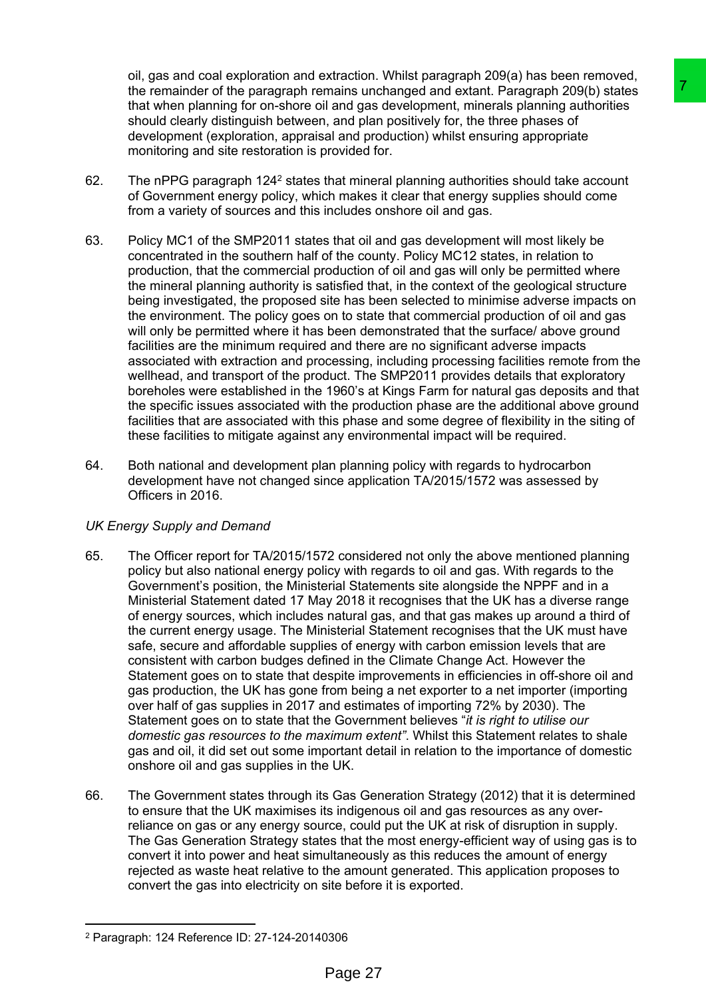oil, gas and coal exploration and extraction. Whilst paragraph 209(a) has been removed, the remainder of the paragraph remains unchanged and extant. Paragraph 209(b) states that when planning for on-shore oil and gas development, minerals planning authorities should clearly distinguish between, and plan positively for, the three phases of development (exploration, appraisal and production) whilst ensuring appropriate monitoring and site restoration is provided for.

- 62. The nPPG paragraph 124<sup>2</sup> states that mineral planning authorities should take account of Government energy policy, which makes it clear that energy supplies should come from a variety of sources and this includes onshore oil and gas.
- 63. Policy MC1 of the SMP2011 states that oil and gas development will most likely be concentrated in the southern half of the county. Policy MC12 states, in relation to production, that the commercial production of oil and gas will only be permitted where the mineral planning authority is satisfied that, in the context of the geological structure being investigated, the proposed site has been selected to minimise adverse impacts on the environment. The policy goes on to state that commercial production of oil and gas will only be permitted where it has been demonstrated that the surface/ above ground facilities are the minimum required and there are no significant adverse impacts associated with extraction and processing, including processing facilities remote from the wellhead, and transport of the product. The SMP2011 provides details that exploratory boreholes were established in the 1960's at Kings Farm for natural gas deposits and that the specific issues associated with the production phase are the additional above ground facilities that are associated with this phase and some degree of flexibility in the siting of these facilities to mitigate against any environmental impact will be required.
- 64. Both national and development plan planning policy with regards to hydrocarbon development have not changed since application TA/2015/1572 was assessed by Officers in 2016.

# *UK Energy Supply and Demand*

- 65. The Officer report for TA/2015/1572 considered not only the above mentioned planning policy but also national energy policy with regards to oil and gas. With regards to the Government's position, the Ministerial Statements site alongside the NPPF and in a Ministerial Statement dated 17 May 2018 it recognises that the UK has a diverse range of energy sources, which includes natural gas, and that gas makes up around a third of the current energy usage. The Ministerial Statement recognises that the UK must have safe, secure and affordable supplies of energy with carbon emission levels that are consistent with carbon budges defined in the Climate Change Act. However the Statement goes on to state that despite improvements in efficiencies in off-shore oil and gas production, the UK has gone from being a net exporter to a net importer (importing over half of gas supplies in 2017 and estimates of importing 72% by 2030). The Statement goes on to state that the Government believes "*it is right to utilise our domestic gas resources to the maximum extent"*. Whilst this Statement relates to shale gas and oil, it did set out some important detail in relation to the importance of domestic onshore oil and gas supplies in the UK. mains unchanged and extant, Paragraph 2001) states<br>and in and gas development, mineratis planning authorities<br>all and gas development, mineratis planning authorities<br>all and gas development, mineratis planning authorities<br>
- 66. The Government states through its Gas Generation Strategy (2012) that it is determined to ensure that the UK maximises its indigenous oil and gas resources as any overreliance on gas or any energy source, could put the UK at risk of disruption in supply. The Gas Generation Strategy states that the most energy-efficient way of using gas is to convert it into power and heat simultaneously as this reduces the amount of energy rejected as waste heat relative to the amount generated. This application proposes to convert the gas into electricity on site before it is exported.

<sup>2</sup> Paragraph: 124 Reference ID: 27-124-20140306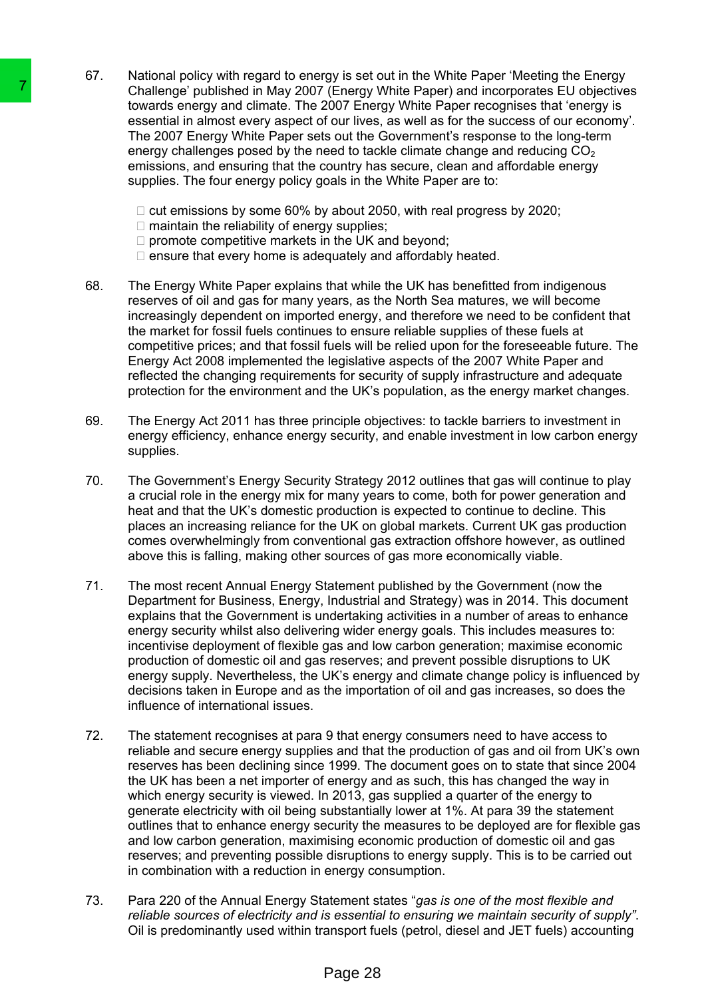- 67. National policy with regard to energy is set out in the White Paper 'Meeting the Energy Challenge' published in May 2007 (Energy White Paper) and incorporates EU objectives towards energy and climate. The 2007 Energy White Paper recognises that 'energy is essential in almost every aspect of our lives, as well as for the success of our economy'. The 2007 Energy White Paper sets out the Government's response to the long-term energy challenges posed by the need to tackle climate change and reducing  $CO<sub>2</sub>$ emissions, and ensuring that the country has secure, clean and affordable energy supplies. The four energy policy goals in the White Paper are to:
	- $\Box$  cut emissions by some 60% by about 2050, with real progress by 2020;
	- $\Box$  maintain the reliability of energy supplies;
	- $\square$  promote competitive markets in the UK and beyond;
	- $\Box$  ensure that every home is adequately and affordably heated.
- 68. The Energy White Paper explains that while the UK has benefitted from indigenous reserves of oil and gas for many years, as the North Sea matures, we will become increasingly dependent on imported energy, and therefore we need to be confident that the market for fossil fuels continues to ensure reliable supplies of these fuels at competitive prices; and that fossil fuels will be relied upon for the foreseeable future. The Energy Act 2008 implemented the legislative aspects of the 2007 White Paper and reflected the changing requirements for security of supply infrastructure and adequate protection for the environment and the UK's population, as the energy market changes.
- 69. The Energy Act 2011 has three principle objectives: to tackle barriers to investment in energy efficiency, enhance energy security, and enable investment in low carbon energy supplies.
- 70. The Government's Energy Security Strategy 2012 outlines that gas will continue to play a crucial role in the energy mix for many years to come, both for power generation and heat and that the UK's domestic production is expected to continue to decline. This places an increasing reliance for the UK on global markets. Current UK gas production comes overwhelmingly from conventional gas extraction offshore however, as outlined above this is falling, making other sources of gas more economically viable.
- 71. The most recent Annual Energy Statement published by the Government (now the Department for Business, Energy, Industrial and Strategy) was in 2014. This document explains that the Government is undertaking activities in a number of areas to enhance energy security whilst also delivering wider energy goals. This includes measures to: incentivise deployment of flexible gas and low carbon generation; maximise economic production of domestic oil and gas reserves; and prevent possible disruptions to UK energy supply. Nevertheless, the UK's energy and climate change policy is influenced by decisions taken in Europe and as the importation of oil and gas increases, so does the influence of international issues.
- 72. The statement recognises at para 9 that energy consumers need to have access to reliable and secure energy supplies and that the production of gas and oil from UK's own reserves has been declining since 1999. The document goes on to state that since 2004 the UK has been a net importer of energy and as such, this has changed the way in which energy security is viewed. In 2013, gas supplied a quarter of the energy to generate electricity with oil being substantially lower at 1%. At para 39 the statement outlines that to enhance energy security the measures to be deployed are for flexible gas and low carbon generation, maximising economic production of domestic oil and gas reserves; and preventing possible disruptions to energy supply. This is to be carried out in combination with a reduction in energy consumption. This chings on unitaring the May 2007 (Energy This chinal and the May 2007 Energy and climinal a The 2007 Energy White Paper sets out live the mergy challenges posed by the need to accurive energy and climinal and a mergy
	- 73. Para 220 of the Annual Energy Statement states "*gas is one of the most flexible and reliable sources of electricity and is essential to ensuring we maintain security of supply"*. Oil is predominantly used within transport fuels (petrol, diesel and JET fuels) accounting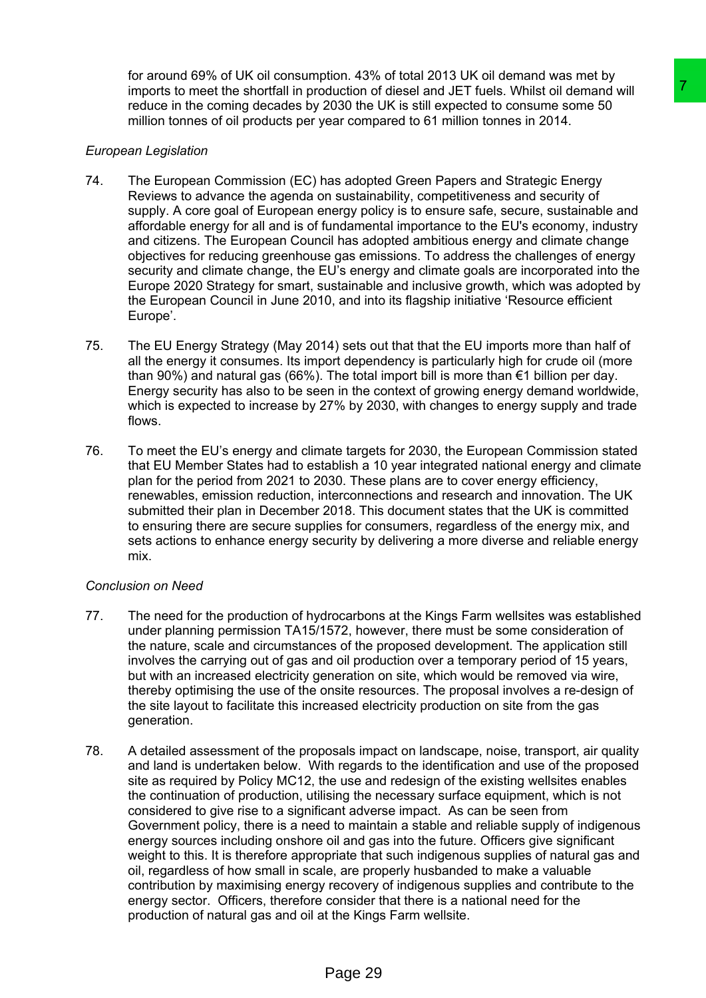for around 69% of UK oil consumption. 43% of total 2013 UK oil demand was met by imports to meet the shortfall in production of diesel and JET fuels. Whilst oil demand will reduce in the coming decades by 2030 the UK is still expected to consume some 50 million tonnes of oil products per year compared to 61 million tonnes in 2014.

### *European Legislation*

- 74. The European Commission (EC) has adopted Green Papers and Strategic Energy Reviews to advance the agenda on sustainability, competitiveness and security of supply. A core goal of European energy policy is to ensure safe, secure, sustainable and affordable energy for all and is of fundamental importance to the EU's economy, industry and citizens. The European Council has adopted ambitious energy and climate change objectives for reducing greenhouse gas emissions. To address the challenges of energy security and climate change, the EU's energy and climate goals are incorporated into the Europe 2020 Strategy for smart, sustainable and inclusive growth, which was adopted by the European Council in June 2010, and into its flagship initiative 'Resource efficient Europe'.
- 75. The EU Energy Strategy (May 2014) sets out that that the EU imports more than half of all the energy it consumes. Its import dependency is particularly high for crude oil (more than 90%) and natural gas (66%). The total import bill is more than  $\epsilon$ 1 billion per day. Energy security has also to be seen in the context of growing energy demand worldwide, which is expected to increase by 27% by 2030, with changes to energy supply and trade flows.
- 76. To meet the EU's energy and climate targets for 2030, the European Commission stated that EU Member States had to establish a 10 year integrated national energy and climate plan for the period from 2021 to 2030. These plans are to cover energy efficiency, renewables, emission reduction, interconnections and research and innovation. The UK submitted their plan in December 2018. This document states that the UK is committed to ensuring there are secure supplies for consumers, regardless of the energy mix, and sets actions to enhance energy security by delivering a more diverse and reliable energy mix.

### *Conclusion on Need*

- 77. The need for the production of hydrocarbons at the Kings Farm wellsites was established under planning permission TA15/1572, however, there must be some consideration of the nature, scale and circumstances of the proposed development. The application still involves the carrying out of gas and oil production over a temporary period of 15 years, but with an increased electricity generation on site, which would be removed via wire, thereby optimising the use of the onsite resources. The proposal involves a re-design of the site layout to facilitate this increased electricity production on site from the gas generation.
- 78. A detailed assessment of the proposals impact on landscape, noise, transport, air quality and land is undertaken below. With regards to the identification and use of the proposed site as required by Policy MC12, the use and redesign of the existing wellsites enables the continuation of production, utilising the necessary surface equipment, which is not considered to give rise to a significant adverse impact. As can be seen from Government policy, there is a need to maintain a stable and reliable supply of indigenous energy sources including onshore oil and gas into the future. Officers give significant weight to this. It is therefore appropriate that such indigenous supplies of natural gas and oil, regardless of how small in scale, are properly husbanded to make a valuable contribution by maximising energy recovery of indigenous supplies and contribute to the energy sector. Officers, therefore consider that there is a national need for the production of natural gas and oil at the Kings Farm wellsite. duction of diesel and JET fuels and Stratege and Content of the constrained the constrained the constrained and C2030 the UK is at all respected to constrain some some 50<br>2030 the UK is a fill respected to constrain some s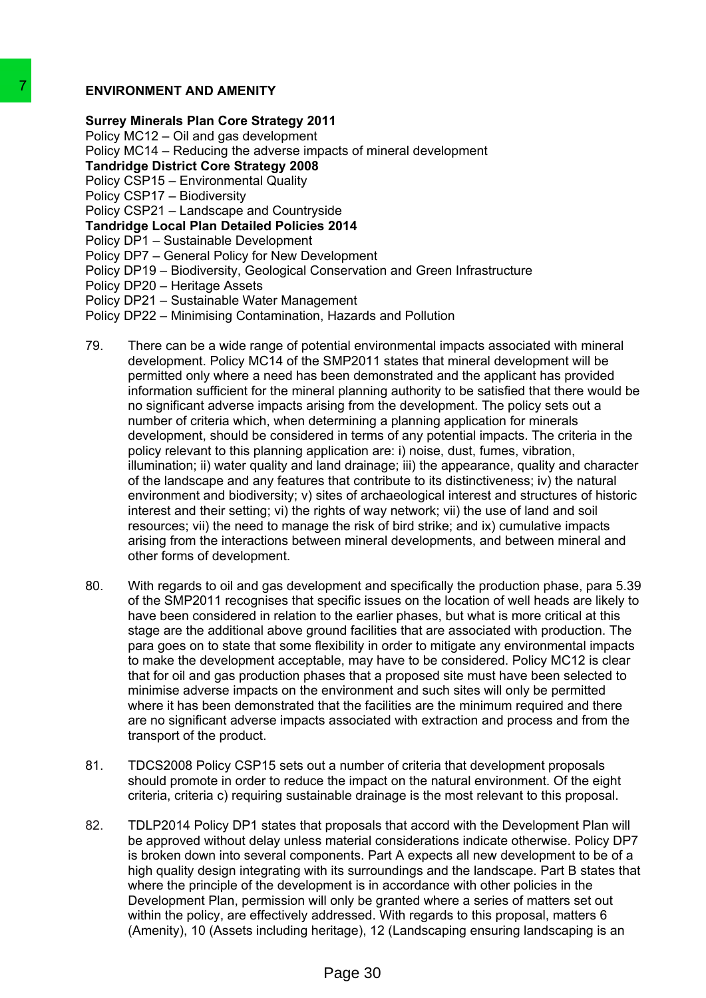### **ENVIRONMENT AND AMENITY**

**Surrey Minerals Plan Core Strategy 2011**

Policy MC12 – Oil and gas development

Policy MC14 – Reducing the adverse impacts of mineral development

**Tandridge District Core Strategy 2008**

Policy CSP15 – Environmental Quality

Policy CSP17 – Biodiversity

Policy CSP21 – Landscape and Countryside

**Tandridge Local Plan Detailed Policies 2014**

Policy DP1 – Sustainable Development

- Policy DP7 General Policy for New Development
- Policy DP19 Biodiversity, Geological Conservation and Green Infrastructure

Policy DP20 – Heritage Assets

Policy DP21 – Sustainable Water Management

Policy DP22 – Minimising Contamination, Hazards and Pollution

- 79. There can be a wide range of potential environmental impacts associated with mineral development. Policy MC14 of the SMP2011 states that mineral development will be permitted only where a need has been demonstrated and the applicant has provided information sufficient for the mineral planning authority to be satisfied that there would be no significant adverse impacts arising from the development. The policy sets out a number of criteria which, when determining a planning application for minerals development, should be considered in terms of any potential impacts. The criteria in the policy relevant to this planning application are: i) noise, dust, fumes, vibration, illumination; ii) water quality and land drainage; iii) the appearance, quality and character of the landscape and any features that contribute to its distinctiveness; iv) the natural environment and biodiversity; v) sites of archaeological interest and structures of historic interest and their setting; vi) the rights of way network; vii) the use of land and soil resources; vii) the need to manage the risk of bird strike; and ix) cumulative impacts arising from the interactions between mineral developments, and between mineral and other forms of development. T<br>
ENVIRONMENT AND AMENITY<br>
Surrey Minrerals Plan Core Strategy 2011<br>
Policy MC12 – Oll and Que stevelopment<br>
Policy MC14 – Reducing the adverse impacts of mi<br>
Policy SeP11 – Leaducing the adverse impacts of mi<br>
Tandridge
	- 80. With regards to oil and gas development and specifically the production phase, para 5.39 of the SMP2011 recognises that specific issues on the location of well heads are likely to have been considered in relation to the earlier phases, but what is more critical at this stage are the additional above ground facilities that are associated with production. The para goes on to state that some flexibility in order to mitigate any environmental impacts to make the development acceptable, may have to be considered. Policy MC12 is clear that for oil and gas production phases that a proposed site must have been selected to minimise adverse impacts on the environment and such sites will only be permitted where it has been demonstrated that the facilities are the minimum required and there are no significant adverse impacts associated with extraction and process and from the transport of the product.
	- 81. TDCS2008 Policy CSP15 sets out a number of criteria that development proposals should promote in order to reduce the impact on the natural environment. Of the eight criteria, criteria c) requiring sustainable drainage is the most relevant to this proposal.
	- 82. TDLP2014 Policy DP1 states that proposals that accord with the Development Plan will be approved without delay unless material considerations indicate otherwise. Policy DP7 is broken down into several components. Part A expects all new development to be of a high quality design integrating with its surroundings and the landscape. Part B states that where the principle of the development is in accordance with other policies in the Development Plan, permission will only be granted where a series of matters set out within the policy, are effectively addressed. With regards to this proposal, matters 6 (Amenity), 10 (Assets including heritage), 12 (Landscaping ensuring landscaping is an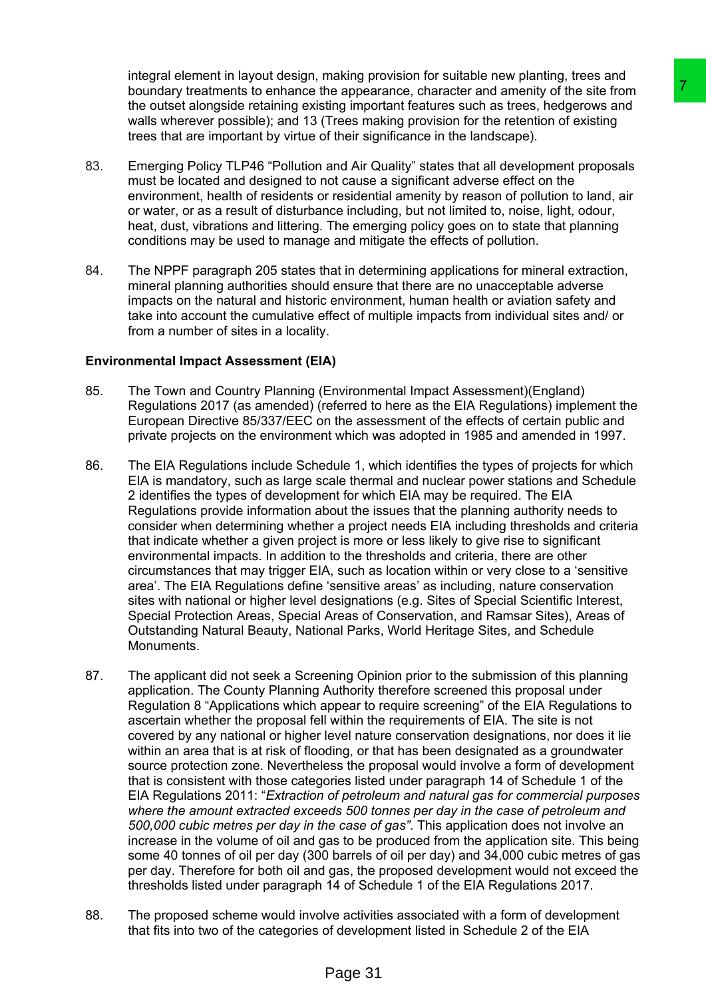integral element in layout design, making provision for suitable new planting, trees and boundary treatments to enhance the appearance, character and amenity of the site from the outset alongside retaining existing important features such as trees, hedgerows and walls wherever possible); and 13 (Trees making provision for the retention of existing trees that are important by virtue of their significance in the landscape).

- 83. Emerging Policy TLP46 "Pollution and Air Quality" states that all development proposals must be located and designed to not cause a significant adverse effect on the environment, health of residents or residential amenity by reason of pollution to land, air or water, or as a result of disturbance including, but not limited to, noise, light, odour, heat, dust, vibrations and littering. The emerging policy goes on to state that planning conditions may be used to manage and mitigate the effects of pollution.
- 84. The NPPF paragraph 205 states that in determining applications for mineral extraction, mineral planning authorities should ensure that there are no unacceptable adverse impacts on the natural and historic environment, human health or aviation safety and take into account the cumulative effect of multiple impacts from individual sites and/ or from a number of sites in a locality.

### **Environmental Impact Assessment (EIA)**

- 85. The Town and Country Planning (Environmental Impact Assessment)(England) Regulations 2017 (as amended) (referred to here as the EIA Regulations) implement the European Directive 85/337/EEC on the assessment of the effects of certain public and private projects on the environment which was adopted in 1985 and amended in 1997.
- 86. The EIA Regulations include Schedule 1, which identifies the types of projects for which EIA is mandatory, such as large scale thermal and nuclear power stations and Schedule 2 identifies the types of development for which EIA may be required. The EIA Regulations provide information about the issues that the planning authority needs to consider when determining whether a project needs EIA including thresholds and criteria that indicate whether a given project is more or less likely to give rise to significant environmental impacts. In addition to the thresholds and criteria, there are other circumstances that may trigger EIA, such as location within or very close to a 'sensitive area'. The EIA Regulations define 'sensitive areas' as including, nature conservation sites with national or higher level designations (e.g. Sites of Special Scientific Interest, Special Protection Areas, Special Areas of Conservation, and Ramsar Sites), Areas of Outstanding Natural Beauty, National Parks, World Heritage Sites, and Schedule Monuments.
- 87. The applicant did not seek a Screening Opinion prior to the submission of this planning application. The County Planning Authority therefore screened this proposal under Regulation 8 "Applications which appear to require screening" of the EIA Regulations to ascertain whether the proposal fell within the requirements of EIA. The site is not covered by any national or higher level nature conservation designations, nor does it lie within an area that is at risk of flooding, or that has been designated as a groundwater source protection zone. Nevertheless the proposal would involve a form of development that is consistent with those categories listed under paragraph 14 of Schedule 1 of the EIA Regulations 2011: "*Extraction of petroleum and natural gas for commercial purposes where the amount extracted exceeds 500 tonnes per day in the case of petroleum and 500,000 cubic metres per day in the case of gas"*. This application does not involve an increase in the volume of oil and gas to be produced from the application site. This being some 40 tonnes of oil per day (300 barrels of oil per day) and 34,000 cubic metres of gas per day. Therefore for both oil and gas, the proposed development would not exceed the thresholds listed under paragraph 14 of Schedule 1 of the EIA Regulations 2017. he appearance, character and amen'ity of the sle from<br>ting mportant reatures such as trees, hedgerows and<br>Trees making provision for the relations of the sle from<br>Trees making provision for the relation of existing<br>Then th
- 88. The proposed scheme would involve activities associated with a form of development that fits into two of the categories of development listed in Schedule 2 of the EIA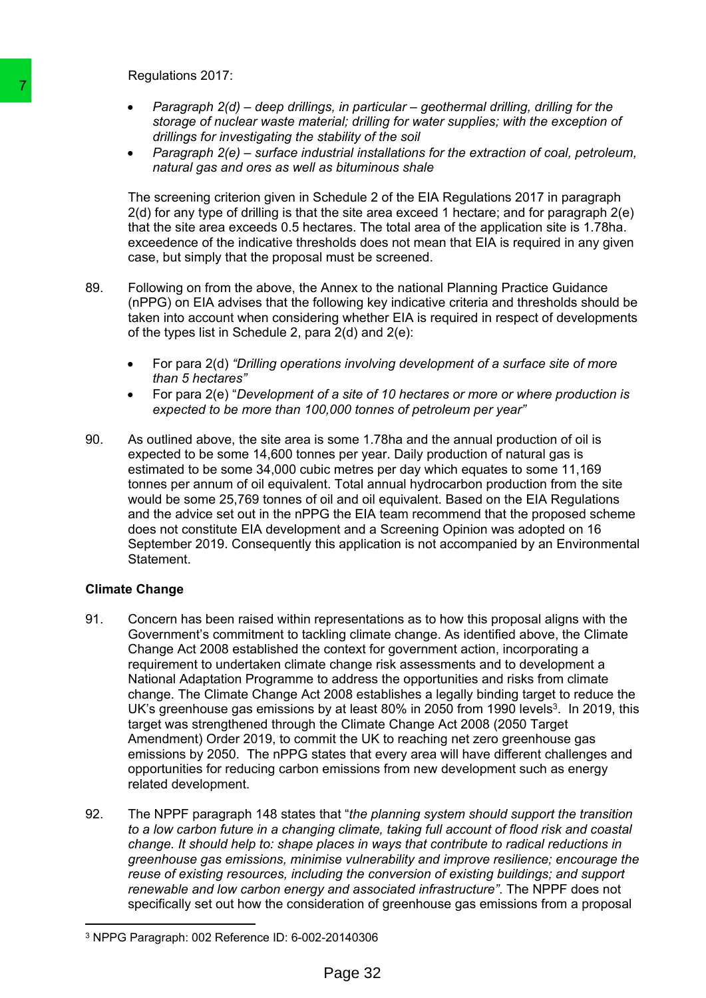Regulations 2017:

- *Paragraph 2(d) – deep drillings, in particular – geothermal drilling, drilling for the storage of nuclear waste material; drilling for water supplies; with the exception of drillings for investigating the stability of the soil*
- *Paragraph 2(e) – surface industrial installations for the extraction of coal, petroleum, natural gas and ores as well as bituminous shale*

The screening criterion given in Schedule 2 of the EIA Regulations 2017 in paragraph 2(d) for any type of drilling is that the site area exceed 1 hectare; and for paragraph 2(e) that the site area exceeds 0.5 hectares. The total area of the application site is 1.78ha. exceedence of the indicative thresholds does not mean that EIA is required in any given case, but simply that the proposal must be screened.

- 89. Following on from the above, the Annex to the national Planning Practice Guidance (nPPG) on EIA advises that the following key indicative criteria and thresholds should be taken into account when considering whether EIA is required in respect of developments of the types list in Schedule 2, para 2(d) and 2(e):
	- For para 2(d) *"Drilling operations involving development of a surface site of more than 5 hectares"*
	- For para 2(e) "*Development of a site of 10 hectares or more or where production is expected to be more than 100,000 tonnes of petroleum per year"*
- 90. As outlined above, the site area is some 1.78ha and the annual production of oil is expected to be some 14,600 tonnes per year. Daily production of natural gas is estimated to be some 34,000 cubic metres per day which equates to some 11,169 tonnes per annum of oil equivalent. Total annual hydrocarbon production from the site would be some 25,769 tonnes of oil and oil equivalent. Based on the EIA Regulations and the advice set out in the nPPG the EIA team recommend that the proposed scheme does not constitute EIA development and a Screening Opinion was adopted on 16 September 2019. Consequently this application is not accompanied by an Environmental Statement.

### **Climate Change**

- 91. Concern has been raised within representations as to how this proposal aligns with the Government's commitment to tackling climate change. As identified above, the Climate Change Act 2008 established the context for government action, incorporating a requirement to undertaken climate change risk assessments and to development a National Adaptation Programme to address the opportunities and risks from climate change. The Climate Change Act 2008 establishes a legally binding target to reduce the UK's greenhouse gas emissions by at least 80% in 2050 from 1990 levels<sup>3</sup>. In 2019, this target was strengthened through the Climate Change Act 2008 (2050 Target Amendment) Order 2019, to commit the UK to reaching net zero greenhouse gas emissions by 2050. The nPPG states that every area will have different challenges and opportunities for reducing carbon emissions from new development such as energy related development. **Paragraph 2(d) – deep drillings**, in pertitive that the control of the computer of nuclear weaker metheul, drilling the transition of dillings for investigating the stability of  $r$  and  $r$  and  $r$  and  $r$  and  $r$  and  $r$ 
	- 92. The NPPF paragraph 148 states that "*the planning system should support the transition to a low carbon future in a changing climate, taking full account of flood risk and coastal change. It should help to: shape places in ways that contribute to radical reductions in greenhouse gas emissions, minimise vulnerability and improve resilience; encourage the reuse of existing resources, including the conversion of existing buildings; and support renewable and low carbon energy and associated infrastructure"*. The NPPF does not specifically set out how the consideration of greenhouse gas emissions from a proposal

<sup>3</sup> NPPG Paragraph: 002 Reference ID: 6-002-20140306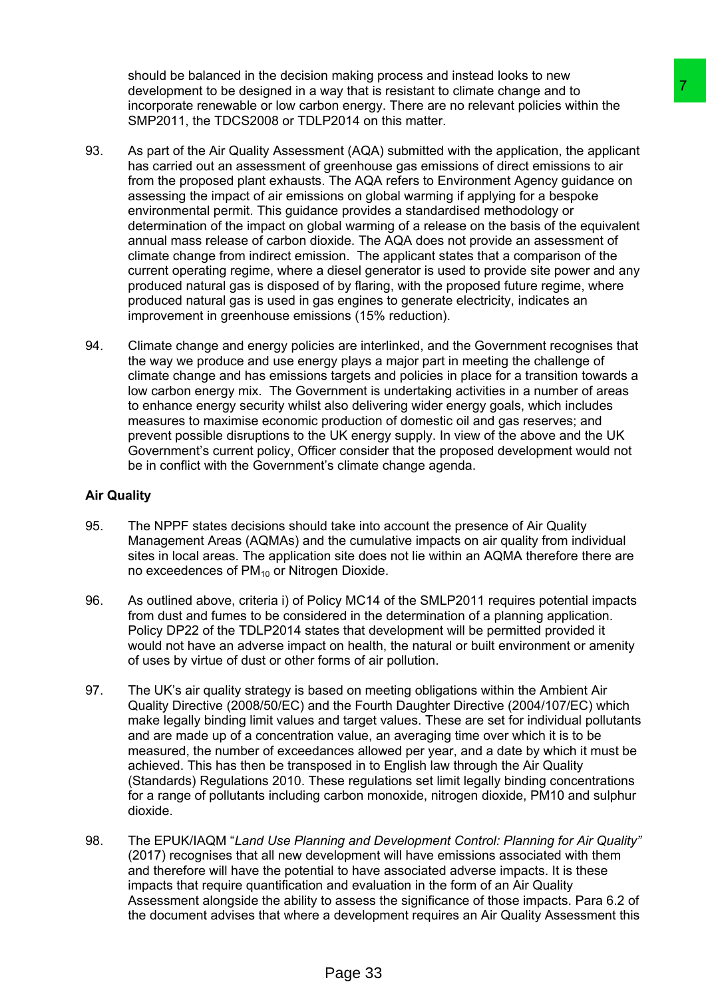should be balanced in the decision making process and instead looks to new development to be designed in a way that is resistant to climate change and to incorporate renewable or low carbon energy. There are no relevant policies within the SMP2011, the TDCS2008 or TDLP2014 on this matter.

- 93. As part of the Air Quality Assessment (AQA) submitted with the application, the applicant has carried out an assessment of greenhouse gas emissions of direct emissions to air from the proposed plant exhausts. The AQA refers to Environment Agency guidance on assessing the impact of air emissions on global warming if applying for a bespoke environmental permit. This guidance provides a standardised methodology or determination of the impact on global warming of a release on the basis of the equivalent annual mass release of carbon dioxide. The AQA does not provide an assessment of climate change from indirect emission. The applicant states that a comparison of the current operating regime, where a diesel generator is used to provide site power and any produced natural gas is disposed of by flaring, with the proposed future regime, where produced natural gas is used in gas engines to generate electricity, indicates an improvement in greenhouse emissions (15% reduction). way that is resistant to cimerate change and to<br>
they matris resistant to climate change and to<br>
on energy. There are no relevant policies with the application, the applicant<br>
end (AQA) submitted with the application, the
- 94. Climate change and energy policies are interlinked, and the Government recognises that the way we produce and use energy plays a major part in meeting the challenge of climate change and has emissions targets and policies in place for a transition towards a low carbon energy mix. The Government is undertaking activities in a number of areas to enhance energy security whilst also delivering wider energy goals, which includes measures to maximise economic production of domestic oil and gas reserves; and prevent possible disruptions to the UK energy supply. In view of the above and the UK Government's current policy, Officer consider that the proposed development would not be in conflict with the Government's climate change agenda.

### **Air Quality**

- 95. The NPPF states decisions should take into account the presence of Air Quality Management Areas (AQMAs) and the cumulative impacts on air quality from individual sites in local areas. The application site does not lie within an AQMA therefore there are no exceedences of  $PM_{10}$  or Nitrogen Dioxide.
- 96. As outlined above, criteria i) of Policy MC14 of the SMLP2011 requires potential impacts from dust and fumes to be considered in the determination of a planning application. Policy DP22 of the TDLP2014 states that development will be permitted provided it would not have an adverse impact on health, the natural or built environment or amenity of uses by virtue of dust or other forms of air pollution.
- 97. The UK's air quality strategy is based on meeting obligations within the Ambient Air Quality Directive (2008/50/EC) and the Fourth Daughter Directive (2004/107/EC) which make legally binding limit values and target values. These are set for individual pollutants and are made up of a concentration value, an averaging time over which it is to be measured, the number of exceedances allowed per year, and a date by which it must be achieved. This has then be transposed in to English law through the Air Quality (Standards) Regulations 2010. These regulations set limit legally binding concentrations for a range of pollutants including carbon monoxide, nitrogen dioxide, PM10 and sulphur dioxide.
- 98. The EPUK/IAQM "*Land Use Planning and Development Control: Planning for Air Quality"* (2017) recognises that all new development will have emissions associated with them and therefore will have the potential to have associated adverse impacts. It is these impacts that require quantification and evaluation in the form of an Air Quality Assessment alongside the ability to assess the significance of those impacts. Para 6.2 of the document advises that where a development requires an Air Quality Assessment this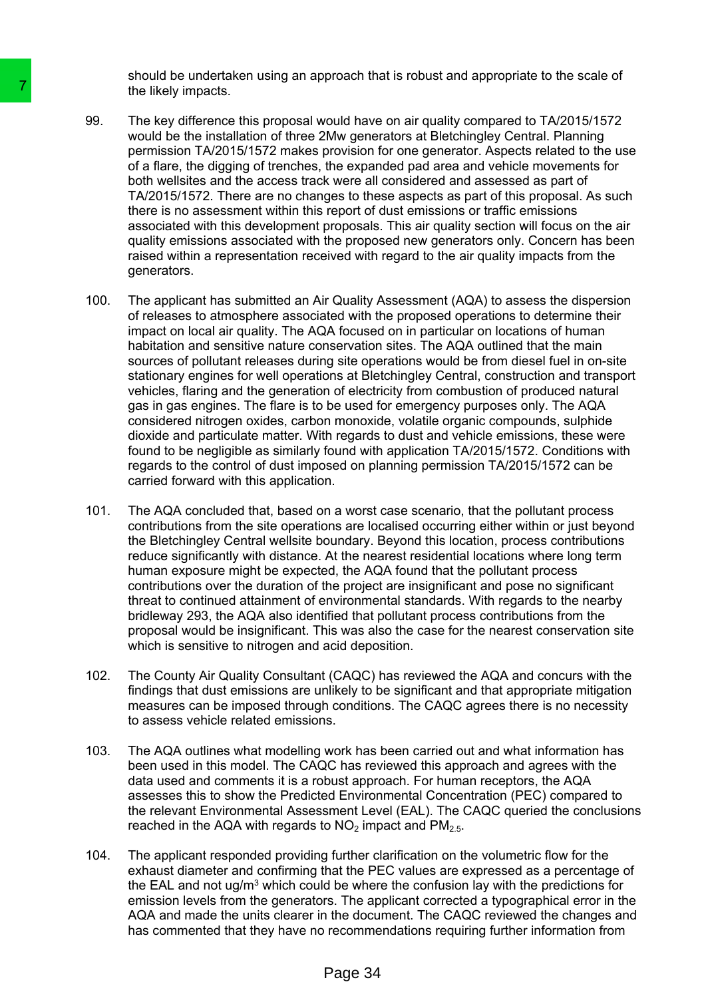should be undertaken using an approach that is robust and appropriate to the scale of the likely impacts.

- 99. The key difference this proposal would have on air quality compared to TA/2015/1572 would be the installation of three 2Mw generators at Bletchingley Central. Planning permission TA/2015/1572 makes provision for one generator. Aspects related to the use of a flare, the digging of trenches, the expanded pad area and vehicle movements for both wellsites and the access track were all considered and assessed as part of TA/2015/1572. There are no changes to these aspects as part of this proposal. As such there is no assessment within this report of dust emissions or traffic emissions associated with this development proposals. This air quality section will focus on the air quality emissions associated with the proposed new generators only. Concern has been raised within a representation received with regard to the air quality impacts from the generators.
- 100. The applicant has submitted an Air Quality Assessment (AQA) to assess the dispersion of releases to atmosphere associated with the proposed operations to determine their impact on local air quality. The AQA focused on in particular on locations of human habitation and sensitive nature conservation sites. The AQA outlined that the main sources of pollutant releases during site operations would be from diesel fuel in on-site stationary engines for well operations at Bletchingley Central, construction and transport vehicles, flaring and the generation of electricity from combustion of produced natural gas in gas engines. The flare is to be used for emergency purposes only. The AQA considered nitrogen oxides, carbon monoxide, volatile organic compounds, sulphide dioxide and particulate matter. With regards to dust and vehicle emissions, these were found to be negligible as similarly found with application TA/2015/1572. Conditions with regards to the control of dust imposed on planning permission TA/2015/1572 can be carried forward with this application. The likely impacts.<br>
99. The key difference this proposal would have would be two would be two would be well as the installation of three 2Mw general would be the installation of three 2Mw general of the comparison TAZ2015
	- 101. The AQA concluded that, based on a worst case scenario, that the pollutant process contributions from the site operations are localised occurring either within or just beyond the Bletchingley Central wellsite boundary. Beyond this location, process contributions reduce significantly with distance. At the nearest residential locations where long term human exposure might be expected, the AQA found that the pollutant process contributions over the duration of the project are insignificant and pose no significant threat to continued attainment of environmental standards. With regards to the nearby bridleway 293, the AQA also identified that pollutant process contributions from the proposal would be insignificant. This was also the case for the nearest conservation site which is sensitive to nitrogen and acid deposition.
	- 102. The County Air Quality Consultant (CAQC) has reviewed the AQA and concurs with the findings that dust emissions are unlikely to be significant and that appropriate mitigation measures can be imposed through conditions. The CAQC agrees there is no necessity to assess vehicle related emissions.
	- 103. The AQA outlines what modelling work has been carried out and what information has been used in this model. The CAQC has reviewed this approach and agrees with the data used and comments it is a robust approach. For human receptors, the AQA assesses this to show the Predicted Environmental Concentration (PEC) compared to the relevant Environmental Assessment Level (EAL). The CAQC queried the conclusions reached in the AQA with regards to  $NO<sub>2</sub>$  impact and PM<sub>2.5</sub>.
	- 104. The applicant responded providing further clarification on the volumetric flow for the exhaust diameter and confirming that the PEC values are expressed as a percentage of the EAL and not ug/m<sup>3</sup> which could be where the confusion lay with the predictions for emission levels from the generators. The applicant corrected a typographical error in the AQA and made the units clearer in the document. The CAQC reviewed the changes and has commented that they have no recommendations requiring further information from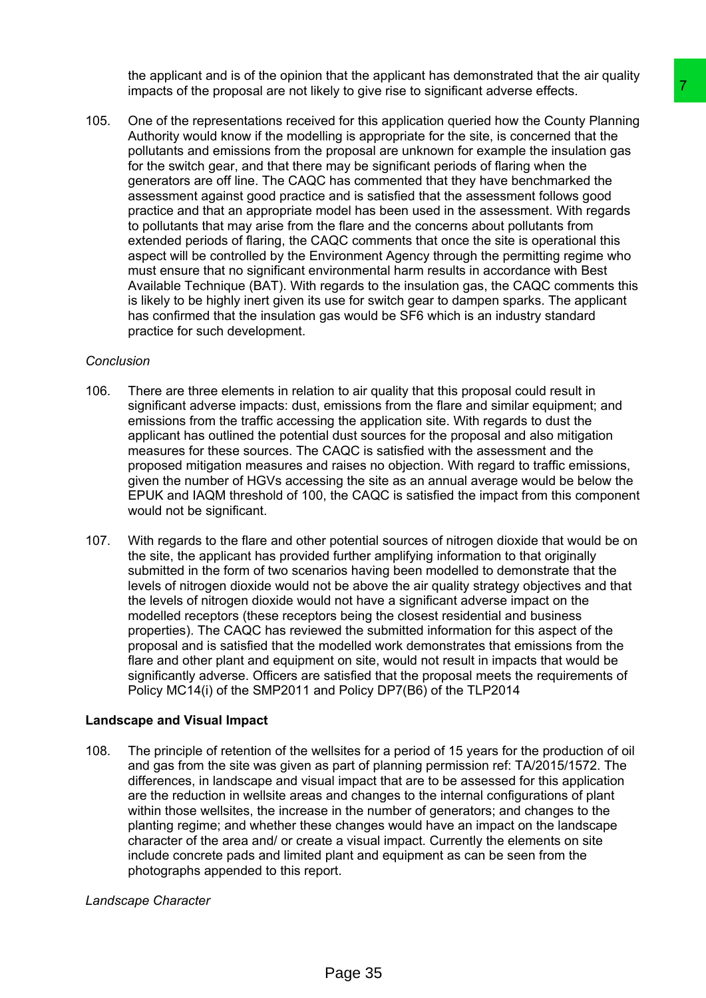the applicant and is of the opinion that the applicant has demonstrated that the air quality impacts of the proposal are not likely to give rise to significant adverse effects.

105. One of the representations received for this application queried how the County Planning Authority would know if the modelling is appropriate for the site, is concerned that the pollutants and emissions from the proposal are unknown for example the insulation gas for the switch gear, and that there may be significant periods of flaring when the generators are off line. The CAQC has commented that they have benchmarked the assessment against good practice and is satisfied that the assessment follows good practice and that an appropriate model has been used in the assessment. With regards to pollutants that may arise from the flare and the concerns about pollutants from extended periods of flaring, the CAQC comments that once the site is operational this aspect will be controlled by the Environment Agency through the permitting regime who must ensure that no significant environmental harm results in accordance with Best Available Technique (BAT). With regards to the insulation gas, the CAQC comments this is likely to be highly inert given its use for switch gear to dampen sparks. The applicant has confirmed that the insulation gas would be SF6 which is an industry standard practice for such development. by to give rise to significant adverse effects.<br>
Yo give rise to significant adverse effects.<br>
Yo give rise to significant adverse effects.<br>
Yo give rise to significant adverse effects.<br>
Ing is appropriate for the site, is

#### *Conclusion*

- 106. There are three elements in relation to air quality that this proposal could result in significant adverse impacts: dust, emissions from the flare and similar equipment; and emissions from the traffic accessing the application site. With regards to dust the applicant has outlined the potential dust sources for the proposal and also mitigation measures for these sources. The CAQC is satisfied with the assessment and the proposed mitigation measures and raises no objection. With regard to traffic emissions, given the number of HGVs accessing the site as an annual average would be below the EPUK and IAQM threshold of 100, the CAQC is satisfied the impact from this component would not be significant.
- 107. With regards to the flare and other potential sources of nitrogen dioxide that would be on the site, the applicant has provided further amplifying information to that originally submitted in the form of two scenarios having been modelled to demonstrate that the levels of nitrogen dioxide would not be above the air quality strategy objectives and that the levels of nitrogen dioxide would not have a significant adverse impact on the modelled receptors (these receptors being the closest residential and business properties). The CAQC has reviewed the submitted information for this aspect of the proposal and is satisfied that the modelled work demonstrates that emissions from the flare and other plant and equipment on site, would not result in impacts that would be significantly adverse. Officers are satisfied that the proposal meets the requirements of Policy MC14(i) of the SMP2011 and Policy DP7(B6) of the TLP2014

#### **Landscape and Visual Impact**

108. The principle of retention of the wellsites for a period of 15 years for the production of oil and gas from the site was given as part of planning permission ref: TA/2015/1572. The differences, in landscape and visual impact that are to be assessed for this application are the reduction in wellsite areas and changes to the internal configurations of plant within those wellsites, the increase in the number of generators; and changes to the planting regime; and whether these changes would have an impact on the landscape character of the area and/ or create a visual impact. Currently the elements on site include concrete pads and limited plant and equipment as can be seen from the photographs appended to this report.

### *Landscape Character*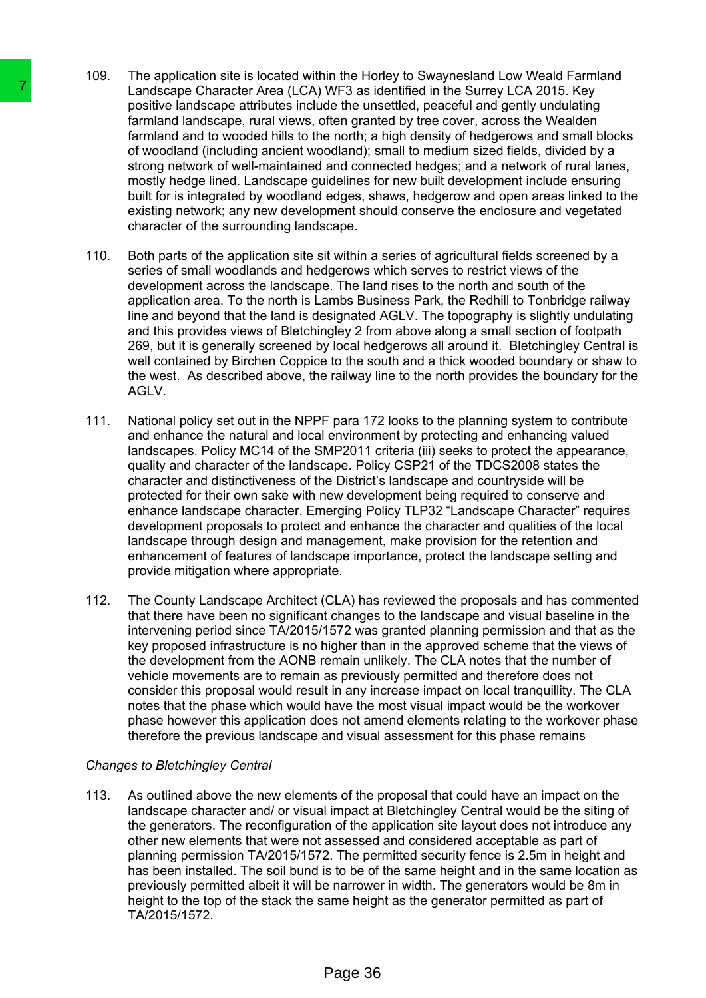- 109. The application site is located within the Horley to Swaynesland Low Weald Farmland Landscape Character Area (LCA) WF3 as identified in the Surrey LCA 2015. Key positive landscape attributes include the unsettled, peaceful and gently undulating farmland landscape, rural views, often granted by tree cover, across the Wealden farmland and to wooded hills to the north; a high density of hedgerows and small blocks of woodland (including ancient woodland); small to medium sized fields, divided by a strong network of well-maintained and connected hedges; and a network of rural lanes, mostly hedge lined. Landscape guidelines for new built development include ensuring built for is integrated by woodland edges, shaws, hedgerow and open areas linked to the existing network; any new development should conserve the enclosure and vegetated character of the surrounding landscape.
- 110. Both parts of the application site sit within a series of agricultural fields screened by a series of small woodlands and hedgerows which serves to restrict views of the development across the landscape. The land rises to the north and south of the application area. To the north is Lambs Business Park, the Redhill to Tonbridge railway line and beyond that the land is designated AGLV. The topography is slightly undulating and this provides views of Bletchingley 2 from above along a small section of footpath 269, but it is generally screened by local hedgerows all around it. Bletchingley Central is well contained by Birchen Coppice to the south and a thick wooded boundary or shaw to the west. As described above, the railway line to the north provides the boundary for the AGLV.
- 111. National policy set out in the NPPF para 172 looks to the planning system to contribute and enhance the natural and local environment by protecting and enhancing valued landscapes. Policy MC14 of the SMP2011 criteria (iii) seeks to protect the appearance, quality and character of the landscape. Policy CSP21 of the TDCS2008 states the character and distinctiveness of the District's landscape and countryside will be protected for their own sake with new development being required to conserve and enhance landscape character. Emerging Policy TLP32 "Landscape Character" requires development proposals to protect and enhance the character and qualities of the local landscape through design and management, make provision for the retention and enhancement of features of landscape importance, protect the landscape setting and provide mitigation where appropriate. The analog contact Area (I.C.A) WF3 as is particular application of the stationary particular the magnifical match and the magnifical match of wordfall (including ancient) of the match of the match of the match of the matc
	- 112. The County Landscape Architect (CLA) has reviewed the proposals and has commented that there have been no significant changes to the landscape and visual baseline in the intervening period since TA/2015/1572 was granted planning permission and that as the key proposed infrastructure is no higher than in the approved scheme that the views of the development from the AONB remain unlikely. The CLA notes that the number of vehicle movements are to remain as previously permitted and therefore does not consider this proposal would result in any increase impact on local tranquillity. The CLA notes that the phase which would have the most visual impact would be the workover phase however this application does not amend elements relating to the workover phase therefore the previous landscape and visual assessment for this phase remains

### *Changes to Bletchingley Central*

113. As outlined above the new elements of the proposal that could have an impact on the landscape character and/ or visual impact at Bletchingley Central would be the siting of the generators. The reconfiguration of the application site layout does not introduce any other new elements that were not assessed and considered acceptable as part of planning permission TA/2015/1572. The permitted security fence is 2.5m in height and has been installed. The soil bund is to be of the same height and in the same location as previously permitted albeit it will be narrower in width. The generators would be 8m in height to the top of the stack the same height as the generator permitted as part of TA/2015/1572.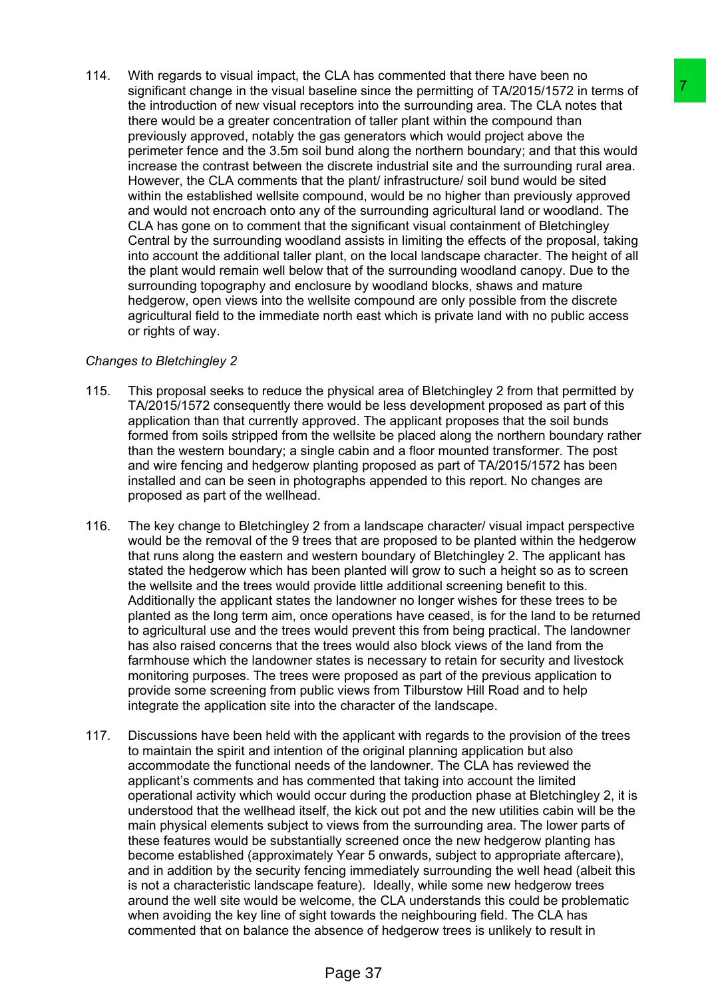- 
- 114. With regards to visual impact, the CLA has commented that there have been no significant change in the visual baseline since the permitting of TA/2015/1572 in terms of the introduction of new visual receptors into the surrounding area. The CLA notes that there would be a greater concentration of taller plant within the compound than previously approved, notably the gas generators which would project above the perimeter fence and the 3.5m soil bund along the northern boundary; and that this would increase the contrast between the discrete industrial site and the surrounding rural area. However, the CLA comments that the plant/ infrastructure/ soil bund would be sited within the established wellsite compound, would be no higher than previously approved and would not encroach onto any of the surrounding agricultural land or woodland. The CLA has gone on to comment that the significant visual containment of Bletchingley Central by the surrounding woodland assists in limiting the effects of the proposal, taking into account the additional taller plant, on the local landscape character. The height of all the plant would remain well below that of the surrounding woodland canopy. Due to the surrounding topography and enclosure by woodland blocks, shaws and mature hedgerow, open views into the wellsite compound are only possible from the discrete agricultural field to the immediate north east which is private land with no public access or rights of way. selline since the permitting of TA/2015/5/15/22 in terms of<br>selline since the permitting of TA/2015/15/22 in terms of<br>plots into the permitting mean The CLA motes that<br>also disting plan to the permitting the compound than<br>

# *Changes to Bletchingley 2*

- 115. This proposal seeks to reduce the physical area of Bletchingley 2 from that permitted by TA/2015/1572 consequently there would be less development proposed as part of this application than that currently approved. The applicant proposes that the soil bunds formed from soils stripped from the wellsite be placed along the northern boundary rather than the western boundary; a single cabin and a floor mounted transformer. The post and wire fencing and hedgerow planting proposed as part of TA/2015/1572 has been installed and can be seen in photographs appended to this report. No changes are proposed as part of the wellhead.
- 116. The key change to Bletchingley 2 from a landscape character/ visual impact perspective would be the removal of the 9 trees that are proposed to be planted within the hedgerow that runs along the eastern and western boundary of Bletchingley 2. The applicant has stated the hedgerow which has been planted will grow to such a height so as to screen the wellsite and the trees would provide little additional screening benefit to this. Additionally the applicant states the landowner no longer wishes for these trees to be planted as the long term aim, once operations have ceased, is for the land to be returned to agricultural use and the trees would prevent this from being practical. The landowner has also raised concerns that the trees would also block views of the land from the farmhouse which the landowner states is necessary to retain for security and livestock monitoring purposes. The trees were proposed as part of the previous application to provide some screening from public views from Tilburstow Hill Road and to help integrate the application site into the character of the landscape.
- 117. Discussions have been held with the applicant with regards to the provision of the trees to maintain the spirit and intention of the original planning application but also accommodate the functional needs of the landowner. The CLA has reviewed the applicant's comments and has commented that taking into account the limited operational activity which would occur during the production phase at Bletchingley 2, it is understood that the wellhead itself, the kick out pot and the new utilities cabin will be the main physical elements subject to views from the surrounding area. The lower parts of these features would be substantially screened once the new hedgerow planting has become established (approximately Year 5 onwards, subject to appropriate aftercare), and in addition by the security fencing immediately surrounding the well head (albeit this is not a characteristic landscape feature). Ideally, while some new hedgerow trees around the well site would be welcome, the CLA understands this could be problematic when avoiding the key line of sight towards the neighbouring field. The CLA has commented that on balance the absence of hedgerow trees is unlikely to result in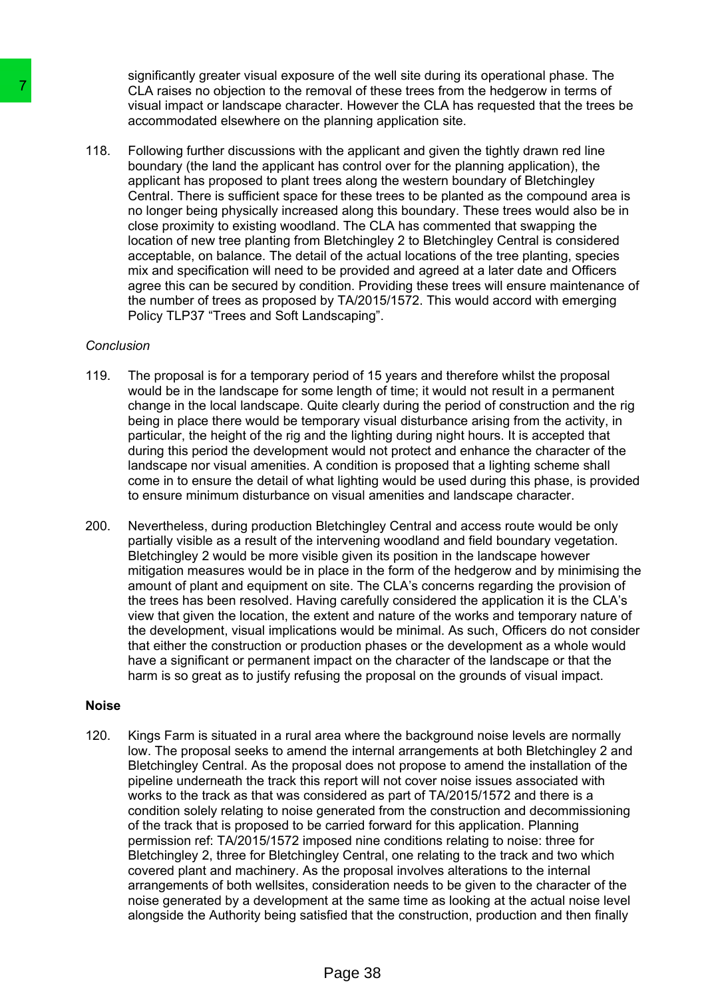significantly greater visual exposure of the well site during its operational phase. The CLA raises no objection to the removal of these trees from the hedgerow in terms of visual impact or landscape character. However the CLA has requested that the trees be accommodated elsewhere on the planning application site.

118. Following further discussions with the applicant and given the tightly drawn red line boundary (the land the applicant has control over for the planning application), the applicant has proposed to plant trees along the western boundary of Bletchingley Central. There is sufficient space for these trees to be planted as the compound area is no longer being physically increased along this boundary. These trees would also be in close proximity to existing woodland. The CLA has commented that swapping the location of new tree planting from Bletchingley 2 to Bletchingley Central is considered acceptable, on balance. The detail of the actual locations of the tree planting, species mix and specification will need to be provided and agreed at a later date and Officers agree this can be secured by condition. Providing these trees will ensure maintenance of the number of trees as proposed by TA/2015/1572. This would accord with emerging Policy TLP37 "Trees and Soft Landscaping".

### *Conclusion*

- 119. The proposal is for a temporary period of 15 years and therefore whilst the proposal would be in the landscape for some length of time; it would not result in a permanent change in the local landscape. Quite clearly during the period of construction and the rig being in place there would be temporary visual disturbance arising from the activity, in particular, the height of the rig and the lighting during night hours. It is accepted that during this period the development would not protect and enhance the character of the landscape nor visual amenities. A condition is proposed that a lighting scheme shall come in to ensure the detail of what lighting would be used during this phase, is provided to ensure minimum disturbance on visual amenities and landscape character.
- 200. Nevertheless, during production Bletchingley Central and access route would be only partially visible as a result of the intervening woodland and field boundary vegetation. Bletchingley 2 would be more visible given its position in the landscape however mitigation measures would be in place in the form of the hedgerow and by minimising the amount of plant and equipment on site. The CLA's concerns regarding the provision of the trees has been resolved. Having carefully considered the application it is the CLA's view that given the location, the extent and nature of the works and temporary nature of the development, visual implications would be minimal. As such, Officers do not consider that either the construction or production phases or the development as a whole would have a significant or permanent impact on the character of the landscape or that the harm is so great as to justify refusing the proposal on the grounds of visual impact.

### **Noise**

120. Kings Farm is situated in a rural area where the background noise levels are normally low. The proposal seeks to amend the internal arrangements at both Bletchingley 2 and Bletchingley Central. As the proposal does not propose to amend the installation of the pipeline underneath the track this report will not cover noise issues associated with works to the track as that was considered as part of TA/2015/1572 and there is a condition solely relating to noise generated from the construction and decommissioning of the track that is proposed to be carried forward for this application. Planning permission ref: TA/2015/1572 imposed nine conditions relating to noise: three for Bletchingley 2, three for Bletchingley Central, one relating to the track and two which covered plant and machinery. As the proposal involves alterations to the internal arrangements of both wellsites, consideration needs to be given to the character of the noise generated by a development at the same time as looking at the actual noise level alongside the Authority being satisfied that the construction, production and then finally The contract of the most of the moving of the most of the control of the ferromal of the control of the control of the control of the control of the control of the control operator because to accommodate desember on the p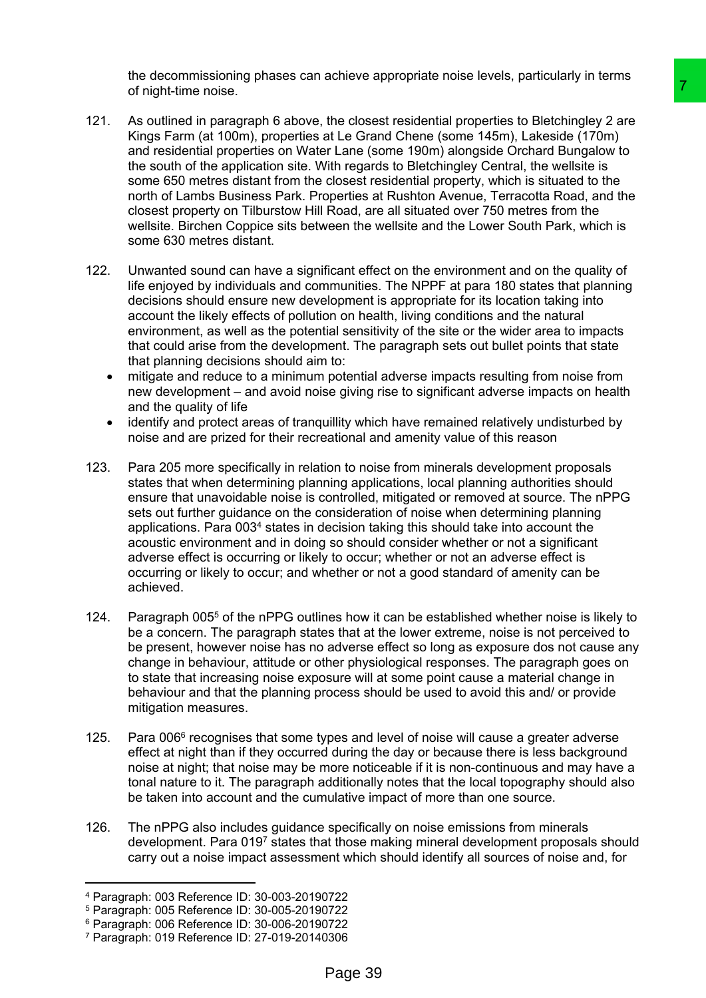the decommissioning phases can achieve appropriate noise levels, particularly in terms of night-time noise.

- 121. As outlined in paragraph 6 above, the closest residential properties to Bletchingley 2 are Kings Farm (at 100m), properties at Le Grand Chene (some 145m), Lakeside (170m) and residential properties on Water Lane (some 190m) alongside Orchard Bungalow to the south of the application site. With regards to Bletchingley Central, the wellsite is some 650 metres distant from the closest residential property, which is situated to the north of Lambs Business Park. Properties at Rushton Avenue, Terracotta Road, and the closest property on Tilburstow Hill Road, are all situated over 750 metres from the wellsite. Birchen Coppice sits between the wellsite and the Lower South Park, which is some 630 metres distant. The closest residential properties to Bletchingley 2 are<br>the closest residential properties to Bletchingley 2 are<br>the Caraft Chene (some 145m), Lakeside (170m)<br>tilth regards to Bletchingley Central, the wellste is<br>closest
- 122. Unwanted sound can have a significant effect on the environment and on the quality of life enjoyed by individuals and communities. The NPPF at para 180 states that planning decisions should ensure new development is appropriate for its location taking into account the likely effects of pollution on health, living conditions and the natural environment, as well as the potential sensitivity of the site or the wider area to impacts that could arise from the development. The paragraph sets out bullet points that state that planning decisions should aim to:
	- mitigate and reduce to a minimum potential adverse impacts resulting from noise from new development – and avoid noise giving rise to significant adverse impacts on health and the quality of life
	- identify and protect areas of tranquillity which have remained relatively undisturbed by noise and are prized for their recreational and amenity value of this reason
- 123. Para 205 more specifically in relation to noise from minerals development proposals states that when determining planning applications, local planning authorities should ensure that unavoidable noise is controlled, mitigated or removed at source. The nPPG sets out further guidance on the consideration of noise when determining planning applications. Para 003<sup>4</sup> states in decision taking this should take into account the acoustic environment and in doing so should consider whether or not a significant adverse effect is occurring or likely to occur; whether or not an adverse effect is occurring or likely to occur; and whether or not a good standard of amenity can be achieved.
- 124. Paragraph 005<sup>5</sup> of the nPPG outlines how it can be established whether noise is likely to be a concern. The paragraph states that at the lower extreme, noise is not perceived to be present, however noise has no adverse effect so long as exposure dos not cause any change in behaviour, attitude or other physiological responses. The paragraph goes on to state that increasing noise exposure will at some point cause a material change in behaviour and that the planning process should be used to avoid this and/ or provide mitigation measures.
- 125. Para 006<sup>6</sup> recognises that some types and level of noise will cause a greater adverse effect at night than if they occurred during the day or because there is less background noise at night; that noise may be more noticeable if it is non-continuous and may have a tonal nature to it. The paragraph additionally notes that the local topography should also be taken into account and the cumulative impact of more than one source.
- 126. The nPPG also includes guidance specifically on noise emissions from minerals development. Para 019<sup>7</sup> states that those making mineral development proposals should carry out a noise impact assessment which should identify all sources of noise and, for

<sup>4</sup> Paragraph: 003 Reference ID: 30-003-20190722

<sup>5</sup> Paragraph: 005 Reference ID: 30-005-20190722

<sup>6</sup> Paragraph: 006 Reference ID: 30-006-20190722

<sup>7</sup> Paragraph: 019 Reference ID: 27-019-20140306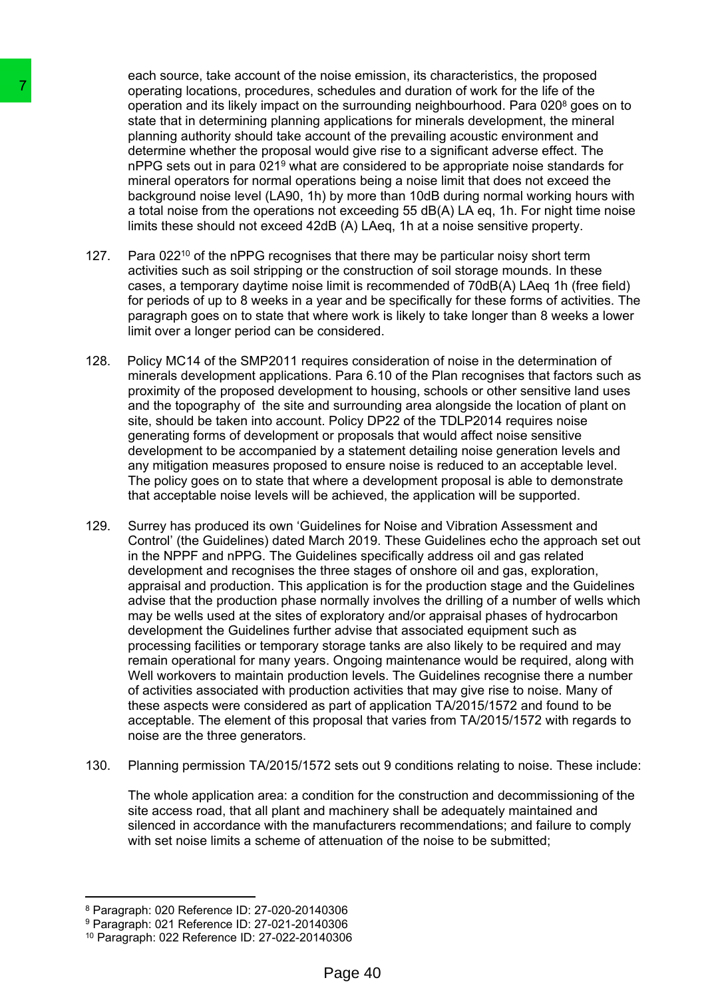each source, take account of the noise emission, its characteristics, the proposed operating locations, procedures, schedules and duration of work for the life of the operation and its likely impact on the surrounding neighbourhood. Para 020<sup>8</sup> goes on to state that in determining planning applications for minerals development, the mineral planning authority should take account of the prevailing acoustic environment and determine whether the proposal would give rise to a significant adverse effect. The nPPG sets out in para 021<sup>9</sup> what are considered to be appropriate noise standards for mineral operators for normal operations being a noise limit that does not exceed the background noise level (LA90, 1h) by more than 10dB during normal working hours with a total noise from the operations not exceeding 55 dB(A) LA eq, 1h. For night time noise limits these should not exceed 42dB (A) LAeq, 1h at a noise sensitive property.

- 127. Para 022<sup>10</sup> of the nPPG recognises that there may be particular noisy short term activities such as soil stripping or the construction of soil storage mounds. In these cases, a temporary daytime noise limit is recommended of 70dB(A) LAeq 1h (free field) for periods of up to 8 weeks in a year and be specifically for these forms of activities. The paragraph goes on to state that where work is likely to take longer than 8 weeks a lower limit over a longer period can be considered.
- 128. Policy MC14 of the SMP2011 requires consideration of noise in the determination of minerals development applications. Para 6.10 of the Plan recognises that factors such as proximity of the proposed development to housing, schools or other sensitive land uses and the topography of the site and surrounding area alongside the location of plant on site, should be taken into account. Policy DP22 of the TDLP2014 requires noise generating forms of development or proposals that would affect noise sensitive development to be accompanied by a statement detailing noise generation levels and any mitigation measures proposed to ensure noise is reduced to an acceptable level. The policy goes on to state that where a development proposal is able to demonstrate that acceptable noise levels will be achieved, the application will be supported.
- 129. Surrey has produced its own 'Guidelines for Noise and Vibration Assessment and Control' (the Guidelines) dated March 2019. These Guidelines echo the approach set out in the NPPF and nPPG. The Guidelines specifically address oil and gas related development and recognises the three stages of onshore oil and gas, exploration, appraisal and production. This application is for the production stage and the Guidelines advise that the production phase normally involves the drilling of a number of wells which may be wells used at the sites of exploratory and/or appraisal phases of hydrocarbon development the Guidelines further advise that associated equipment such as processing facilities or temporary storage tanks are also likely to be required and may remain operational for many years. Ongoing maintenance would be required, along with Well workovers to maintain production levels. The Guidelines recognise there a number of activities associated with production activities that may give rise to noise. Many of these aspects were considered as part of application TA/2015/1572 and found to be acceptable. The element of this proposal that varies from TA/2015/1572 with regards to noise are the three generators. To constrain (pcalmons, procedures, schedules and constrained pcalmons and constrained in the armore operation and its likely impact on the surrou planning authority should all the arc constrained pair and the proposal wo
	- 130. Planning permission TA/2015/1572 sets out 9 conditions relating to noise. These include:

The whole application area: a condition for the construction and decommissioning of the site access road, that all plant and machinery shall be adequately maintained and silenced in accordance with the manufacturers recommendations; and failure to comply with set noise limits a scheme of attenuation of the noise to be submitted:

<sup>8</sup> Paragraph: 020 Reference ID: 27-020-20140306

<sup>9</sup> Paragraph: 021 Reference ID: 27-021-20140306

<sup>10</sup> Paragraph: 022 Reference ID: 27-022-20140306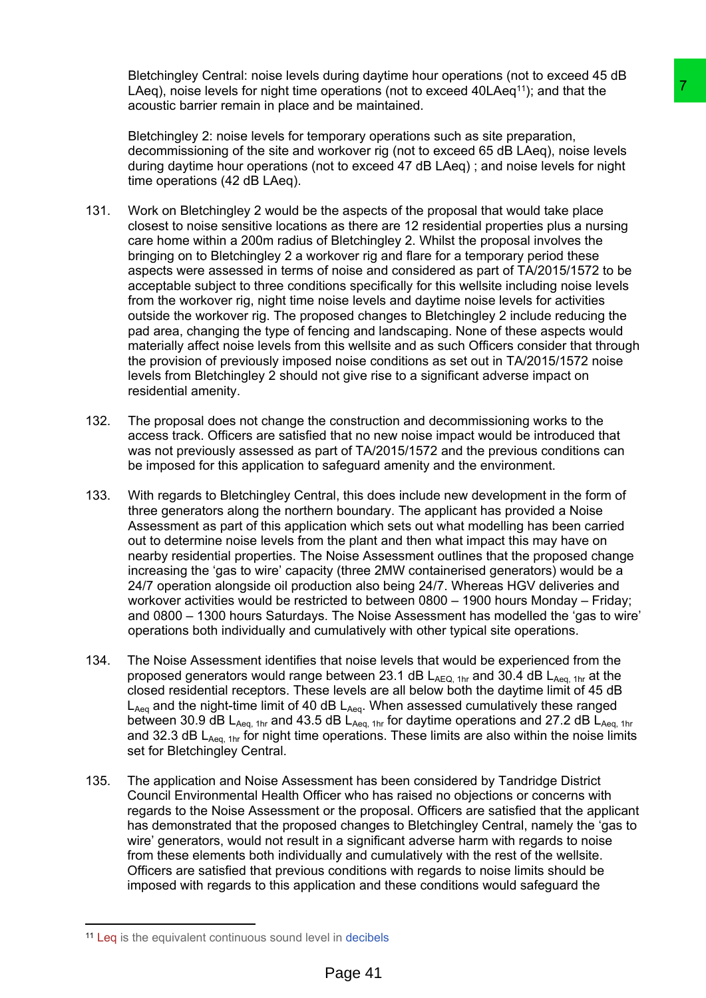Bletchingley Central: noise levels during daytime hour operations (not to exceed 45 dB LAeq), noise levels for night time operations (not to exceed 40LAeq<sup>11</sup>); and that the acoustic barrier remain in place and be maintained.

Bletchingley 2: noise levels for temporary operations such as site preparation, decommissioning of the site and workover rig (not to exceed 65 dB LAeq), noise levels during daytime hour operations (not to exceed 47 dB LAeq) ; and noise levels for night time operations (42 dB LAeq).

- 131. Work on Bletchingley 2 would be the aspects of the proposal that would take place closest to noise sensitive locations as there are 12 residential properties plus a nursing care home within a 200m radius of Bletchingley 2. Whilst the proposal involves the bringing on to Bletchingley 2 a workover rig and flare for a temporary period these aspects were assessed in terms of noise and considered as part of TA/2015/1572 to be acceptable subject to three conditions specifically for this wellsite including noise levels from the workover rig, night time noise levels and daytime noise levels for activities outside the workover rig. The proposed changes to Bletchingley 2 include reducing the pad area, changing the type of fencing and landscaping. None of these aspects would materially affect noise levels from this wellsite and as such Officers consider that through the provision of previously imposed noise conditions as set out in TA/2015/1572 noise levels from Bletchingley 2 should not give rise to a significant adverse impact on residential amenity. operations (not to exceed 40LAeq<sup>11</sup>), and that the<br>operations (not to exceed 40LAeq<sup>11</sup>), and that the<br>user maintained.<br>The maintained such as site preparation,<br>nontwover rig (not to exceed 65 dB LAeq), noise levels<br>to th
- 132. The proposal does not change the construction and decommissioning works to the access track. Officers are satisfied that no new noise impact would be introduced that was not previously assessed as part of TA/2015/1572 and the previous conditions can be imposed for this application to safeguard amenity and the environment.
- 133. With regards to Bletchingley Central, this does include new development in the form of three generators along the northern boundary. The applicant has provided a Noise Assessment as part of this application which sets out what modelling has been carried out to determine noise levels from the plant and then what impact this may have on nearby residential properties. The Noise Assessment outlines that the proposed change increasing the 'gas to wire' capacity (three 2MW containerised generators) would be a 24/7 operation alongside oil production also being 24/7. Whereas HGV deliveries and workover activities would be restricted to between 0800 – 1900 hours Monday – Friday; and 0800 – 1300 hours Saturdays. The Noise Assessment has modelled the 'gas to wire' operations both individually and cumulatively with other typical site operations.
- 134. The Noise Assessment identifies that noise levels that would be experienced from the proposed generators would range between 23.1 dB  $L_{AEG, 1hr}$  and 30.4 dB  $L_{Aea, 1hr}$  at the closed residential receptors. These levels are all below both the daytime limit of 45 dB  $L_{Aea}$  and the night-time limit of 40 dB  $L_{Aea}$ . When assessed cumulatively these ranged between 30.9 dB L<sub>Aeq, 1hr</sub> and 43.5 dB L<sub>Aeq, 1hr</sub> for daytime operations and 27.2 dB L<sub>Aeq, 1hr</sub> and 32.3 dB  $L_{Aeq, 1hr}$  for night time operations. These limits are also within the noise limits set for Bletchingley Central.
- 135. The application and Noise Assessment has been considered by Tandridge District Council Environmental Health Officer who has raised no objections or concerns with regards to the Noise Assessment or the proposal. Officers are satisfied that the applicant has demonstrated that the proposed changes to Bletchingley Central, namely the 'gas to wire' generators, would not result in a significant adverse harm with regards to noise from these elements both individually and cumulatively with the rest of the wellsite. Officers are satisfied that previous conditions with regards to noise limits should be imposed with regards to this application and these conditions would safeguard the

<sup>11</sup> Leq is the equivalent continuous sound level in [decibels](http://www.acoustic-glossary.co.uk/definitions-d.htm#decibel)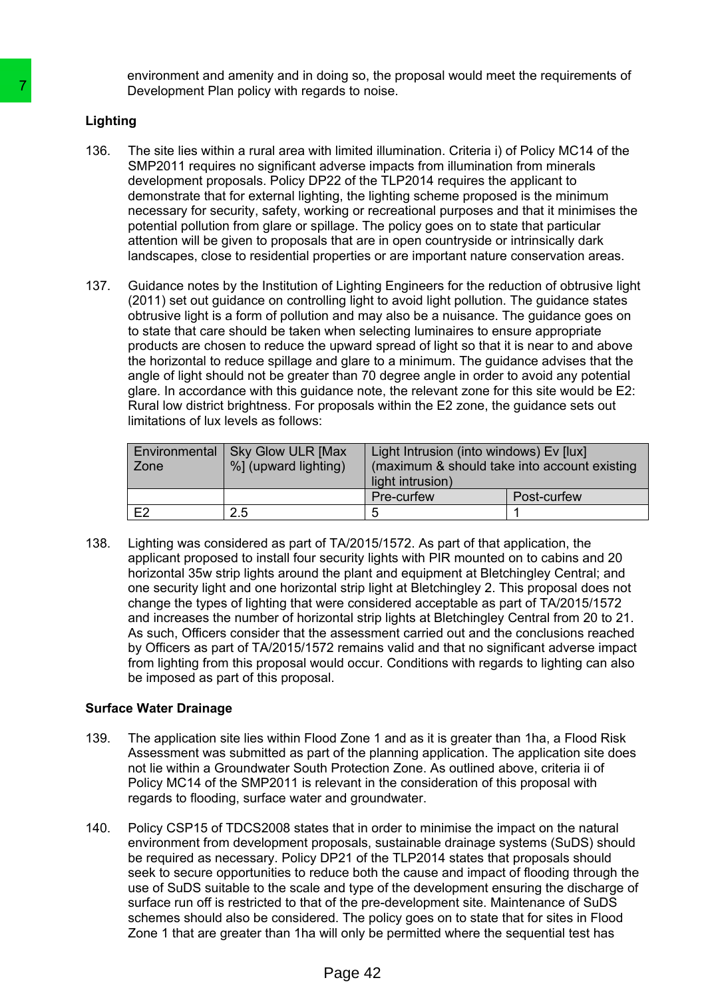environment and amenity and in doing so, the proposal would meet the requirements of Development Plan policy with regards to noise.

### **Lighting**

- 136. The site lies within a rural area with limited illumination. Criteria i) of Policy MC14 of the SMP2011 requires no significant adverse impacts from illumination from minerals development proposals. Policy DP22 of the TLP2014 requires the applicant to demonstrate that for external lighting, the lighting scheme proposed is the minimum necessary for security, safety, working or recreational purposes and that it minimises the potential pollution from glare or spillage. The policy goes on to state that particular attention will be given to proposals that are in open countryside or intrinsically dark landscapes, close to residential properties or are important nature conservation areas.
- 137. Guidance notes by the Institution of Lighting Engineers for the reduction of obtrusive light (2011) set out guidance on controlling light to avoid light pollution. The guidance states obtrusive light is a form of pollution and may also be a nuisance. The guidance goes on to state that care should be taken when selecting luminaires to ensure appropriate products are chosen to reduce the upward spread of light so that it is near to and above the horizontal to reduce spillage and glare to a minimum. The guidance advises that the angle of light should not be greater than 70 degree angle in order to avoid any potential glare. In accordance with this guidance note, the relevant zone for this site would be E2: Rural low district brightness. For proposals within the E2 zone, the guidance sets out limitations of lux levels as follows:

| Environmental<br>Zone | <b>Sky Glow ULR [Max</b><br>%] (upward lighting) | Light Intrusion (into windows) Ev [lux]<br>(maximum & should take into account existing<br>light intrusion) |             |
|-----------------------|--------------------------------------------------|-------------------------------------------------------------------------------------------------------------|-------------|
|                       |                                                  | Pre-curfew                                                                                                  | Post-curfew |
| F2.                   | 2.5                                              | 5                                                                                                           |             |

138. Lighting was considered as part of TA/2015/1572. As part of that application, the applicant proposed to install four security lights with PIR mounted on to cabins and 20 horizontal 35w strip lights around the plant and equipment at Bletchingley Central; and one security light and one horizontal strip light at Bletchingley 2. This proposal does not change the types of lighting that were considered acceptable as part of TA/2015/1572 and increases the number of horizontal strip lights at Bletchingley Central from 20 to 21. As such, Officers consider that the assessment carried out and the conclusions reached by Officers as part of TA/2015/1572 remains valid and that no significant adverse impact from lighting from this proposal would occur. Conditions with regards to lighting can also be imposed as part of this proposal. The site is the site within a rural area with limited and the page of the SMP2011 requires no significant adverse in development proposals. Policy DP22 of the endomorphic processor of the mechanical mechanic processor of

### **Surface Water Drainage**

- 139. The application site lies within Flood Zone 1 and as it is greater than 1ha, a Flood Risk Assessment was submitted as part of the planning application. The application site does not lie within a Groundwater South Protection Zone. As outlined above, criteria ii of Policy MC14 of the SMP2011 is relevant in the consideration of this proposal with regards to flooding, surface water and groundwater.
- 140. Policy CSP15 of TDCS2008 states that in order to minimise the impact on the natural environment from development proposals, sustainable drainage systems (SuDS) should be required as necessary. Policy DP21 of the TLP2014 states that proposals should seek to secure opportunities to reduce both the cause and impact of flooding through the use of SuDS suitable to the scale and type of the development ensuring the discharge of surface run off is restricted to that of the pre-development site. Maintenance of SuDS schemes should also be considered. The policy goes on to state that for sites in Flood Zone 1 that are greater than 1ha will only be permitted where the sequential test has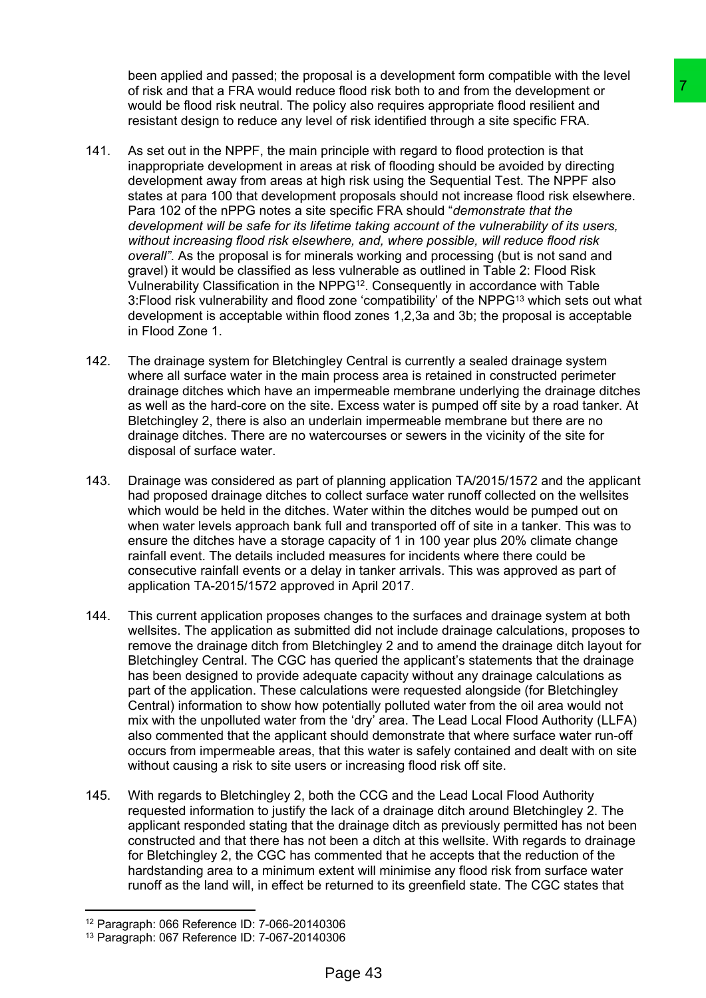been applied and passed; the proposal is a development form compatible with the level of risk and that a FRA would reduce flood risk both to and from the development or would be flood risk neutral. The policy also requires appropriate flood resilient and resistant design to reduce any level of risk identified through a site specific FRA.

- 141. As set out in the NPPF, the main principle with regard to flood protection is that inappropriate development in areas at risk of flooding should be avoided by directing development away from areas at high risk using the Sequential Test. The NPPF also states at para 100 that development proposals should not increase flood risk elsewhere. Para 102 of the nPPG notes a site specific FRA should "*demonstrate that the development will be safe for its lifetime taking account of the vulnerability of its users, without increasing flood risk elsewhere, and, where possible, will reduce flood risk overall"*. As the proposal is for minerals working and processing (but is not sand and gravel) it would be classified as less vulnerable as outlined in Table 2: Flood Risk Vulnerability Classification in the NPPG<sup>12</sup> . Consequently in accordance with Table 3:Flood risk vulnerability and flood zone 'compatibility' of the NPPG<sup>13</sup> which sets out what development is acceptable within flood zones 1,2,3a and 3b; the proposal is acceptable in Flood Zone 1. be flood risk both the and from the development of the specifies that be the condition and form the development of the specifies that of this derivative the paper of the off in the statistical through a state specific FRA.
- 142. The drainage system for Bletchingley Central is currently a sealed drainage system where all surface water in the main process area is retained in constructed perimeter drainage ditches which have an impermeable membrane underlying the drainage ditches as well as the hard-core on the site. Excess water is pumped off site by a road tanker. At Bletchingley 2, there is also an underlain impermeable membrane but there are no drainage ditches. There are no watercourses or sewers in the vicinity of the site for disposal of surface water.
- 143. Drainage was considered as part of planning application TA/2015/1572 and the applicant had proposed drainage ditches to collect surface water runoff collected on the wellsites which would be held in the ditches. Water within the ditches would be pumped out on when water levels approach bank full and transported off of site in a tanker. This was to ensure the ditches have a storage capacity of 1 in 100 year plus 20% climate change rainfall event. The details included measures for incidents where there could be consecutive rainfall events or a delay in tanker arrivals. This was approved as part of application TA-2015/1572 approved in April 2017.
- 144. This current application proposes changes to the surfaces and drainage system at both wellsites. The application as submitted did not include drainage calculations, proposes to remove the drainage ditch from Bletchingley 2 and to amend the drainage ditch layout for Bletchingley Central. The CGC has queried the applicant's statements that the drainage has been designed to provide adequate capacity without any drainage calculations as part of the application. These calculations were requested alongside (for Bletchingley Central) information to show how potentially polluted water from the oil area would not mix with the unpolluted water from the 'dry' area. The Lead Local Flood Authority (LLFA) also commented that the applicant should demonstrate that where surface water run-off occurs from impermeable areas, that this water is safely contained and dealt with on site without causing a risk to site users or increasing flood risk off site.
- 145. With regards to Bletchingley 2, both the CCG and the Lead Local Flood Authority requested information to justify the lack of a drainage ditch around Bletchingley 2. The applicant responded stating that the drainage ditch as previously permitted has not been constructed and that there has not been a ditch at this wellsite. With regards to drainage for Bletchingley 2, the CGC has commented that he accepts that the reduction of the hardstanding area to a minimum extent will minimise any flood risk from surface water runoff as the land will, in effect be returned to its greenfield state. The CGC states that

<sup>12</sup> Paragraph: 066 Reference ID: 7-066-20140306

<sup>13</sup> Paragraph: 067 Reference ID: 7-067-20140306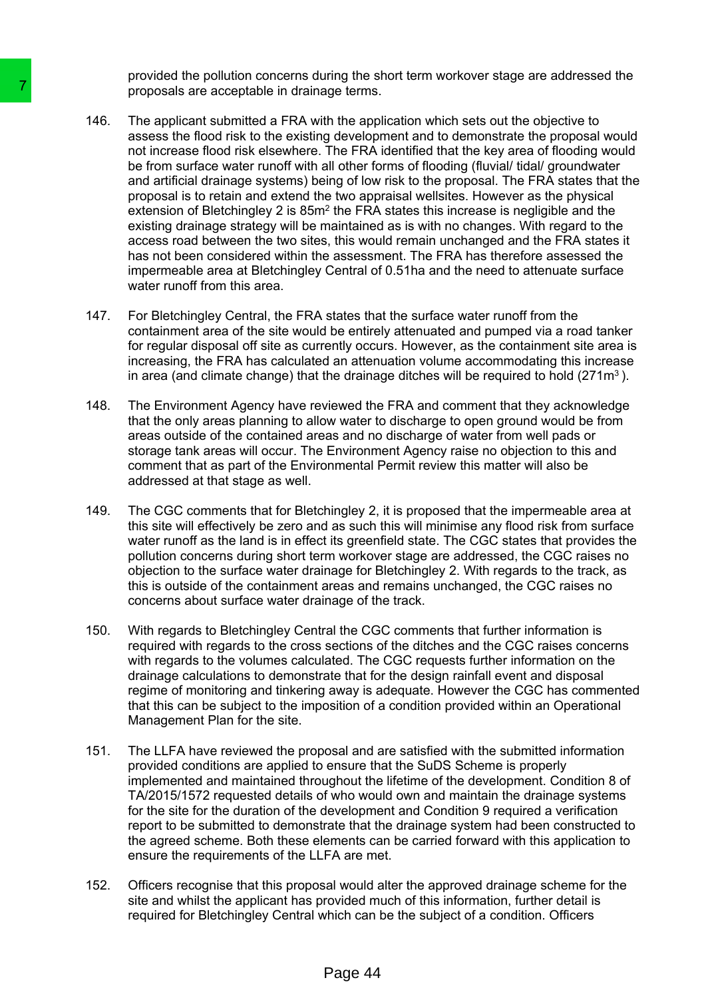provided the pollution concerns during the short term workover stage are addressed the proposals are acceptable in drainage terms.

- 146. The applicant submitted a FRA with the application which sets out the objective to assess the flood risk to the existing development and to demonstrate the proposal would not increase flood risk elsewhere. The FRA identified that the key area of flooding would be from surface water runoff with all other forms of flooding (fluvial/ tidal/ groundwater and artificial drainage systems) being of low risk to the proposal. The FRA states that the proposal is to retain and extend the two appraisal wellsites. However as the physical extension of Bletchingley 2 is  $85m<sup>2</sup>$  the FRA states this increase is negligible and the existing drainage strategy will be maintained as is with no changes. With regard to the access road between the two sites, this would remain unchanged and the FRA states it has not been considered within the assessment. The FRA has therefore assessed the impermeable area at Bletchingley Central of 0.51ha and the need to attenuate surface water runoff from this area. Transpossals are acceptable in drainage terms.<br>The papicalism is chemical and FRA with the applicantic and FRA with the applicantic and infected food risk televents. The FRA with the applicant proposal is to relation and e
	- 147. For Bletchingley Central, the FRA states that the surface water runoff from the containment area of the site would be entirely attenuated and pumped via a road tanker for regular disposal off site as currently occurs. However, as the containment site area is increasing, the FRA has calculated an attenuation volume accommodating this increase in area (and climate change) that the drainage ditches will be required to hold  $(271m<sup>3</sup>)$ .
	- 148. The Environment Agency have reviewed the FRA and comment that they acknowledge that the only areas planning to allow water to discharge to open ground would be from areas outside of the contained areas and no discharge of water from well pads or storage tank areas will occur. The Environment Agency raise no objection to this and comment that as part of the Environmental Permit review this matter will also be addressed at that stage as well.
	- 149. The CGC comments that for Bletchingley 2, it is proposed that the impermeable area at this site will effectively be zero and as such this will minimise any flood risk from surface water runoff as the land is in effect its greenfield state. The CGC states that provides the pollution concerns during short term workover stage are addressed, the CGC raises no objection to the surface water drainage for Bletchingley 2. With regards to the track, as this is outside of the containment areas and remains unchanged, the CGC raises no concerns about surface water drainage of the track.
	- 150. With regards to Bletchingley Central the CGC comments that further information is required with regards to the cross sections of the ditches and the CGC raises concerns with regards to the volumes calculated. The CGC requests further information on the drainage calculations to demonstrate that for the design rainfall event and disposal regime of monitoring and tinkering away is adequate. However the CGC has commented that this can be subject to the imposition of a condition provided within an Operational Management Plan for the site.
	- 151. The LLFA have reviewed the proposal and are satisfied with the submitted information provided conditions are applied to ensure that the SuDS Scheme is properly implemented and maintained throughout the lifetime of the development. Condition 8 of TA/2015/1572 requested details of who would own and maintain the drainage systems for the site for the duration of the development and Condition 9 required a verification report to be submitted to demonstrate that the drainage system had been constructed to the agreed scheme. Both these elements can be carried forward with this application to ensure the requirements of the LLFA are met.
	- 152. Officers recognise that this proposal would alter the approved drainage scheme for the site and whilst the applicant has provided much of this information, further detail is required for Bletchingley Central which can be the subject of a condition. Officers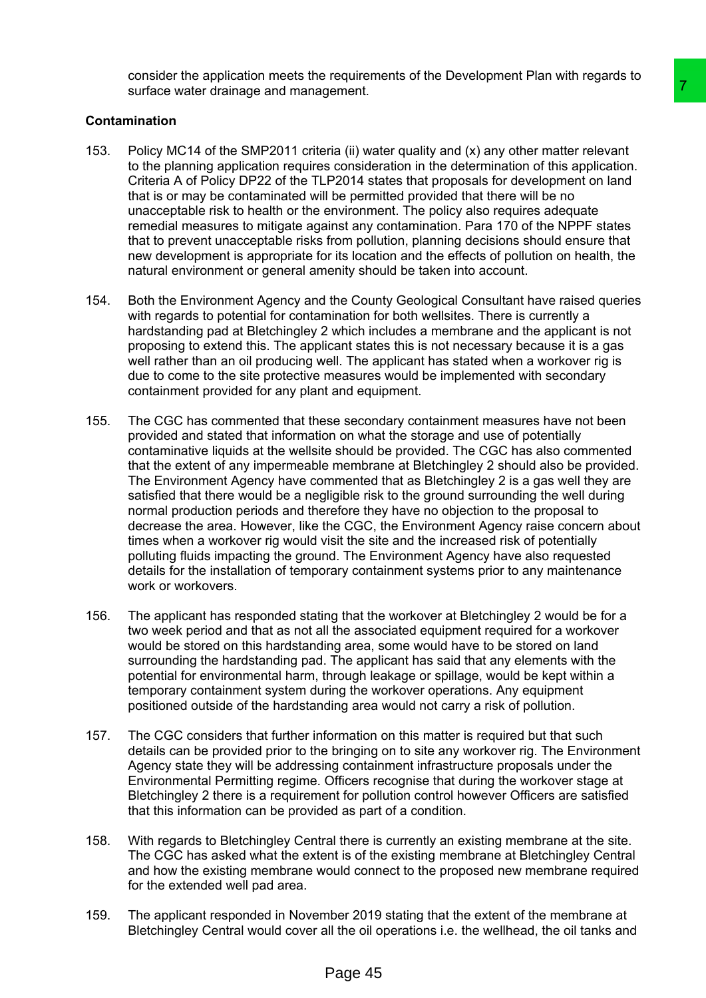consider the application meets the requirements of the Development Plan with regards to surface water drainage and management.

### **Contamination**

- 153. Policy MC14 of the SMP2011 criteria (ii) water quality and (x) any other matter relevant to the planning application requires consideration in the determination of this application. Criteria A of Policy DP22 of the TLP2014 states that proposals for development on land that is or may be contaminated will be permitted provided that there will be no unacceptable risk to health or the environment. The policy also requires adequate remedial measures to mitigate against any contamination. Para 170 of the NPPF states that to prevent unacceptable risks from pollution, planning decisions should ensure that new development is appropriate for its location and the effects of pollution on health, the natural environment or general amenity should be taken into account.
- 154. Both the Environment Agency and the County Geological Consultant have raised queries with regards to potential for contamination for both wellsites. There is currently a hardstanding pad at Bletchingley 2 which includes a membrane and the applicant is not proposing to extend this. The applicant states this is not necessary because it is a gas well rather than an oil producing well. The applicant has stated when a workover rig is due to come to the site protective measures would be implemented with secondary containment provided for any plant and equipment.
- 155. The CGC has commented that these secondary containment measures have not been provided and stated that information on what the storage and use of potentially contaminative liquids at the wellsite should be provided. The CGC has also commented that the extent of any impermeable membrane at Bletchingley 2 should also be provided. The Environment Agency have commented that as Bletchingley 2 is a gas well they are satisfied that there would be a negligible risk to the ground surrounding the well during normal production periods and therefore they have no objection to the proposal to decrease the area. However, like the CGC, the Environment Agency raise concern about times when a workover rig would visit the site and the increased risk of potentially polluting fluids impacting the ground. The Environment Agency have also requested details for the installation of temporary containment systems prior to any maintenance work or workovers. Transmitted (ii) water quality and (x) any other matter relevant<br>somestions in the determination of this application.<br>Payabra states that proposeds for development on land<br>129 for modifical technology also credite provided
- 156. The applicant has responded stating that the workover at Bletchingley 2 would be for a two week period and that as not all the associated equipment required for a workover would be stored on this hardstanding area, some would have to be stored on land surrounding the hardstanding pad. The applicant has said that any elements with the potential for environmental harm, through leakage or spillage, would be kept within a temporary containment system during the workover operations. Any equipment positioned outside of the hardstanding area would not carry a risk of pollution.
- 157. The CGC considers that further information on this matter is required but that such details can be provided prior to the bringing on to site any workover rig. The Environment Agency state they will be addressing containment infrastructure proposals under the Environmental Permitting regime. Officers recognise that during the workover stage at Bletchingley 2 there is a requirement for pollution control however Officers are satisfied that this information can be provided as part of a condition.
- 158. With regards to Bletchingley Central there is currently an existing membrane at the site. The CGC has asked what the extent is of the existing membrane at Bletchingley Central and how the existing membrane would connect to the proposed new membrane required for the extended well pad area.
- 159. The applicant responded in November 2019 stating that the extent of the membrane at Bletchingley Central would cover all the oil operations i.e. the wellhead, the oil tanks and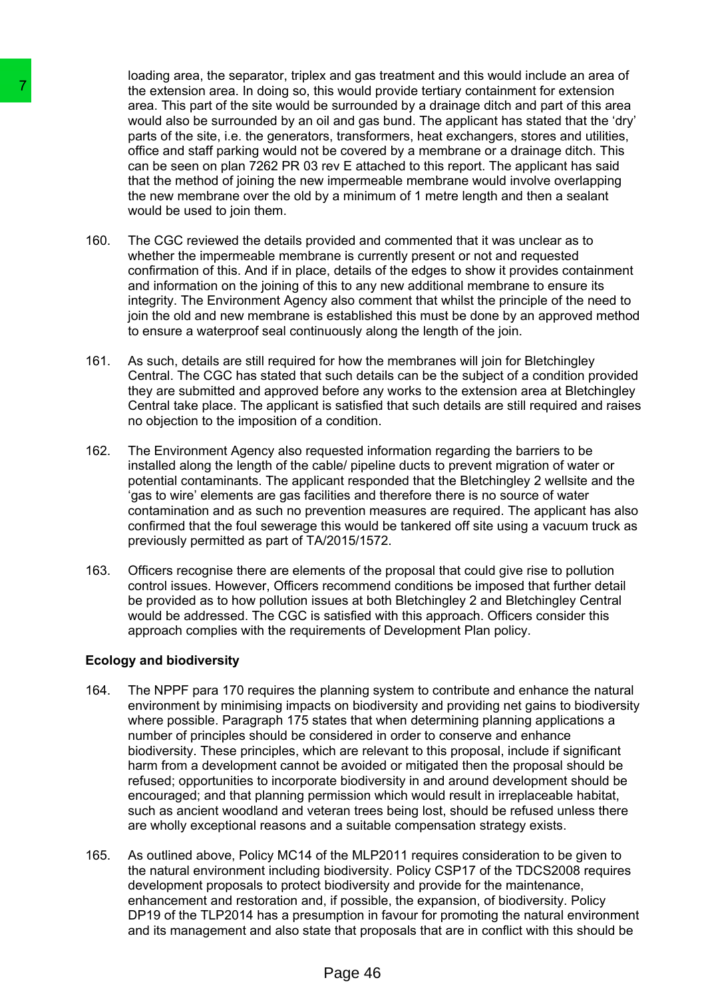loading area, the separator, triplex and gas treatment and this would include an area of the extension area. In doing so, this would provide tertiary containment for extension area. This part of the site would be surrounded by a drainage ditch and part of this area would also be surrounded by an oil and gas bund. The applicant has stated that the 'dry' parts of the site, i.e. the generators, transformers, heat exchangers, stores and utilities, office and staff parking would not be covered by a membrane or a drainage ditch. This can be seen on plan 7262 PR 03 rev E attached to this report. The applicant has said that the method of joining the new impermeable membrane would involve overlapping the new membrane over the old by a minimum of 1 metre length and then a sealant would be used to join them.

- 160. The CGC reviewed the details provided and commented that it was unclear as to whether the impermeable membrane is currently present or not and requested confirmation of this. And if in place, details of the edges to show it provides containment and information on the joining of this to any new additional membrane to ensure its integrity. The Environment Agency also comment that whilst the principle of the need to join the old and new membrane is established this must be done by an approved method to ensure a waterproof seal continuously along the length of the join.
- 161. As such, details are still required for how the membranes will join for Bletchingley Central. The CGC has stated that such details can be the subject of a condition provided they are submitted and approved before any works to the extension area at Bletchingley Central take place. The applicant is satisfied that such details are still required and raises no objection to the imposition of a condition.
- 162. The Environment Agency also requested information regarding the barriers to be installed along the length of the cable/ pipeline ducts to prevent migration of water or potential contaminants. The applicant responded that the Bletchingley 2 wellsite and the 'gas to wire' elements are gas facilities and therefore there is no source of water contamination and as such no prevention measures are required. The applicant has also confirmed that the foul sewerage this would be tankered off site using a vacuum truck as previously permitted as part of TA/2015/1572.
- 163. Officers recognise there are elements of the proposal that could give rise to pollution control issues. However, Officers recommend conditions be imposed that further detail be provided as to how pollution issues at both Bletchingley 2 and Bletchingley Central would be addressed. The CGC is satisfied with this approach. Officers consider this approach complies with the requirements of Development Plan policy.

### **Ecology and biodiversity**

- 164. The NPPF para 170 requires the planning system to contribute and enhance the natural environment by minimising impacts on biodiversity and providing net gains to biodiversity where possible. Paragraph 175 states that when determining planning applications a number of principles should be considered in order to conserve and enhance biodiversity. These principles, which are relevant to this proposal, include if significant harm from a development cannot be avoided or mitigated then the proposal should be refused; opportunities to incorporate biodiversity in and around development should be encouraged; and that planning permission which would result in irreplaceable habitat, such as ancient woodland and veteran trees being lost, should be refused unless there are wholly exceptional reasons and a suitable compensation strategy exists. The extension area. In doing so, this would the summan<br>area. This part of the summan and the summan<br>area. This part of the site would be surrounded with a parts of the site. i.e. the generators, transfor<br>office and staff p
	- 165. As outlined above, Policy MC14 of the MLP2011 requires consideration to be given to the natural environment including biodiversity. Policy CSP17 of the TDCS2008 requires development proposals to protect biodiversity and provide for the maintenance, enhancement and restoration and, if possible, the expansion, of biodiversity. Policy DP19 of the TLP2014 has a presumption in favour for promoting the natural environment and its management and also state that proposals that are in conflict with this should be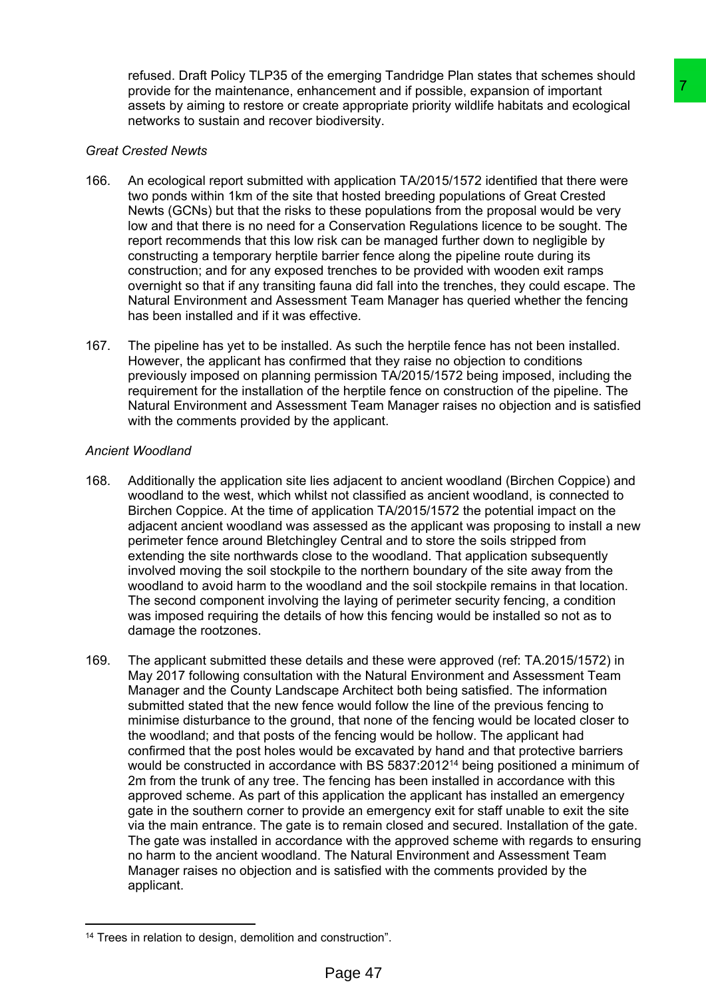refused. Draft Policy TLP35 of the emerging Tandridge Plan states that schemes should provide for the maintenance, enhancement and if possible, expansion of important assets by aiming to restore or create appropriate priority wildlife habitats and ecological networks to sustain and recover biodiversity.

### *Great Crested Newts*

- 166. An ecological report submitted with application TA/2015/1572 identified that there were two ponds within 1km of the site that hosted breeding populations of Great Crested Newts (GCNs) but that the risks to these populations from the proposal would be very low and that there is no need for a Conservation Regulations licence to be sought. The report recommends that this low risk can be managed further down to negligible by constructing a temporary herptile barrier fence along the pipeline route during its construction; and for any exposed trenches to be provided with wooden exit ramps overnight so that if any transiting fauna did fall into the trenches, they could escape. The Natural Environment and Assessment Team Manager has queried whether the fencing has been installed and if it was effective.
- 167. The pipeline has yet to be installed. As such the herptile fence has not been installed. However, the applicant has confirmed that they raise no objection to conditions previously imposed on planning permission TA/2015/1572 being imposed, including the requirement for the installation of the herptile fence on construction of the pipeline. The Natural Environment and Assessment Team Manager raises no objection and is satisfied with the comments provided by the applicant.

### *Ancient Woodland*

- 168. Additionally the application site lies adjacent to ancient woodland (Birchen Coppice) and woodland to the west, which whilst not classified as ancient woodland, is connected to Birchen Coppice. At the time of application TA/2015/1572 the potential impact on the adjacent ancient woodland was assessed as the applicant was proposing to install a new perimeter fence around Bletchingley Central and to store the soils stripped from extending the site northwards close to the woodland. That application subsequently involved moving the soil stockpile to the northern boundary of the site away from the woodland to avoid harm to the woodland and the soil stockpile remains in that location. The second component involving the laying of perimeter security fencing, a condition was imposed requiring the details of how this fencing would be installed so not as to damage the rootzones.
- 169. The applicant submitted these details and these were approved (ref: TA.2015/1572) in May 2017 following consultation with the Natural Environment and Assessment Team Manager and the County Landscape Architect both being satisfied. The information submitted stated that the new fence would follow the line of the previous fencing to minimise disturbance to the ground, that none of the fencing would be located closer to the woodland; and that posts of the fencing would be hollow. The applicant had confirmed that the post holes would be excavated by hand and that protective barriers would be constructed in accordance with BS 5837:2012<sup>14</sup> being positioned a minimum of 2m from the trunk of any tree. The fencing has been installed in accordance with this approved scheme. As part of this application the applicant has installed an emergency gate in the southern corner to provide an emergency exit for staff unable to exit the site via the main entrance. The gate is to remain closed and secured. Installation of the gate. The gate was installed in accordance with the approved scheme with regards to ensuring no harm to the ancient woodland. The Natural Environment and Assessment Team Manager raises no objection and is satisfied with the comments provided by the applicant. moment and if possible, expansion of important<br>
ancement and if possible, expansion of important<br>
the appropriate priority wildlife habitats and ecological<br>
the appropriate priority wildlife habitats and ecological<br>
the ap

<sup>&</sup>lt;sup>14</sup> Trees in relation to design, demolition and construction".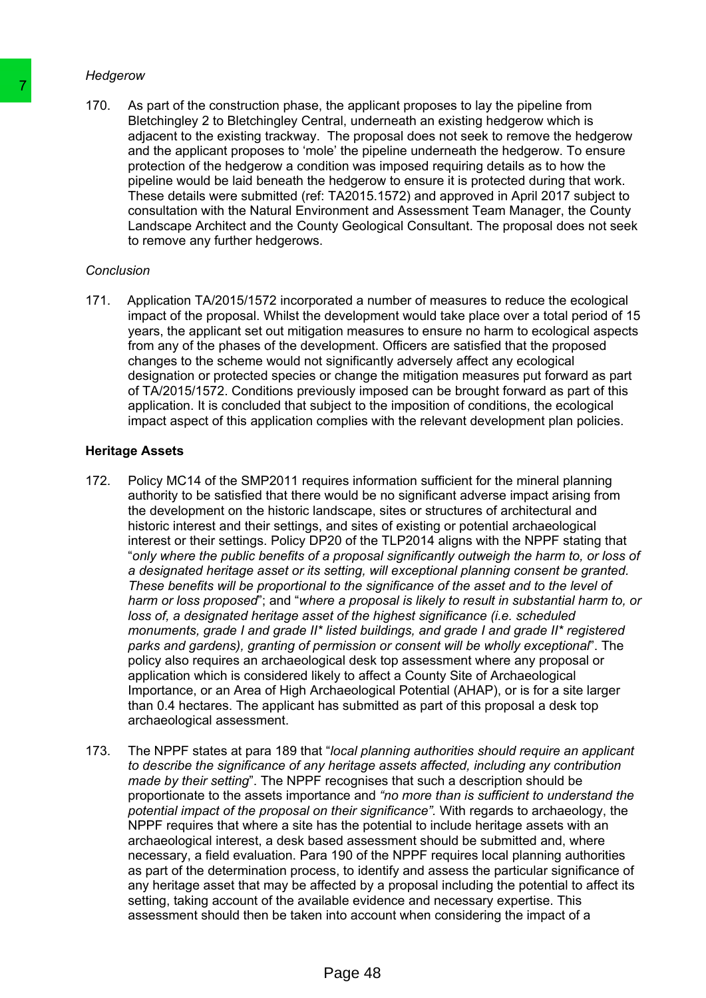#### *Hedgerow*

170. As part of the construction phase, the applicant proposes to lay the pipeline from Bletchingley 2 to Bletchingley Central, underneath an existing hedgerow which is adjacent to the existing trackway. The proposal does not seek to remove the hedgerow and the applicant proposes to 'mole' the pipeline underneath the hedgerow. To ensure protection of the hedgerow a condition was imposed requiring details as to how the pipeline would be laid beneath the hedgerow to ensure it is protected during that work. These details were submitted (ref: TA2015.1572) and approved in April 2017 subject to consultation with the Natural Environment and Assessment Team Manager, the County Landscape Architect and the County Geological Consultant. The proposal does not seek to remove any further hedgerows.

### *Conclusion*

171. Application TA/2015/1572 incorporated a number of measures to reduce the ecological impact of the proposal. Whilst the development would take place over a total period of 15 years, the applicant set out mitigation measures to ensure no harm to ecological aspects from any of the phases of the development. Officers are satisfied that the proposed changes to the scheme would not significantly adversely affect any ecological designation or protected species or change the mitigation measures put forward as part of TA/2015/1572. Conditions previously imposed can be brought forward as part of this application. It is concluded that subject to the imposition of conditions, the ecological impact aspect of this application complies with the relevant development plan policies.

### **Heritage Assets**

- 172. Policy MC14 of the SMP2011 requires information sufficient for the mineral planning authority to be satisfied that there would be no significant adverse impact arising from the development on the historic landscape, sites or structures of architectural and historic interest and their settings, and sites of existing or potential archaeological interest or their settings. Policy DP20 of the TLP2014 aligns with the NPPF stating that "*only where the public benefits of a proposal significantly outweigh the harm to, or loss of a designated heritage asset or its setting, will exceptional planning consent be granted. These benefits will be proportional to the significance of the asset and to the level of harm or loss proposed*"; and "*where a proposal is likely to result in substantial harm to, or loss of, a designated heritage asset of the highest significance (i.e. scheduled monuments, grade I and grade II\* listed buildings, and grade I and grade II\* registered parks and gardens), granting of permission or consent will be wholly exceptional*". The policy also requires an archaeological desk top assessment where any proposal or application which is considered likely to affect a County Site of Archaeological Importance, or an Area of High Archaeological Potential (AHAP), or is for a site larger than 0.4 hectares. The applicant has submitted as part of this proposal a desk top archaeological assessment. The absolution of the construction phase, the application and the construction phase, the application and the applicant to the elember and the applicant and the applicant process to mole the pipe propertient of the Higger
	- 173. The NPPF states at para 189 that "*local planning authorities should require an applicant to describe the significance of any heritage assets affected, including any contribution made by their setting*". The NPPF recognises that such a description should be proportionate to the assets importance and *"no more than is sufficient to understand the potential impact of the proposal on their significance".* With regards to archaeology, the NPPF requires that where a site has the potential to include heritage assets with an archaeological interest, a desk based assessment should be submitted and, where necessary, a field evaluation. Para 190 of the NPPF requires local planning authorities as part of the determination process, to identify and assess the particular significance of any heritage asset that may be affected by a proposal including the potential to affect its setting, taking account of the available evidence and necessary expertise. This assessment should then be taken into account when considering the impact of a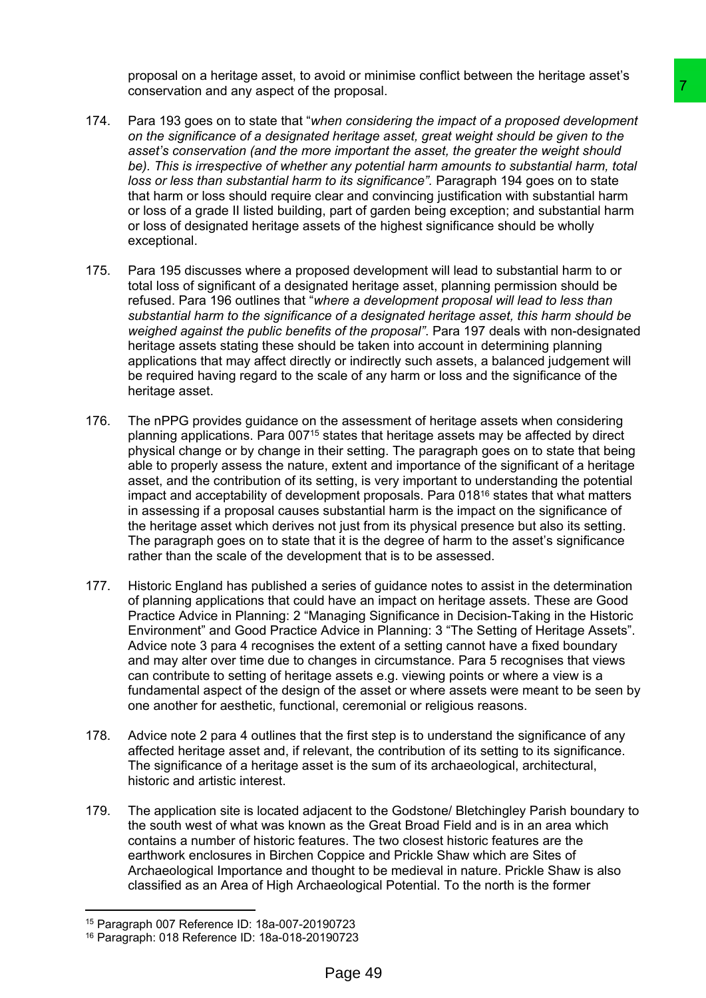proposal on a heritage asset, to avoid or minimise conflict between the heritage asset's conservation and any aspect of the proposal.

- 174. Para 193 goes on to state that "*when considering the impact of a proposed development on the significance of a designated heritage asset, great weight should be given to the asset's conservation (and the more important the asset, the greater the weight should be). This is irrespective of whether any potential harm amounts to substantial harm, total loss or less than substantial harm to its significance".* Paragraph 194 goes on to state that harm or loss should require clear and convincing justification with substantial harm or loss of a grade II listed building, part of garden being exception; and substantial harm or loss of designated heritage assets of the highest significance should be wholly exceptional.
- 175. Para 195 discusses where a proposed development will lead to substantial harm to or total loss of significant of a designated heritage asset, planning permission should be refused. Para 196 outlines that "*where a development proposal will lead to less than substantial harm to the significance of a designated heritage asset, this harm should be weighed against the public benefits of the proposal"*. Para 197 deals with non-designated heritage assets stating these should be taken into account in determining planning applications that may affect directly or indirectly such assets, a balanced judgement will be required having regard to the scale of any harm or loss and the significance of the heritage asset.
- 176. The nPPG provides guidance on the assessment of heritage assets when considering planning applications. Para 007<sup>15</sup> states that heritage assets may be affected by direct physical change or by change in their setting. The paragraph goes on to state that being able to properly assess the nature, extent and importance of the significant of a heritage asset, and the contribution of its setting, is very important to understanding the potential impact and acceptability of development proposals. Para  $018^{16}$  states that what matters in assessing if a proposal causes substantial harm is the impact on the significance of the heritage asset which derives not just from its physical presence but also its setting. The paragraph goes on to state that it is the degree of harm to the asset's significance rather than the scale of the development that is to be assessed. **Paying the matrice of a proposal entired and the matric of a proposed development<br>
the important the asset three of a proposed development<br>
in the important the asset the regreter the weight should be given to the<br>
import**
- 177. Historic England has published a series of guidance notes to assist in the determination of planning applications that could have an impact on heritage assets. These are Good Practice Advice in Planning: 2 "Managing Significance in Decision-Taking in the Historic Environment" and Good Practice Advice in Planning: 3 "The Setting of Heritage Assets". Advice note 3 para 4 recognises the extent of a setting cannot have a fixed boundary and may alter over time due to changes in circumstance. Para 5 recognises that views can contribute to setting of heritage assets e.g. viewing points or where a view is a fundamental aspect of the design of the asset or where assets were meant to be seen by one another for aesthetic, functional, ceremonial or religious reasons.
- 178. Advice note 2 para 4 outlines that the first step is to understand the significance of any affected heritage asset and, if relevant, the contribution of its setting to its significance. The significance of a heritage asset is the sum of its archaeological, architectural, historic and artistic interest.
- 179. The application site is located adjacent to the Godstone/ Bletchingley Parish boundary to the south west of what was known as the Great Broad Field and is in an area which contains a number of historic features. The two closest historic features are the earthwork enclosures in Birchen Coppice and Prickle Shaw which are Sites of Archaeological Importance and thought to be medieval in nature. Prickle Shaw is also classified as an Area of High Archaeological Potential. To the north is the former

<sup>15</sup> Paragraph 007 Reference ID: 18a-007-20190723

<sup>16</sup> Paragraph: 018 Reference ID: 18a-018-20190723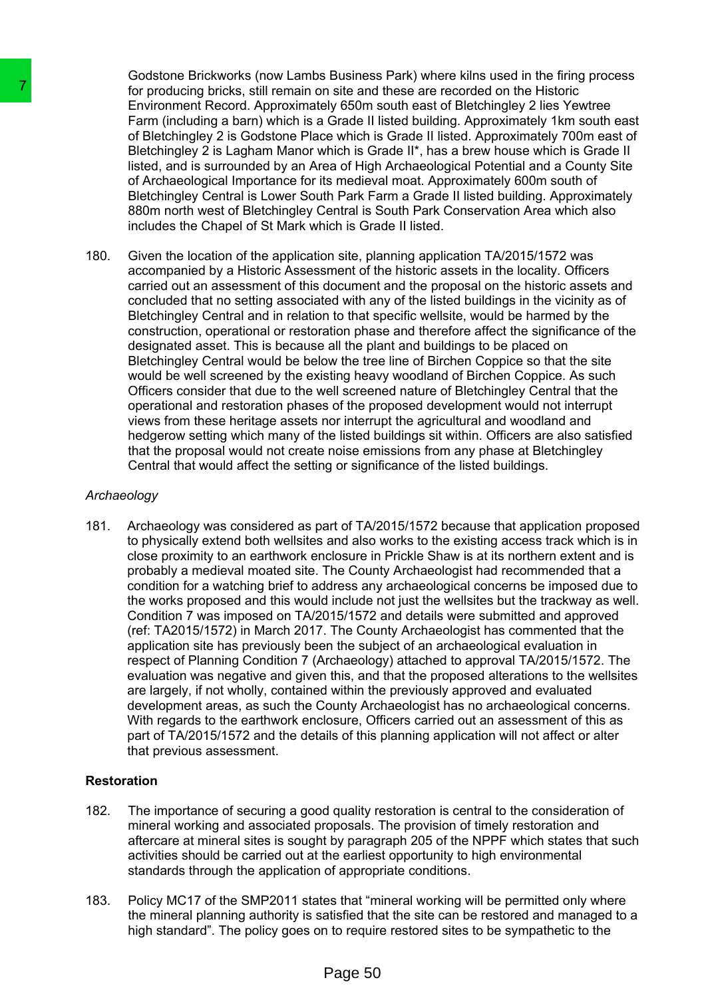Godstone Brickworks (now Lambs Business Park) where kilns used in the firing process for producing bricks, still remain on site and these are recorded on the Historic Environment Record. Approximately 650m south east of Bletchingley 2 lies Yewtree Farm (including a barn) which is a Grade II listed building. Approximately 1km south east of Bletchingley 2 is Godstone Place which is Grade II listed. Approximately 700m east of Bletchingley 2 is Lagham Manor which is Grade II\*, has a brew house which is Grade II listed, and is surrounded by an Area of High Archaeological Potential and a County Site of Archaeological Importance for its medieval moat. Approximately 600m south of Bletchingley Central is Lower South Park Farm a Grade II listed building. Approximately 880m north west of Bletchingley Central is South Park Conservation Area which also includes the Chapel of St Mark which is Grade II listed.

180. Given the location of the application site, planning application TA/2015/1572 was accompanied by a Historic Assessment of the historic assets in the locality. Officers carried out an assessment of this document and the proposal on the historic assets and concluded that no setting associated with any of the listed buildings in the vicinity as of Bletchingley Central and in relation to that specific wellsite, would be harmed by the construction, operational or restoration phase and therefore affect the significance of the designated asset. This is because all the plant and buildings to be placed on Bletchingley Central would be below the tree line of Birchen Coppice so that the site would be well screened by the existing heavy woodland of Birchen Coppice. As such Officers consider that due to the well screened nature of Bletchingley Central that the operational and restoration phases of the proposed development would not interrupt views from these heritage assets nor interrupt the agricultural and woodland and hedgerow setting which many of the listed buildings sit within. Officers are also satisfied that the proposal would not create noise emissions from any phase at Bletchingley Central that would affect the setting or significance of the listed buildings.

### *Archaeology*

181. Archaeology was considered as part of TA/2015/1572 because that application proposed to physically extend both wellsites and also works to the existing access track which is in close proximity to an earthwork enclosure in Prickle Shaw is at its northern extent and is probably a medieval moated site. The County Archaeologist had recommended that a condition for a watching brief to address any archaeological concerns be imposed due to the works proposed and this would include not just the wellsites but the trackway as well. Condition 7 was imposed on TA/2015/1572 and details were submitted and approved (ref: TA2015/1572) in March 2017. The County Archaeologist has commented that the application site has previously been the subject of an archaeological evaluation in respect of Planning Condition 7 (Archaeology) attached to approval TA/2015/1572. The evaluation was negative and given this, and that the proposed alterations to the wellsites are largely, if not wholly, contained within the previously approved and evaluated development areas, as such the County Archaeologist has no archaeological concerns. With regards to the earthwork enclosure, Officers carried out an assessment of this as part of TA/2015/1572 and the details of this planning application will not affect or alter that previous assessment. The producing bridge, still remain on site and either producing bridge barrier Emm (including a barri) en Emm (including a barri) of Bletchingley 2 is Godstone Place at the lift of Herbinghey 2 is Godstone Place which is a

# **Restoration**

- 182. The importance of securing a good quality restoration is central to the consideration of mineral working and associated proposals. The provision of timely restoration and aftercare at mineral sites is sought by paragraph 205 of the NPPF which states that such activities should be carried out at the earliest opportunity to high environmental standards through the application of appropriate conditions.
- 183. Policy MC17 of the SMP2011 states that "mineral working will be permitted only where the mineral planning authority is satisfied that the site can be restored and managed to a high standard". The policy goes on to require restored sites to be sympathetic to the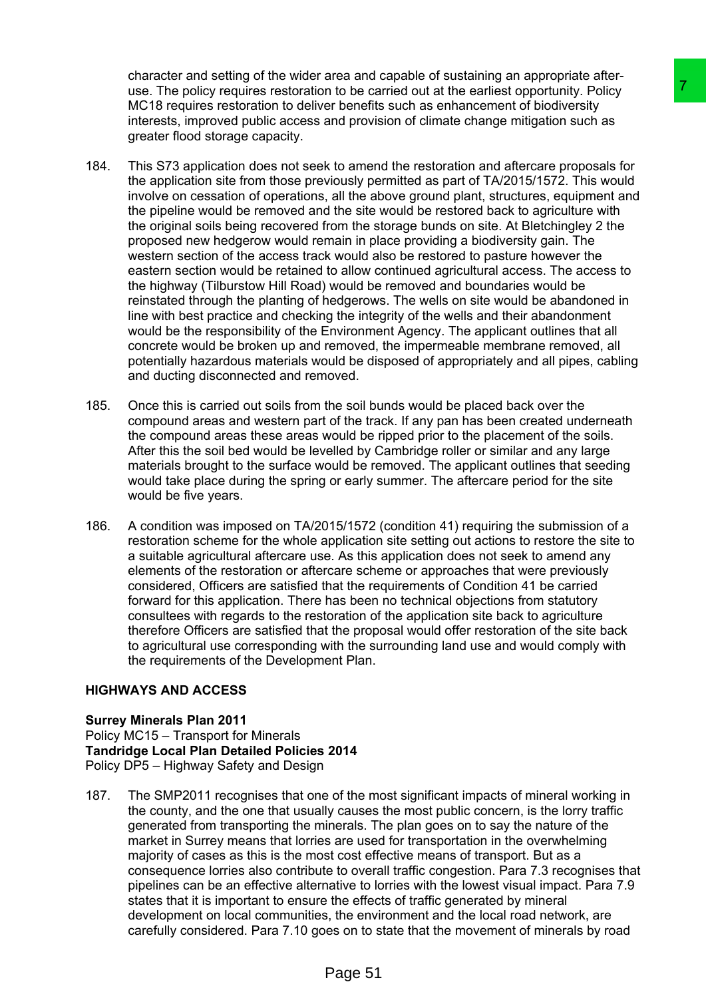character and setting of the wider area and capable of sustaining an appropriate afteruse. The policy requires restoration to be carried out at the earliest opportunity. Policy MC18 requires restoration to deliver benefits such as enhancement of biodiversity interests, improved public access and provision of climate change mitigation such as greater flood storage capacity.

- 184. This S73 application does not seek to amend the restoration and aftercare proposals for the application site from those previously permitted as part of TA/2015/1572. This would involve on cessation of operations, all the above ground plant, structures, equipment and the pipeline would be removed and the site would be restored back to agriculture with the original soils being recovered from the storage bunds on site. At Bletchingley 2 the proposed new hedgerow would remain in place providing a biodiversity gain. The western section of the access track would also be restored to pasture however the eastern section would be retained to allow continued agricultural access. The access to the highway (Tilburstow Hill Road) would be removed and boundaries would be reinstated through the planting of hedgerows. The wells on site would be abandoned in line with best practice and checking the integrity of the wells and their abandonment would be the responsibility of the Environment Agency. The applicant outlines that all concrete would be broken up and removed, the impermeable membrane removed, all potentially hazardous materials would be disposed of appropriately and all pipes, cabling and ducting disconnected and removed. In the bearried out at the earliest opportunity. Policinal to the transform of the carrier of the transform of the mention of the mention of the mention of the mention of the mention of the mention of the mention of a man
- 185. Once this is carried out soils from the soil bunds would be placed back over the compound areas and western part of the track. If any pan has been created underneath the compound areas these areas would be ripped prior to the placement of the soils. After this the soil bed would be levelled by Cambridge roller or similar and any large materials brought to the surface would be removed. The applicant outlines that seeding would take place during the spring or early summer. The aftercare period for the site would be five years.
- 186. A condition was imposed on TA/2015/1572 (condition 41) requiring the submission of a restoration scheme for the whole application site setting out actions to restore the site to a suitable agricultural aftercare use. As this application does not seek to amend any elements of the restoration or aftercare scheme or approaches that were previously considered, Officers are satisfied that the requirements of Condition 41 be carried forward for this application. There has been no technical objections from statutory consultees with regards to the restoration of the application site back to agriculture therefore Officers are satisfied that the proposal would offer restoration of the site back to agricultural use corresponding with the surrounding land use and would comply with the requirements of the Development Plan.

### **HIGHWAYS AND ACCESS**

### **Surrey Minerals Plan 2011**

Policy MC15 – Transport for Minerals **Tandridge Local Plan Detailed Policies 2014** Policy DP5 – Highway Safety and Design

187. The SMP2011 recognises that one of the most significant impacts of mineral working in the county, and the one that usually causes the most public concern, is the lorry traffic generated from transporting the minerals. The plan goes on to say the nature of the market in Surrey means that lorries are used for transportation in the overwhelming majority of cases as this is the most cost effective means of transport. But as a consequence lorries also contribute to overall traffic congestion. Para 7.3 recognises that pipelines can be an effective alternative to lorries with the lowest visual impact. Para 7.9 states that it is important to ensure the effects of traffic generated by mineral development on local communities, the environment and the local road network, are carefully considered. Para 7.10 goes on to state that the movement of minerals by road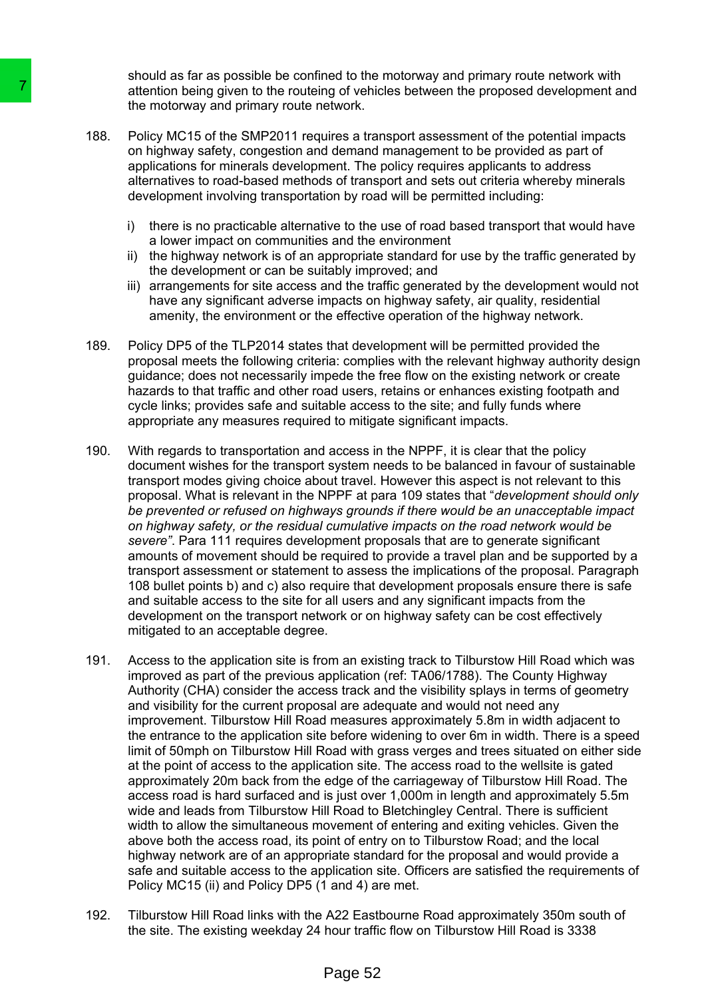should as far as possible be confined to the motorway and primary route network with attention being given to the routeing of vehicles between the proposed development and the motorway and primary route network.

- 188. Policy MC15 of the SMP2011 requires a transport assessment of the potential impacts on highway safety, congestion and demand management to be provided as part of applications for minerals development. The policy requires applicants to address alternatives to road-based methods of transport and sets out criteria whereby minerals development involving transportation by road will be permitted including:
	- i) there is no practicable alternative to the use of road based transport that would have a lower impact on communities and the environment
	- ii) the highway network is of an appropriate standard for use by the traffic generated by the development or can be suitably improved; and
	- iii) arrangements for site access and the traffic generated by the development would not have any significant adverse impacts on highway safety, air quality, residential amenity, the environment or the effective operation of the highway network.
- 189. Policy DP5 of the TLP2014 states that development will be permitted provided the proposal meets the following criteria: complies with the relevant highway authority design guidance; does not necessarily impede the free flow on the existing network or create hazards to that traffic and other road users, retains or enhances existing footpath and cycle links; provides safe and suitable access to the site; and fully funds where appropriate any measures required to mitigate significant impacts.
- 190. With regards to transportation and access in the NPPF, it is clear that the policy document wishes for the transport system needs to be balanced in favour of sustainable transport modes giving choice about travel. However this aspect is not relevant to this proposal. What is relevant in the NPPF at para 109 states that "*development should only be prevented or refused on highways grounds if there would be an unacceptable impact on highway safety, or the residual cumulative impacts on the road network would be severe"*. Para 111 requires development proposals that are to generate significant amounts of movement should be required to provide a travel plan and be supported by a transport assessment or statement to assess the implications of the proposal. Paragraph 108 bullet points b) and c) also require that development proposals ensure there is safe and suitable access to the site for all users and any significant impacts from the development on the transport network or on highway safety can be cost effectively mitigated to an acceptable degree.
- 191. Access to the application site is from an existing track to Tilburstow Hill Road which was improved as part of the previous application (ref: TA06/1788). The County Highway Authority (CHA) consider the access track and the visibility splays in terms of geometry and visibility for the current proposal are adequate and would not need any improvement. Tilburstow Hill Road measures approximately 5.8m in width adjacent to the entrance to the application site before widening to over 6m in width. There is a speed limit of 50mph on Tilburstow Hill Road with grass verges and trees situated on either side at the point of access to the application site. The access road to the wellsite is gated approximately 20m back from the edge of the carriageway of Tilburstow Hill Road. The access road is hard surfaced and is just over 1,000m in length and approximately 5.5m wide and leads from Tilburstow Hill Road to Bletchingley Central. There is sufficient width to allow the simultaneous movement of entering and exiting vehicles. Given the above both the access road, its point of entry on to Tilburstow Road; and the local highway network are of an appropriate standard for the proposal and would provide a safe and suitable access to the application site. Officers are satisfied the requirements of Policy MC15 (ii) and Policy DP5 (1 and 4) are met. **Example 12**<br>
attention being given to the couteing of vehicles the motoway and primary crost neutron to the motor and the motor and the motor and the motor and the motor and the motor and the dependince and the developme
	- 192. Tilburstow Hill Road links with the A22 Eastbourne Road approximately 350m south of the site. The existing weekday 24 hour traffic flow on Tilburstow Hill Road is 3338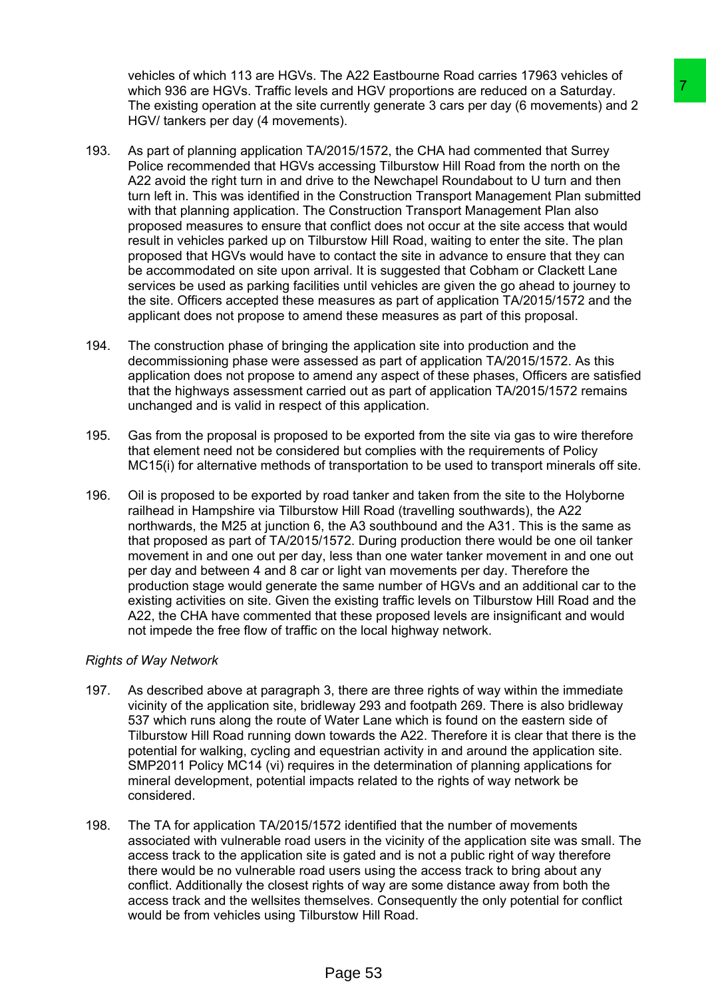vehicles of which 113 are HGVs. The A22 Eastbourne Road carries 17963 vehicles of which 936 are HGVs. Traffic levels and HGV proportions are reduced on a Saturday. The existing operation at the site currently generate 3 cars per day (6 movements) and 2 HGV/ tankers per day (4 movements).

- 193. As part of planning application TA/2015/1572, the CHA had commented that Surrey Police recommended that HGVs accessing Tilburstow Hill Road from the north on the A22 avoid the right turn in and drive to the Newchapel Roundabout to U turn and then turn left in. This was identified in the Construction Transport Management Plan submitted with that planning application. The Construction Transport Management Plan also proposed measures to ensure that conflict does not occur at the site access that would result in vehicles parked up on Tilburstow Hill Road, waiting to enter the site. The plan proposed that HGVs would have to contact the site in advance to ensure that they can be accommodated on site upon arrival. It is suggested that Cobham or Clackett Lane services be used as parking facilities until vehicles are given the go ahead to journey to the site. Officers accepted these measures as part of application TA/2015/1572 and the applicant does not propose to amend these measures as part of this proposal. is and HGV proportions are reduced on a Saturday.<br>
In and HGV proportions are reduced on a Saturday.<br>
Transmarty generate 3 cars per day (6 movements) and 2<br>
Tasks is example to the New half continented that Survey<br>
Tasks
- 194. The construction phase of bringing the application site into production and the decommissioning phase were assessed as part of application TA/2015/1572. As this application does not propose to amend any aspect of these phases, Officers are satisfied that the highways assessment carried out as part of application TA/2015/1572 remains unchanged and is valid in respect of this application.
- 195. Gas from the proposal is proposed to be exported from the site via gas to wire therefore that element need not be considered but complies with the requirements of Policy MC15(i) for alternative methods of transportation to be used to transport minerals off site.
- 196. Oil is proposed to be exported by road tanker and taken from the site to the Holyborne railhead in Hampshire via Tilburstow Hill Road (travelling southwards), the A22 northwards, the M25 at junction 6, the A3 southbound and the A31. This is the same as that proposed as part of TA/2015/1572. During production there would be one oil tanker movement in and one out per day, less than one water tanker movement in and one out per day and between 4 and 8 car or light van movements per day. Therefore the production stage would generate the same number of HGVs and an additional car to the existing activities on site. Given the existing traffic levels on Tilburstow Hill Road and the A22, the CHA have commented that these proposed levels are insignificant and would not impede the free flow of traffic on the local highway network.

### *Rights of Way Network*

- 197. As described above at paragraph 3, there are three rights of way within the immediate vicinity of the application site, bridleway 293 and footpath 269. There is also bridleway 537 which runs along the route of Water Lane which is found on the eastern side of Tilburstow Hill Road running down towards the A22. Therefore it is clear that there is the potential for walking, cycling and equestrian activity in and around the application site. SMP2011 Policy MC14 (vi) requires in the determination of planning applications for mineral development, potential impacts related to the rights of way network be considered.
- 198. The TA for application TA/2015/1572 identified that the number of movements associated with vulnerable road users in the vicinity of the application site was small. The access track to the application site is gated and is not a public right of way therefore there would be no vulnerable road users using the access track to bring about any conflict. Additionally the closest rights of way are some distance away from both the access track and the wellsites themselves. Consequently the only potential for conflict would be from vehicles using Tilburstow Hill Road.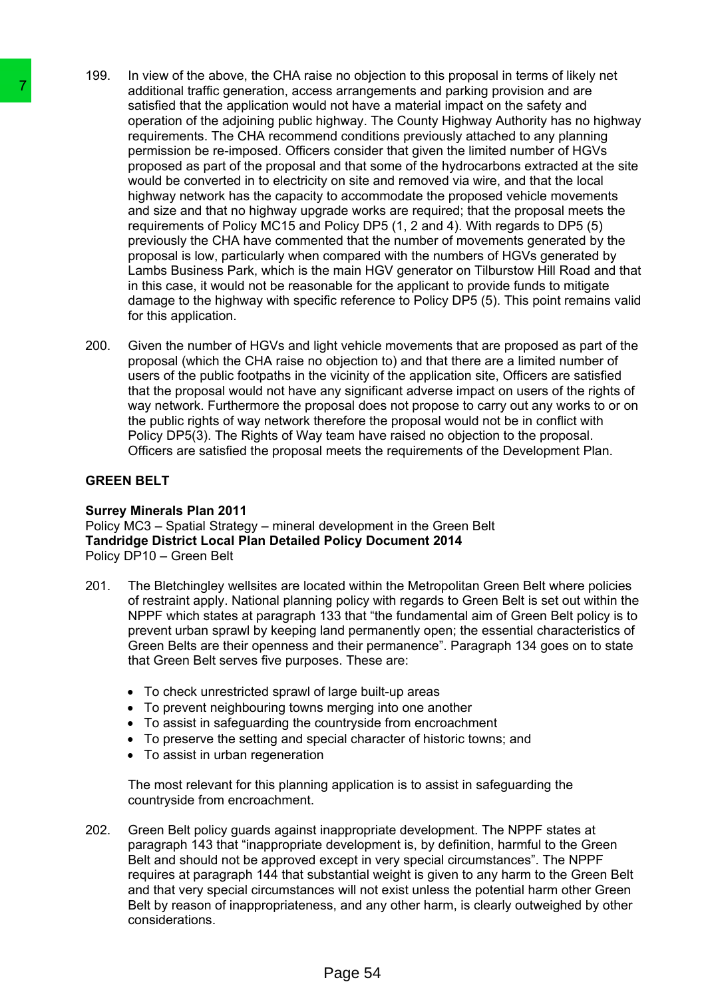- 199. In view of the above, the CHA raise no objection to this proposal in terms of likely net additional traffic generation, access arrangements and parking provision and are satisfied that the application would not have a material impact on the safety and operation of the adjoining public highway. The County Highway Authority has no highway requirements. The CHA recommend conditions previously attached to any planning permission be re-imposed. Officers consider that given the limited number of HGVs proposed as part of the proposal and that some of the hydrocarbons extracted at the site would be converted in to electricity on site and removed via wire, and that the local highway network has the capacity to accommodate the proposed vehicle movements and size and that no highway upgrade works are required; that the proposal meets the requirements of Policy MC15 and Policy DP5 (1, 2 and 4). With regards to DP5 (5) previously the CHA have commented that the number of movements generated by the proposal is low, particularly when compared with the numbers of HGVs generated by Lambs Business Park, which is the main HGV generator on Tilburstow Hill Road and that in this case, it would not be reasonable for the applicant to provide funds to mitigate damage to the highway with specific reference to Policy DP5 (5). This point remains valid for this application. The additional traffic generation, access arrange and statistical ration and the application would not have a statistical traffic inpulsibility injery. The requirements. The CHA recommend condition is re-imposed. Offices c
	- 200. Given the number of HGVs and light vehicle movements that are proposed as part of the proposal (which the CHA raise no objection to) and that there are a limited number of users of the public footpaths in the vicinity of the application site, Officers are satisfied that the proposal would not have any significant adverse impact on users of the rights of way network. Furthermore the proposal does not propose to carry out any works to or on the public rights of way network therefore the proposal would not be in conflict with Policy DP5(3). The Rights of Way team have raised no objection to the proposal. Officers are satisfied the proposal meets the requirements of the Development Plan.

### **GREEN BELT**

### **Surrey Minerals Plan 2011**

Policy MC3 – Spatial Strategy – mineral development in the Green Belt **Tandridge District Local Plan Detailed Policy Document 2014** Policy DP10 – Green Belt

- 201. The Bletchingley wellsites are located within the Metropolitan Green Belt where policies of restraint apply. National planning policy with regards to Green Belt is set out within the NPPF which states at paragraph 133 that "the fundamental aim of Green Belt policy is to prevent urban sprawl by keeping land permanently open; the essential characteristics of Green Belts are their openness and their permanence". Paragraph 134 goes on to state that Green Belt serves five purposes. These are:
	- To check unrestricted sprawl of large built-up areas
	- To prevent neighbouring towns merging into one another
	- To assist in safeguarding the countryside from encroachment
	- To preserve the setting and special character of historic towns; and
	- To assist in urban regeneration

The most relevant for this planning application is to assist in safeguarding the countryside from encroachment.

202. Green Belt policy guards against inappropriate development. The NPPF states at paragraph 143 that "inappropriate development is, by definition, harmful to the Green Belt and should not be approved except in very special circumstances". The NPPF requires at paragraph 144 that substantial weight is given to any harm to the Green Belt and that very special circumstances will not exist unless the potential harm other Green Belt by reason of inappropriateness, and any other harm, is clearly outweighed by other considerations.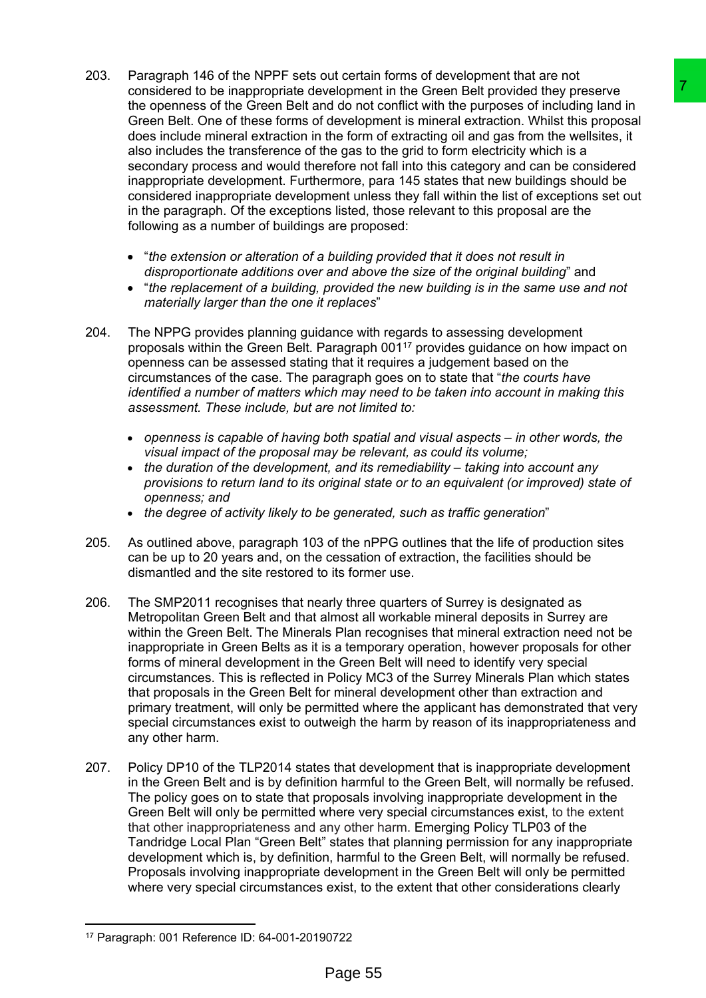- 203. Paragraph 146 of the NPPF sets out certain forms of development that are not considered to be inappropriate development in the Green Belt provided they preserve the openness of the Green Belt and do not conflict with the purposes of including land in Green Belt. One of these forms of development is mineral extraction. Whilst this proposal does include mineral extraction in the form of extracting oil and gas from the wellsites, it also includes the transference of the gas to the grid to form electricity which is a secondary process and would therefore not fall into this category and can be considered inappropriate development. Furthermore, para 145 states that new buildings should be considered inappropriate development unless they fall within the list of exceptions set out in the paragraph. Of the exceptions listed, those relevant to this proposal are the following as a number of buildings are proposed: velopment in the Green Belt provided they preserve<br>the doment in the Green Belt provided they preserved to the sumpled to the contribution that the proposes of including land in<br>the form of extracting oil and gas from the
	- "*the extension or alteration of a building provided that it does not result in disproportionate additions over and above the size of the original building*" and
	- "*the replacement of a building, provided the new building is in the same use and not materially larger than the one it replaces*"
- 204. The NPPG provides planning guidance with regards to assessing development proposals within the Green Belt. Paragraph 001<sup>17</sup> provides guidance on how impact on openness can be assessed stating that it requires a judgement based on the circumstances of the case. The paragraph goes on to state that "*the courts have identified a number of matters which may need to be taken into account in making this assessment. These include, but are not limited to:*
	- *openness is capable of having both spatial and visual aspects – in other words, the visual impact of the proposal may be relevant, as could its volume;*
	- *the duration of the development, and its remediability – taking into account any provisions to return land to its original state or to an equivalent (or improved) state of openness; and*
	- *the degree of activity likely to be generated, such as traffic generation*"
- 205. As outlined above, paragraph 103 of the nPPG outlines that the life of production sites can be up to 20 years and, on the cessation of extraction, the facilities should be dismantled and the site restored to its former use.
- 206. The SMP2011 recognises that nearly three quarters of Surrey is designated as Metropolitan Green Belt and that almost all workable mineral deposits in Surrey are within the Green Belt. The Minerals Plan recognises that mineral extraction need not be inappropriate in Green Belts as it is a temporary operation, however proposals for other forms of mineral development in the Green Belt will need to identify very special circumstances. This is reflected in Policy MC3 of the Surrey Minerals Plan which states that proposals in the Green Belt for mineral development other than extraction and primary treatment, will only be permitted where the applicant has demonstrated that very special circumstances exist to outweigh the harm by reason of its inappropriateness and any other harm.
- 207. Policy DP10 of the TLP2014 states that development that is inappropriate development in the Green Belt and is by definition harmful to the Green Belt, will normally be refused. The policy goes on to state that proposals involving inappropriate development in the Green Belt will only be permitted where very special circumstances exist, to the extent that other inappropriateness and any other harm. Emerging Policy TLP03 of the Tandridge Local Plan "Green Belt" states that planning permission for any inappropriate development which is, by definition, harmful to the Green Belt, will normally be refused. Proposals involving inappropriate development in the Green Belt will only be permitted where very special circumstances exist, to the extent that other considerations clearly

<sup>17</sup> Paragraph: 001 Reference ID: 64-001-20190722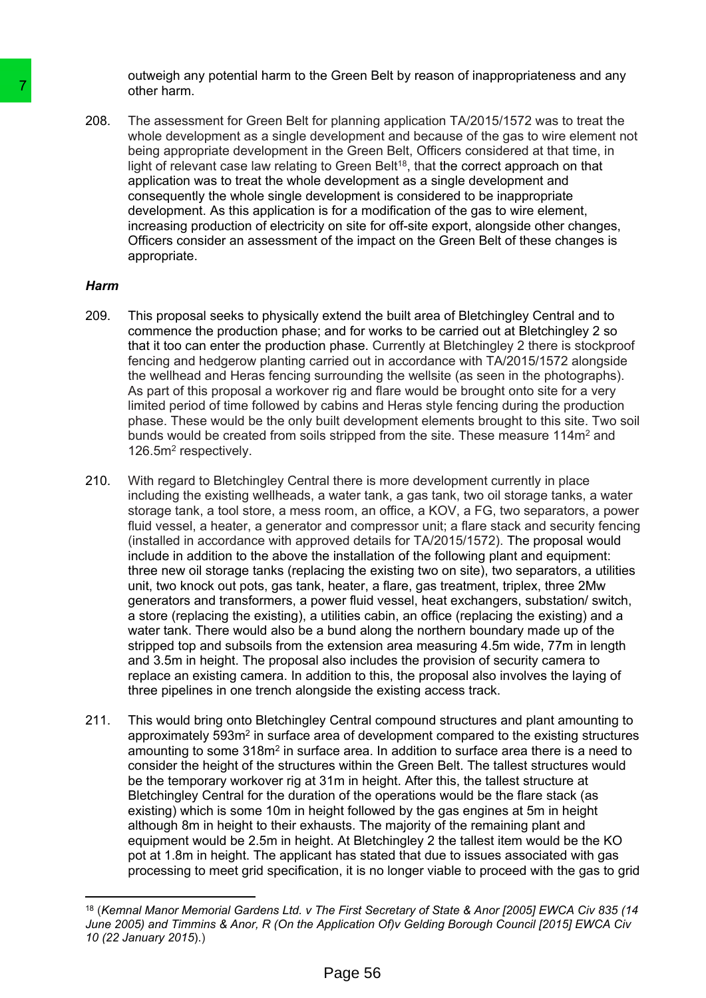outweigh any potential harm to the Green Belt by reason of inappropriateness and any other harm.

208. The assessment for Green Belt for planning application TA/2015/1572 was to treat the whole development as a single development and because of the gas to wire element not being appropriate development in the Green Belt, Officers considered at that time, in light of relevant case law relating to Green Belt<sup>18</sup>, that the correct approach on that application was to treat the whole development as a single development and consequently the whole single development is considered to be inappropriate development. As this application is for a modification of the gas to wire element, increasing production of electricity on site for off-site export, alongside other changes, Officers consider an assessment of the impact on the Green Belt of these changes is appropriate.

#### *Harm*

- 209. This proposal seeks to physically extend the built area of Bletchingley Central and to commence the production phase; and for works to be carried out at Bletchingley 2 so that it too can enter the production phase. Currently at Bletchingley 2 there is stockproof fencing and hedgerow planting carried out in accordance with TA/2015/1572 alongside the wellhead and Heras fencing surrounding the wellsite (as seen in the photographs). As part of this proposal a workover rig and flare would be brought onto site for a very limited period of time followed by cabins and Heras style fencing during the production phase. These would be the only built development elements brought to this site. Two soil bunds would be created from soils stripped from the site. These measure 114m<sup>2</sup> and 126.5m<sup>2</sup> respectively.
- 210. With regard to Bletchingley Central there is more development currently in place including the existing wellheads, a water tank, a gas tank, two oil storage tanks, a water storage tank, a tool store, a mess room, an office, a KOV, a FG, two separators, a power fluid vessel, a heater, a generator and compressor unit; a flare stack and security fencing (installed in accordance with approved details for TA/2015/1572). The proposal would include in addition to the above the installation of the following plant and equipment: three new oil storage tanks (replacing the existing two on site), two separators, a utilities unit, two knock out pots, gas tank, heater, a flare, gas treatment, triplex, three 2Mw generators and transformers, a power fluid vessel, heat exchangers, substation/ switch, a store (replacing the existing), a utilities cabin, an office (replacing the existing) and a water tank. There would also be a bund along the northern boundary made up of the stripped top and subsoils from the extension area measuring 4.5m wide, 77m in length and 3.5m in height. The proposal also includes the provision of security camera to replace an existing camera. In addition to this, the proposal also involves the laying of three pipelines in one trench alongside the existing access track. 7<br>
other hamn.<br>
2008. The assessment for Green Belt for planning<br>
whole development as a single development<br>
being appropriate development<br>
light of relevant case law relating to Green Ein (the Green in the Green planning
	- 211. This would bring onto Bletchingley Central compound structures and plant amounting to approximately 593m<sup>2</sup> in surface area of development compared to the existing structures amounting to some 318m<sup>2</sup> in surface area. In addition to surface area there is a need to consider the height of the structures within the Green Belt. The tallest structures would be the temporary workover rig at 31m in height. After this, the tallest structure at Bletchingley Central for the duration of the operations would be the flare stack (as existing) which is some 10m in height followed by the gas engines at 5m in height although 8m in height to their exhausts. The majority of the remaining plant and equipment would be 2.5m in height. At Bletchingley 2 the tallest item would be the KO pot at 1.8m in height. The applicant has stated that due to issues associated with gas processing to meet grid specification, it is no longer viable to proceed with the gas to grid

<sup>&</sup>lt;sup>18</sup> (Kemnal Manor Memorial Gardens Ltd. v The First Secretary of State & Anor [2005] EWCA Civ 835 (14 *June 2005) and Timmins & Anor, R (On the Application Of)v Gelding Borough Council [2015] EWCA Civ 10 (22 January 2015*).)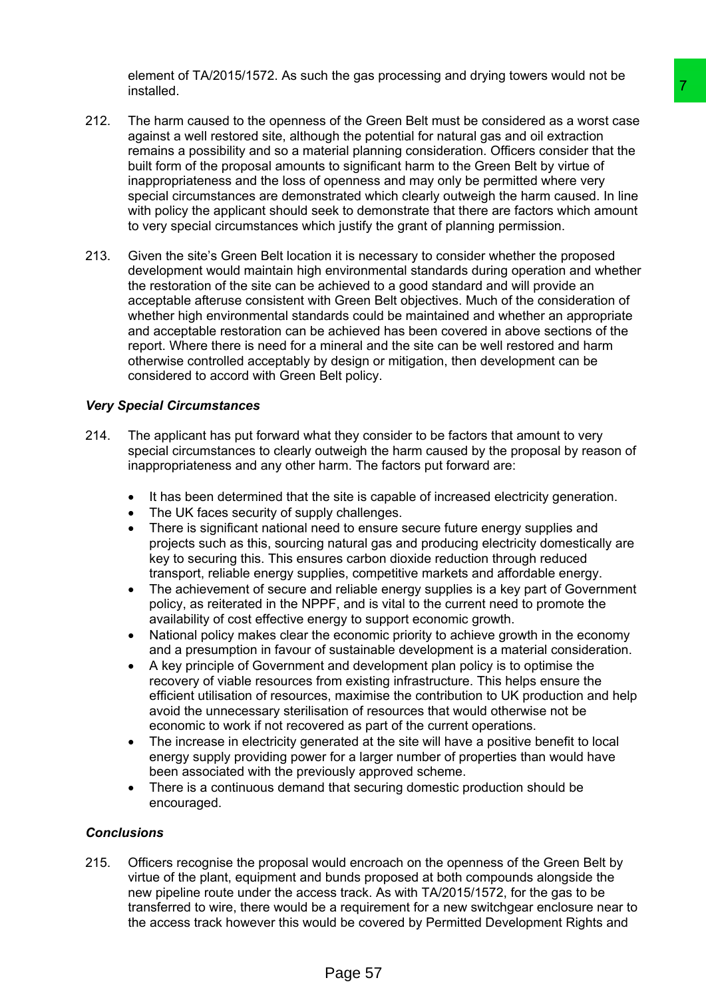element of TA/2015/1572. As such the gas processing and drying towers would not be installed.

- 212. The harm caused to the openness of the Green Belt must be considered as a worst case against a well restored site, although the potential for natural gas and oil extraction remains a possibility and so a material planning consideration. Officers consider that the built form of the proposal amounts to significant harm to the Green Belt by virtue of inappropriateness and the loss of openness and may only be permitted where very special circumstances are demonstrated which clearly outweigh the harm caused. In line with policy the applicant should seek to demonstrate that there are factors which amount to very special circumstances which justify the grant of planning permission.
- 213. Given the site's Green Belt location it is necessary to consider whether the proposed development would maintain high environmental standards during operation and whether the restoration of the site can be achieved to a good standard and will provide an acceptable afteruse consistent with Green Belt objectives. Much of the consideration of whether high environmental standards could be maintained and whether an appropriate and acceptable restoration can be achieved has been covered in above sections of the report. Where there is need for a mineral and the site can be well restored and harm otherwise controlled acceptably by design or mitigation, then development can be considered to accord with Green Belt policy. The Green Belt must be considered as a worst case<br>of the Green Belt must be considered as a worst case<br>of the Doenhalid for natural gas and oil extraction<br>the field planning consideration. Officers consider that the<br>to to

### *Very Special Circumstances*

- 214. The applicant has put forward what they consider to be factors that amount to very special circumstances to clearly outweigh the harm caused by the proposal by reason of inappropriateness and any other harm. The factors put forward are:
	- It has been determined that the site is capable of increased electricity generation.
	- The UK faces security of supply challenges.
	- There is significant national need to ensure secure future energy supplies and projects such as this, sourcing natural gas and producing electricity domestically are key to securing this. This ensures carbon dioxide reduction through reduced transport, reliable energy supplies, competitive markets and affordable energy.
	- The achievement of secure and reliable energy supplies is a key part of Government policy, as reiterated in the NPPF, and is vital to the current need to promote the availability of cost effective energy to support economic growth.
	- National policy makes clear the economic priority to achieve growth in the economy and a presumption in favour of sustainable development is a material consideration.
	- A key principle of Government and development plan policy is to optimise the recovery of viable resources from existing infrastructure. This helps ensure the efficient utilisation of resources, maximise the contribution to UK production and help avoid the unnecessary sterilisation of resources that would otherwise not be economic to work if not recovered as part of the current operations.
	- The increase in electricity generated at the site will have a positive benefit to local energy supply providing power for a larger number of properties than would have been associated with the previously approved scheme.
	- There is a continuous demand that securing domestic production should be encouraged.

### *Conclusions*

215. Officers recognise the proposal would encroach on the openness of the Green Belt by virtue of the plant, equipment and bunds proposed at both compounds alongside the new pipeline route under the access track. As with TA/2015/1572, for the gas to be transferred to wire, there would be a requirement for a new switchgear enclosure near to the access track however this would be covered by Permitted Development Rights and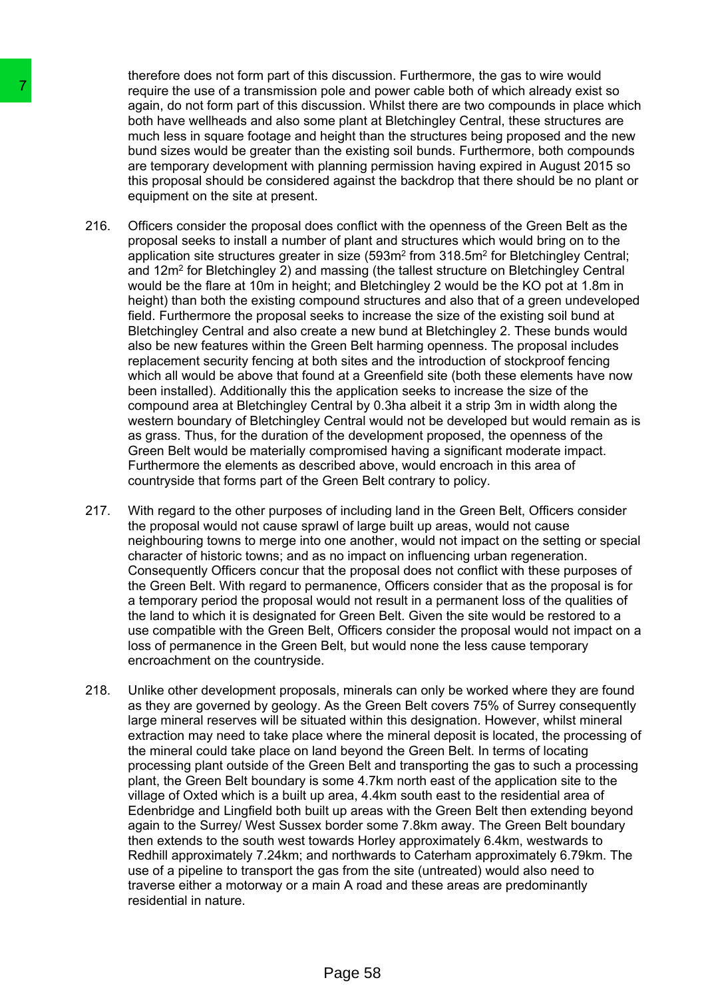therefore does not form part of this discussion. Furthermore, the gas to wire would require the use of a transmission pole and power cable both of which already exist so again, do not form part of this discussion. Whilst there are two compounds in place which both have wellheads and also some plant at Bletchingley Central, these structures are much less in square footage and height than the structures being proposed and the new bund sizes would be greater than the existing soil bunds. Furthermore, both compounds are temporary development with planning permission having expired in August 2015 so this proposal should be considered against the backdrop that there should be no plant or equipment on the site at present.

- 216. Officers consider the proposal does conflict with the openness of the Green Belt as the proposal seeks to install a number of plant and structures which would bring on to the application site structures greater in size (593m<sup>2</sup> from 318.5m<sup>2</sup> for Bletchingley Central; and 12m<sup>2</sup> for Bletchingley 2) and massing (the tallest structure on Bletchingley Central would be the flare at 10m in height; and Bletchingley 2 would be the KO pot at 1.8m in height) than both the existing compound structures and also that of a green undeveloped field. Furthermore the proposal seeks to increase the size of the existing soil bund at Bletchingley Central and also create a new bund at Bletchingley 2. These bunds would also be new features within the Green Belt harming openness. The proposal includes replacement security fencing at both sites and the introduction of stockproof fencing which all would be above that found at a Greenfield site (both these elements have now been installed). Additionally this the application seeks to increase the size of the compound area at Bletchingley Central by 0.3ha albeit it a strip 3m in width along the western boundary of Bletchingley Central would not be developed but would remain as is as grass. Thus, for the duration of the development proposed, the openness of the Green Belt would be materially compromised having a significant moderate impact. Furthermore the elements as described above, would encroach in this area of countryside that forms part of the Green Belt contrary to policy. The use the use of a transmission pole and properties the use of a transmission of a anglin, do not form part of this discussion. We much less in square footage and also some plant at but the velvel much less in square fo
	- 217. With regard to the other purposes of including land in the Green Belt, Officers consider the proposal would not cause sprawl of large built up areas, would not cause neighbouring towns to merge into one another, would not impact on the setting or special character of historic towns; and as no impact on influencing urban regeneration. Consequently Officers concur that the proposal does not conflict with these purposes of the Green Belt. With regard to permanence, Officers consider that as the proposal is for a temporary period the proposal would not result in a permanent loss of the qualities of the land to which it is designated for Green Belt. Given the site would be restored to a use compatible with the Green Belt, Officers consider the proposal would not impact on a loss of permanence in the Green Belt, but would none the less cause temporary encroachment on the countryside.
	- 218. Unlike other development proposals, minerals can only be worked where they are found as they are governed by geology. As the Green Belt covers 75% of Surrey consequently large mineral reserves will be situated within this designation. However, whilst mineral extraction may need to take place where the mineral deposit is located, the processing of the mineral could take place on land beyond the Green Belt. In terms of locating processing plant outside of the Green Belt and transporting the gas to such a processing plant, the Green Belt boundary is some 4.7km north east of the application site to the village of Oxted which is a built up area, 4.4km south east to the residential area of Edenbridge and Lingfield both built up areas with the Green Belt then extending beyond again to the Surrey/ West Sussex border some 7.8km away. The Green Belt boundary then extends to the south west towards Horley approximately 6.4km, westwards to Redhill approximately 7.24km; and northwards to Caterham approximately 6.79km. The use of a pipeline to transport the gas from the site (untreated) would also need to traverse either a motorway or a main A road and these areas are predominantly residential in nature.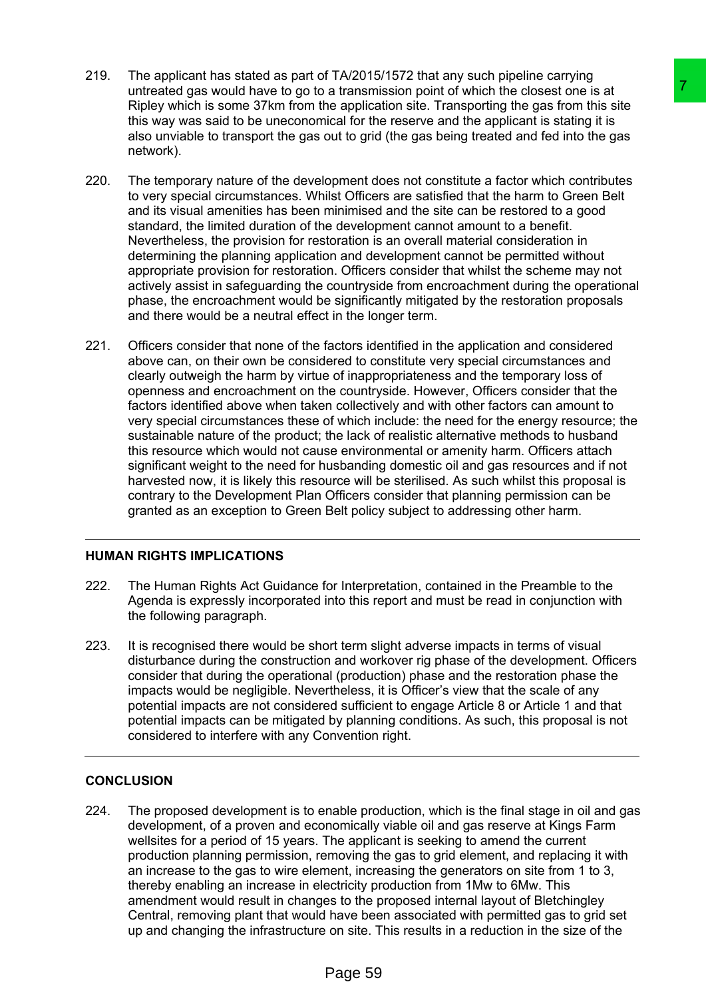- 219. The applicant has stated as part of TA/2015/1572 that any such pipeline carrying untreated gas would have to go to a transmission point of which the closest one is at Ripley which is some 37km from the application site. Transporting the gas from this site this way was said to be uneconomical for the reserve and the applicant is stating it is also unviable to transport the gas out to grid (the gas being treated and fed into the gas network).
- 220. The temporary nature of the development does not constitute a factor which contributes to very special circumstances. Whilst Officers are satisfied that the harm to Green Belt and its visual amenities has been minimised and the site can be restored to a good standard, the limited duration of the development cannot amount to a benefit. Nevertheless, the provision for restoration is an overall material consideration in determining the planning application and development cannot be permitted without appropriate provision for restoration. Officers consider that whilst the scheme may not actively assist in safeguarding the countryside from encroachment during the operational phase, the encroachment would be significantly mitigated by the restoration proposals and there would be a neutral effect in the longer term.
- 221. Officers consider that none of the factors identified in the application and considered above can, on their own be considered to constitute very special circumstances and clearly outweigh the harm by virtue of inappropriateness and the temporary loss of openness and encroachment on the countryside. However, Officers consider that the factors identified above when taken collectively and with other factors can amount to very special circumstances these of which include: the need for the energy resource; the sustainable nature of the product; the lack of realistic alternative methods to husband this resource which would not cause environmental or amenity harm. Officers attach significant weight to the need for husbanding domestic oil and gas resources and if not harvested now, it is likely this resource will be sterilised. As such whilst this proposal is contrary to the Development Plan Officers consider that planning permission can be granted as an exception to Green Belt policy subject to addressing other harm. a transmission point of which the docast one is at<br>a represention point of which the docast one is at<br>reapplication site. Transporting the gas from this site<br>ical for the reserve and the applicant is stating it is<br>clical f

# **HUMAN RIGHTS IMPLICATIONS**

- 222. The Human Rights Act Guidance for Interpretation, contained in the Preamble to the Agenda is expressly incorporated into this report and must be read in conjunction with the following paragraph.
- 223. It is recognised there would be short term slight adverse impacts in terms of visual disturbance during the construction and workover rig phase of the development. Officers consider that during the operational (production) phase and the restoration phase the impacts would be negligible. Nevertheless, it is Officer's view that the scale of any potential impacts are not considered sufficient to engage Article 8 or Article 1 and that potential impacts can be mitigated by planning conditions. As such, this proposal is not considered to interfere with any Convention right.

# **CONCLUSION**

224. The proposed development is to enable production, which is the final stage in oil and gas development, of a proven and economically viable oil and gas reserve at Kings Farm wellsites for a period of 15 years. The applicant is seeking to amend the current production planning permission, removing the gas to grid element, and replacing it with an increase to the gas to wire element, increasing the generators on site from 1 to 3, thereby enabling an increase in electricity production from 1Mw to 6Mw. This amendment would result in changes to the proposed internal layout of Bletchingley Central, removing plant that would have been associated with permitted gas to grid set up and changing the infrastructure on site. This results in a reduction in the size of the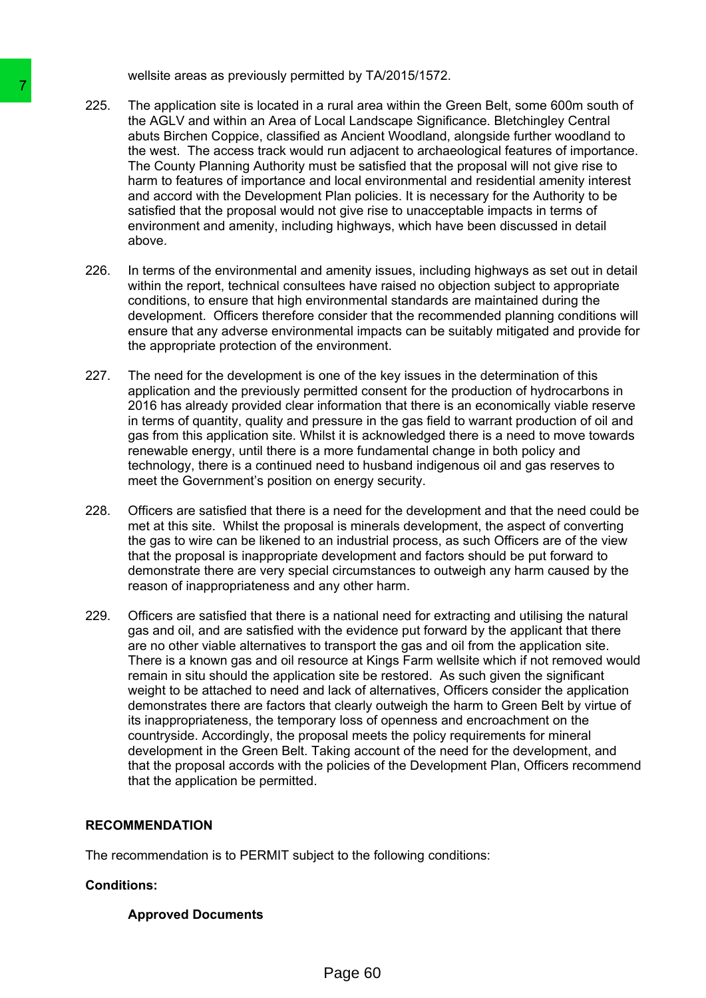wellsite areas as previously permitted by TA/2015/1572.

- 225. The application site is located in a rural area within the Green Belt, some 600m south of the AGLV and within an Area of Local Landscape Significance. Bletchingley Central abuts Birchen Coppice, classified as Ancient Woodland, alongside further woodland to the west. The access track would run adjacent to archaeological features of importance. The County Planning Authority must be satisfied that the proposal will not give rise to harm to features of importance and local environmental and residential amenity interest and accord with the Development Plan policies. It is necessary for the Authority to be satisfied that the proposal would not give rise to unacceptable impacts in terms of environment and amenity, including highways, which have been discussed in detail above.
- 226. In terms of the environmental and amenity issues, including highways as set out in detail within the report, technical consultees have raised no objection subject to appropriate conditions, to ensure that high environmental standards are maintained during the development. Officers therefore consider that the recommended planning conditions will ensure that any adverse environmental impacts can be suitably mitigated and provide for the appropriate protection of the environment.
- 227. The need for the development is one of the key issues in the determination of this application and the previously permitted consent for the production of hydrocarbons in 2016 has already provided clear information that there is an economically viable reserve in terms of quantity, quality and pressure in the gas field to warrant production of oil and gas from this application site. Whilst it is acknowledged there is a need to move towards renewable energy, until there is a more fundamental change in both policy and technology, there is a continued need to husband indigenous oil and gas reserves to meet the Government's position on energy security.
- 228. Officers are satisfied that there is a need for the development and that the need could be met at this site. Whilst the proposal is minerals development, the aspect of converting the gas to wire can be likened to an industrial process, as such Officers are of the view that the proposal is inappropriate development and factors should be put forward to demonstrate there are very special circumstances to outweigh any harm caused by the reason of inappropriateness and any other harm.
- 229. Officers are satisfied that there is a national need for extracting and utilising the natural gas and oil, and are satisfied with the evidence put forward by the applicant that there are no other viable alternatives to transport the gas and oil from the application site. There is a known gas and oil resource at Kings Farm wellsite which if not removed would remain in situ should the application site be restored. As such given the significant weight to be attached to need and lack of alternatives, Officers consider the application demonstrates there are factors that clearly outweigh the harm to Green Belt by virtue of its inappropriateness, the temporary loss of openness and encroachment on the countryside. Accordingly, the proposal meets the policy requirements for mineral development in the Green Belt. Taking account of the need for the development, and that the proposal accords with the policies of the Development Plan, Officers recommend that the application be permitted. 225. The application site is located in a rural area of the AGLV and within an Area of Local Land area and total Land area of Local Land area of the New St. The access track would run adjace the west. The County Planning A

### **RECOMMENDATION**

The recommendation is to PERMIT subject to the following conditions:

### **Conditions:**

**Approved Documents**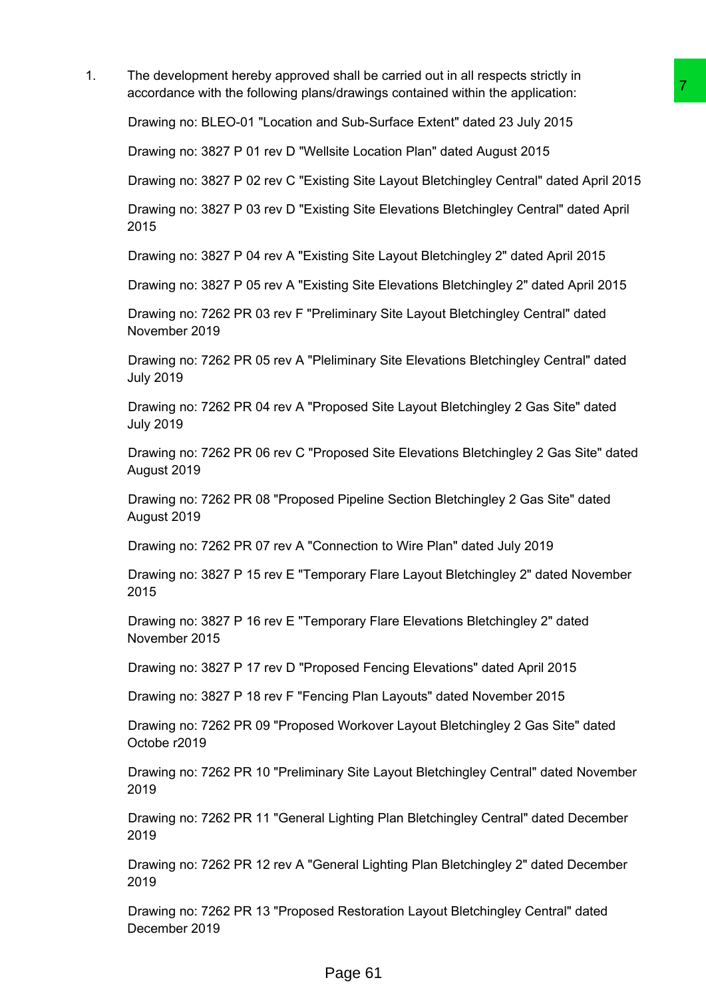1. The development hereby approved shall be carried out in all respects strictly in accordance with the following plans/drawings contained within the application:

Drawing no: BLEO-01 "Location and Sub-Surface Extent" dated 23 July 2015

Drawing no: 3827 P 01 rev D "Wellsite Location Plan" dated August 2015

Drawing no: 3827 P 02 rev C "Existing Site Layout Bletchingley Central" dated April 2015

Drawing no: 3827 P 03 rev D "Existing Site Elevations Bletchingley Central" dated April 2015 s/drawings contained within the application:<br>
S/drawings contained within the application:<br>
Misub-Surface Extent" dated 23 July 2015<br>
Ilsite Location Plan" dated August 2015<br>
Ilsite Location Plan" dated August 2015<br>
Bling

Drawing no: 3827 P 04 rev A "Existing Site Layout Bletchingley 2" dated April 2015

Drawing no: 3827 P 05 rev A "Existing Site Elevations Bletchingley 2" dated April 2015

Drawing no: 7262 PR 03 rev F "Preliminary Site Layout Bletchingley Central" dated November 2019

Drawing no: 7262 PR 05 rev A "Pleliminary Site Elevations Bletchingley Central" dated July 2019

Drawing no: 7262 PR 04 rev A "Proposed Site Layout Bletchingley 2 Gas Site" dated July 2019

Drawing no: 7262 PR 06 rev C "Proposed Site Elevations Bletchingley 2 Gas Site" dated August 2019

Drawing no: 7262 PR 08 "Proposed Pipeline Section Bletchingley 2 Gas Site" dated August 2019

Drawing no: 7262 PR 07 rev A "Connection to Wire Plan" dated July 2019

Drawing no: 3827 P 15 rev E "Temporary Flare Layout Bletchingley 2" dated November 2015

Drawing no: 3827 P 16 rev E "Temporary Flare Elevations Bletchingley 2" dated November 2015

Drawing no: 3827 P 17 rev D "Proposed Fencing Elevations" dated April 2015

Drawing no: 3827 P 18 rev F "Fencing Plan Layouts" dated November 2015

Drawing no: 7262 PR 09 "Proposed Workover Layout Bletchingley 2 Gas Site" dated Octobe r2019

Drawing no: 7262 PR 10 "Preliminary Site Layout Bletchingley Central" dated November 2019

Drawing no: 7262 PR 11 "General Lighting Plan Bletchingley Central" dated December 2019

Drawing no: 7262 PR 12 rev A "General Lighting Plan Bletchingley 2" dated December 2019

Drawing no: 7262 PR 13 "Proposed Restoration Layout Bletchingley Central" dated December 2019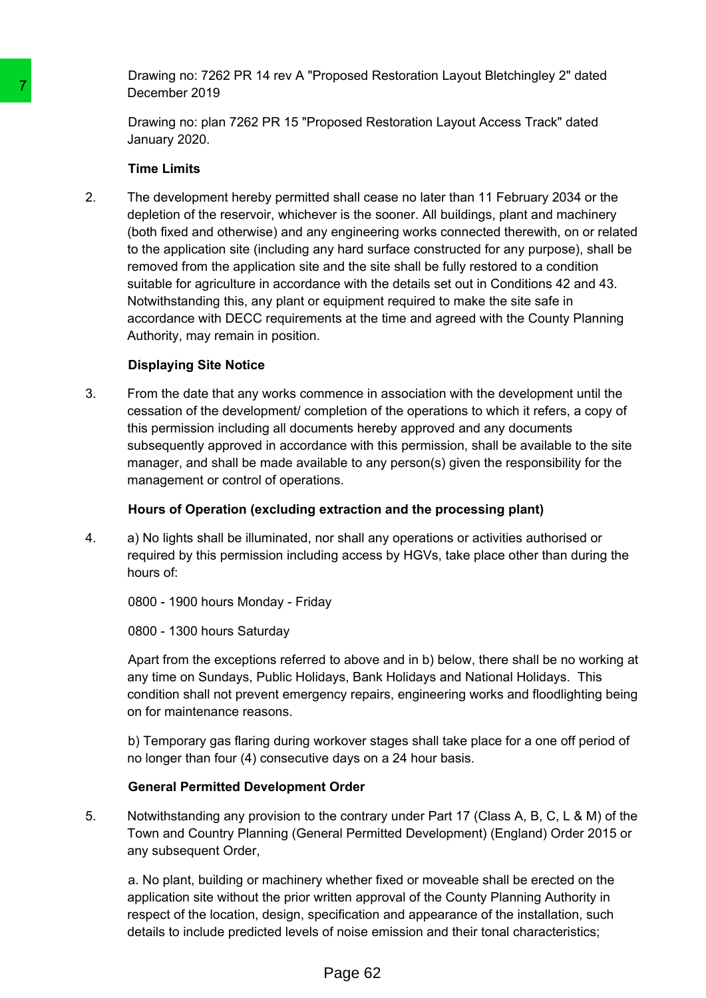Drawing no: 7262 PR 14 rev A "Proposed Restoration Layout Bletchingley 2" dated December 2019

Drawing no: plan 7262 PR 15 "Proposed Restoration Layout Access Track" dated January 2020.

### **Time Limits**

2. The development hereby permitted shall cease no later than 11 February 2034 or the depletion of the reservoir, whichever is the sooner. All buildings, plant and machinery (both fixed and otherwise) and any engineering works connected therewith, on or related to the application site (including any hard surface constructed for any purpose), shall be removed from the application site and the site shall be fully restored to a condition suitable for agriculture in accordance with the details set out in Conditions 42 and 43. Notwithstanding this, any plant or equipment required to make the site safe in accordance with DECC requirements at the time and agreed with the County Planning Authority, may remain in position. Transmitter 2019<br>
December 2019<br>
Drawing no: plan 7262 PR 15 "Proposed Re<br>
January 2020.<br>
Time Limits<br>
Time Limits<br>
2. The development hereby permitted shall cee<br>
depliction of the reservoir, whichever is the condition of

# **Displaying Site Notice**

3. From the date that any works commence in association with the development until the cessation of the development/ completion of the operations to which it refers, a copy of this permission including all documents hereby approved and any documents subsequently approved in accordance with this permission, shall be available to the site manager, and shall be made available to any person(s) given the responsibility for the management or control of operations.

# **Hours of Operation (excluding extraction and the processing plant)**

4. a) No lights shall be illuminated, nor shall any operations or activities authorised or required by this permission including access by HGVs, take place other than during the hours of:

0800 - 1900 hours Monday - Friday

0800 - 1300 hours Saturday

Apart from the exceptions referred to above and in b) below, there shall be no working at any time on Sundays, Public Holidays, Bank Holidays and National Holidays. This condition shall not prevent emergency repairs, engineering works and floodlighting being on for maintenance reasons.

b) Temporary gas flaring during workover stages shall take place for a one off period of no longer than four (4) consecutive days on a 24 hour basis.

# **General Permitted Development Order**

5. Notwithstanding any provision to the contrary under Part 17 (Class A, B, C, L & M) of the Town and Country Planning (General Permitted Development) (England) Order 2015 or any subsequent Order.

a. No plant, building or machinery whether fixed or moveable shall be erected on the application site without the prior written approval of the County Planning Authority in respect of the location, design, specification and appearance of the installation, such details to include predicted levels of noise emission and their tonal characteristics;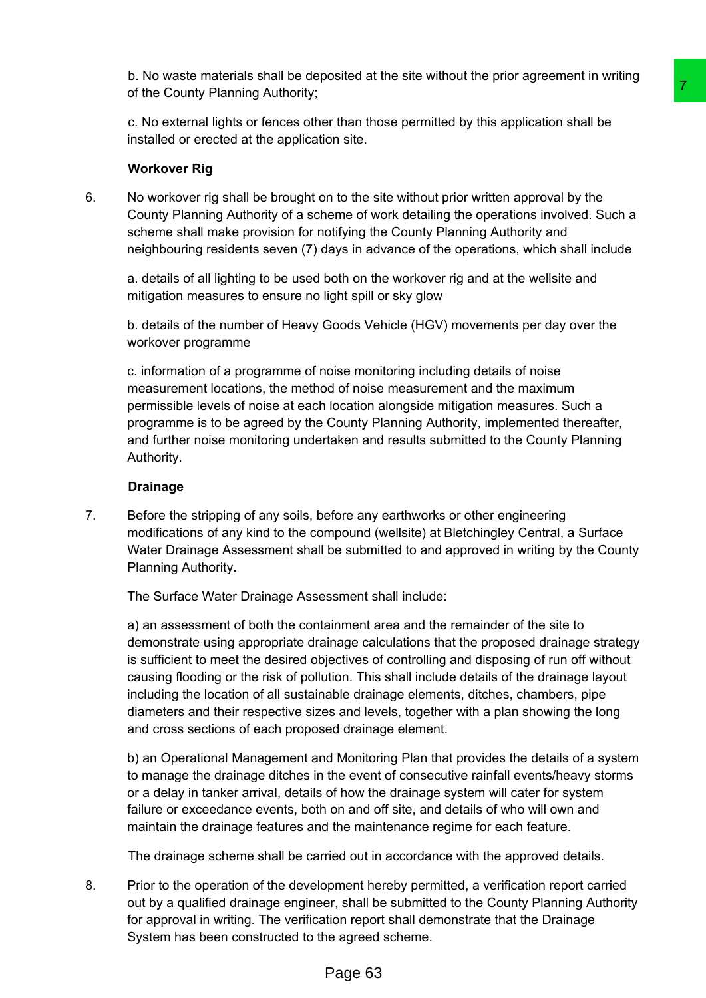b. No waste materials shall be deposited at the site without the prior agreement in writing of the County Planning Authority;

c. No external lights or fences other than those permitted by this application shall be installed or erected at the application site.

### **Workover Rig**

6. No workover rig shall be brought on to the site without prior written approval by the County Planning Authority of a scheme of work detailing the operations involved. Such a scheme shall make provision for notifying the County Planning Authority and neighbouring residents seven (7) days in advance of the operations, which shall include

a. details of all lighting to be used both on the workover rig and at the wellsite and mitigation measures to ensure no light spill or sky glow

b. details of the number of Heavy Goods Vehicle (HGV) movements per day over the workover programme

c. information of a programme of noise monitoring including details of noise measurement locations, the method of noise measurement and the maximum permissible levels of noise at each location alongside mitigation measures. Such a programme is to be agreed by the County Planning Authority, implemented thereafter, and further noise monitoring undertaken and results submitted to the County Planning Authority.

### **Drainage**

7. Before the stripping of any soils, before any earthworks or other engineering modifications of any kind to the compound (wellsite) at Bletchingley Central, a Surface Water Drainage Assessment shall be submitted to and approved in writing by the County Planning Authority.

The Surface Water Drainage Assessment shall include:

a) an assessment of both the containment area and the remainder of the site to demonstrate using appropriate drainage calculations that the proposed drainage strategy is sufficient to meet the desired objectives of controlling and disposing of run off without causing flooding or the risk of pollution. This shall include details of the drainage layout including the location of all sustainable drainage elements, ditches, chambers, pipe diameters and their respective sizes and levels, together with a plan showing the long and cross sections of each proposed drainage element. The three terms of painting the pair of the diality of the diality operation of the set of the set of the set of the set of the set of the set of the center of work detailing the operations involved. Such a between of work

b) an Operational Management and Monitoring Plan that provides the details of a system to manage the drainage ditches in the event of consecutive rainfall events/heavy storms or a delay in tanker arrival, details of how the drainage system will cater for system failure or exceedance events, both on and off site, and details of who will own and maintain the drainage features and the maintenance regime for each feature.

The drainage scheme shall be carried out in accordance with the approved details.

8. Prior to the operation of the development hereby permitted, a verification report carried out by a qualified drainage engineer, shall be submitted to the County Planning Authority for approval in writing. The verification report shall demonstrate that the Drainage System has been constructed to the agreed scheme.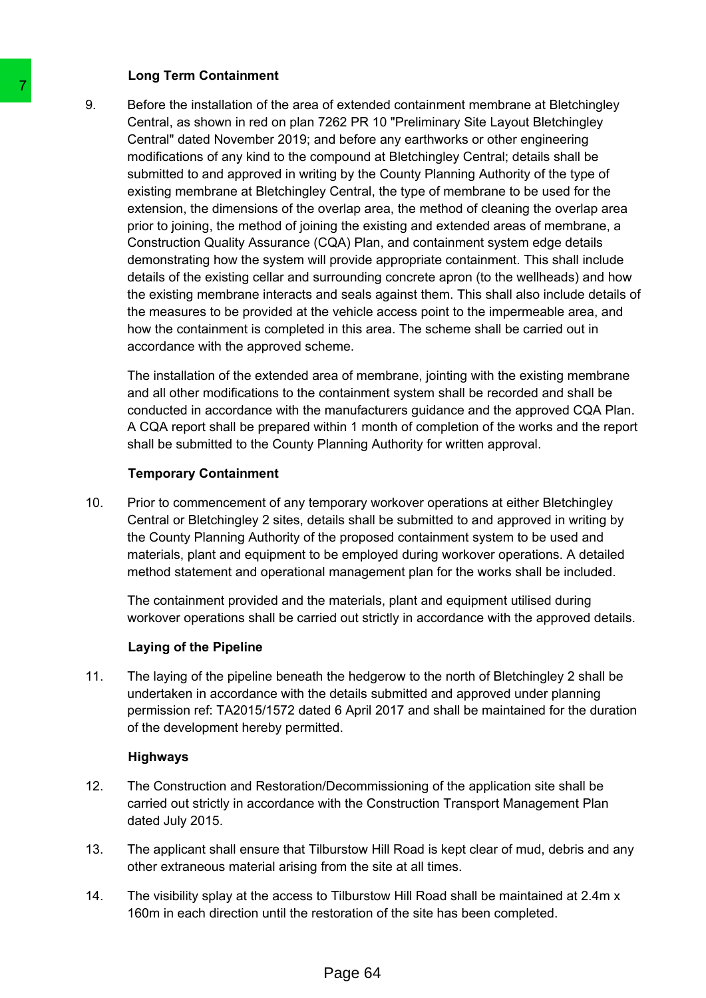#### **Long Term Containment**

9. Before the installation of the area of extended containment membrane at Bletchingley Central, as shown in red on plan 7262 PR 10 "Preliminary Site Layout Bletchingley Central" dated November 2019; and before any earthworks or other engineering modifications of any kind to the compound at Bletchingley Central; details shall be submitted to and approved in writing by the County Planning Authority of the type of existing membrane at Bletchingley Central, the type of membrane to be used for the extension, the dimensions of the overlap area, the method of cleaning the overlap area prior to joining, the method of joining the existing and extended areas of membrane, a Construction Quality Assurance (CQA) Plan, and containment system edge details demonstrating how the system will provide appropriate containment. This shall include details of the existing cellar and surrounding concrete apron (to the wellheads) and how the existing membrane interacts and seals against them. This shall also include details of the measures to be provided at the vehicle access point to the impermeable area, and how the containment is completed in this area. The scheme shall be carried out in accordance with the approved scheme. 9. Before the installation of the area of extend<br>Central, as shown in red on plan 7262 PR 1<br>Central case Nowember 2019; and before<br>contral cases Nown in red on plan 7262 PR 1<br>condifications of any kind to the compound a s

The installation of the extended area of membrane, jointing with the existing membrane and all other modifications to the containment system shall be recorded and shall be conducted in accordance with the manufacturers guidance and the approved CQA Plan. A CQA report shall be prepared within 1 month of completion of the works and the report shall be submitted to the County Planning Authority for written approval.

### **Temporary Containment**

10. Prior to commencement of any temporary workover operations at either Bletchingley Central or Bletchingley 2 sites, details shall be submitted to and approved in writing by the County Planning Authority of the proposed containment system to be used and materials, plant and equipment to be employed during workover operations. A detailed method statement and operational management plan for the works shall be included.

The containment provided and the materials, plant and equipment utilised during workover operations shall be carried out strictly in accordance with the approved details.

### **Laying of the Pipeline**

11. The laying of the pipeline beneath the hedgerow to the north of Bletchingley 2 shall be undertaken in accordance with the details submitted and approved under planning permission ref: TA2015/1572 dated 6 April 2017 and shall be maintained for the duration of the development hereby permitted.

### **Highways**

- 12. The Construction and Restoration/Decommissioning of the application site shall be carried out strictly in accordance with the Construction Transport Management Plan dated July 2015.
- 13. The applicant shall ensure that Tilburstow Hill Road is kept clear of mud, debris and any other extraneous material arising from the site at all times.
- 14. The visibility splay at the access to Tilburstow Hill Road shall be maintained at 2.4m x 160m in each direction until the restoration of the site has been completed.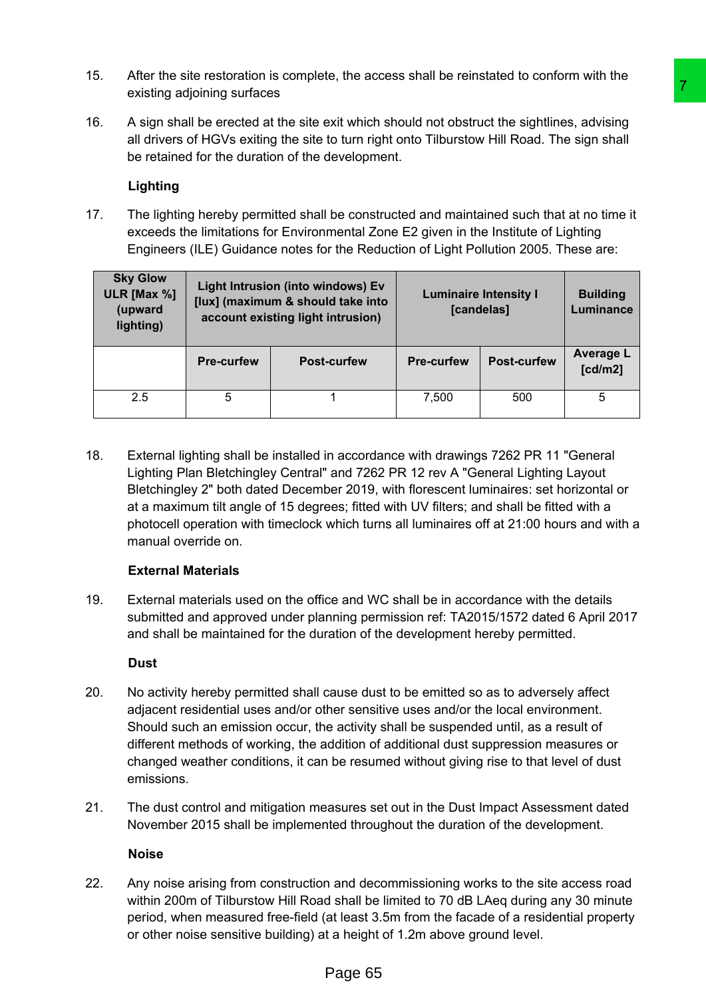- 15. After the site restoration is complete, the access shall be reinstated to conform with the existing adjoining surfaces
- 16. A sign shall be erected at the site exit which should not obstruct the sightlines, advising all drivers of HGVs exiting the site to turn right onto Tilburstow Hill Road. The sign shall be retained for the duration of the development.

### **Lighting**

|    | existing adjoining surfaces                                                                                                                                                                                                                                                                                                                                                                                                                                            |                                                                                                                                                           |                                                                                                                                                                                                                                                                           |            |                    |                              |
|----|------------------------------------------------------------------------------------------------------------------------------------------------------------------------------------------------------------------------------------------------------------------------------------------------------------------------------------------------------------------------------------------------------------------------------------------------------------------------|-----------------------------------------------------------------------------------------------------------------------------------------------------------|---------------------------------------------------------------------------------------------------------------------------------------------------------------------------------------------------------------------------------------------------------------------------|------------|--------------------|------------------------------|
| 6. | A sign shall be erected at the site exit which should not obstruct the sightlines, advising<br>all drivers of HGVs exiting the site to turn right onto Tilburstow Hill Road. The sign shall<br>be retained for the duration of the development.                                                                                                                                                                                                                        |                                                                                                                                                           |                                                                                                                                                                                                                                                                           |            |                    |                              |
|    | Lighting                                                                                                                                                                                                                                                                                                                                                                                                                                                               |                                                                                                                                                           |                                                                                                                                                                                                                                                                           |            |                    |                              |
| 7. |                                                                                                                                                                                                                                                                                                                                                                                                                                                                        |                                                                                                                                                           | The lighting hereby permitted shall be constructed and maintained such that at no time it<br>exceeds the limitations for Environmental Zone E2 given in the Institute of Lighting<br>Engineers (ILE) Guidance notes for the Reduction of Light Pollution 2005. These are: |            |                    |                              |
|    | <b>Sky Glow</b><br>ULR [Max %]<br>(upward<br>lighting)                                                                                                                                                                                                                                                                                                                                                                                                                 | Light Intrusion (into windows) Ev<br><b>Luminaire Intensity I</b><br>[lux] (maximum & should take into<br>[candelas]<br>account existing light intrusion) |                                                                                                                                                                                                                                                                           |            |                    | <b>Building</b><br>Luminance |
|    |                                                                                                                                                                                                                                                                                                                                                                                                                                                                        | Pre-curfew                                                                                                                                                | <b>Post-curfew</b>                                                                                                                                                                                                                                                        | Pre-curfew | <b>Post-curfew</b> | <b>Average L</b><br>[cd/m2]  |
|    | 2.5                                                                                                                                                                                                                                                                                                                                                                                                                                                                    | 5                                                                                                                                                         | 1                                                                                                                                                                                                                                                                         | 7,500      | 500                | 5                            |
| 9. | <b>External Materials</b><br>External materials used on the office and WC shall be in accordance with the details<br>submitted and approved under planning permission ref: TA2015/1572 dated 6 April 2017<br>and shall be maintained for the duration of the development hereby permitted.<br><b>Dust</b>                                                                                                                                                              |                                                                                                                                                           |                                                                                                                                                                                                                                                                           |            |                    |                              |
| 0. | No activity hereby permitted shall cause dust to be emitted so as to adversely affect<br>adjacent residential uses and/or other sensitive uses and/or the local environment.<br>Should such an emission occur, the activity shall be suspended until, as a result of<br>different methods of working, the addition of additional dust suppression measures or<br>changed weather conditions, it can be resumed without giving rise to that level of dust<br>emissions. |                                                                                                                                                           |                                                                                                                                                                                                                                                                           |            |                    |                              |
| 1. | The dust control and mitigation measures set out in the Dust Impact Assessment dated<br>November 2015 shall be implemented throughout the duration of the development.                                                                                                                                                                                                                                                                                                 |                                                                                                                                                           |                                                                                                                                                                                                                                                                           |            |                    |                              |
|    | <b>Noise</b>                                                                                                                                                                                                                                                                                                                                                                                                                                                           |                                                                                                                                                           |                                                                                                                                                                                                                                                                           |            |                    |                              |
| 2. | Any noise arising from construction and decommissioning works to the site access road<br>within 200m of Tilburstow Hill Road shall be limited to 70 dB LAeq during any 30 minute<br>period, when measured free-field (at least 3.5m from the facade of a residential property<br>or other noise sensitive building) at a height of 1.2m above ground level.                                                                                                            |                                                                                                                                                           |                                                                                                                                                                                                                                                                           |            |                    |                              |
|    |                                                                                                                                                                                                                                                                                                                                                                                                                                                                        |                                                                                                                                                           | Page 65                                                                                                                                                                                                                                                                   |            |                    |                              |

# **External Materials**

# **Dust**

- 20. No activity hereby permitted shall cause dust to be emitted so as to adversely affect adjacent residential uses and/or other sensitive uses and/or the local environment. Should such an emission occur, the activity shall be suspended until, as a result of different methods of working, the addition of additional dust suppression measures or changed weather conditions, it can be resumed without giving rise to that level of dust emissions.
- 21. The dust control and mitigation measures set out in the Dust Impact Assessment dated November 2015 shall be implemented throughout the duration of the development.

### **Noise**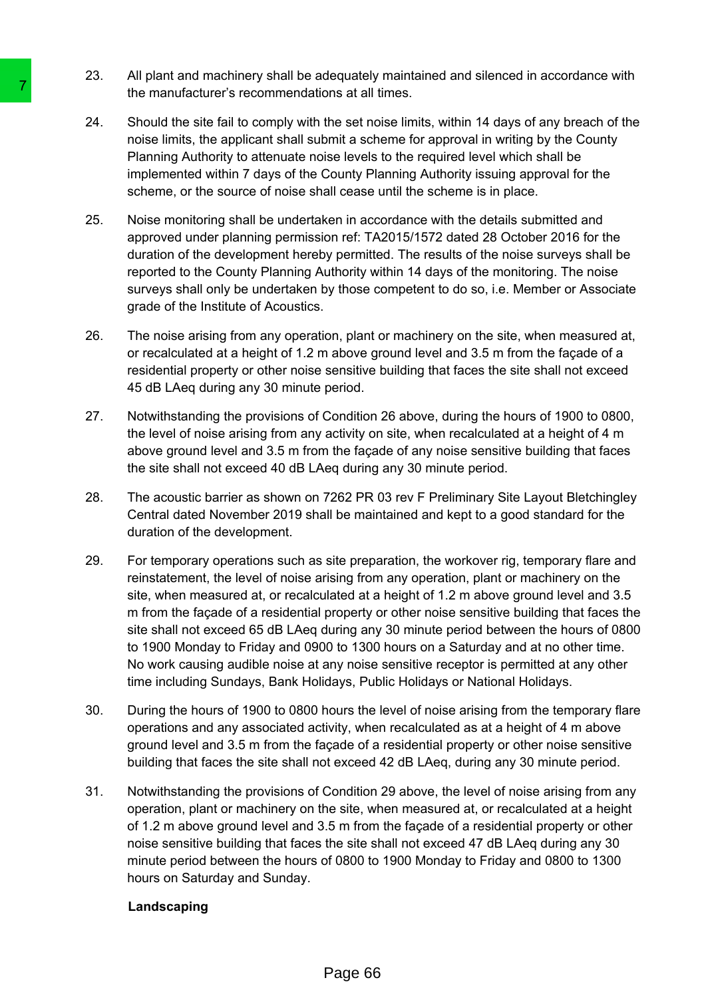- 23. All plant and machinery shall be adequately maintained and silenced in accordance with the manufacturer's recommendations at all times.
- 24. Should the site fail to comply with the set noise limits, within 14 days of any breach of the noise limits, the applicant shall submit a scheme for approval in writing by the County Planning Authority to attenuate noise levels to the required level which shall be implemented within 7 days of the County Planning Authority issuing approval for the scheme, or the source of noise shall cease until the scheme is in place.
- 25. Noise monitoring shall be undertaken in accordance with the details submitted and approved under planning permission ref: TA2015/1572 dated 28 October 2016 for the duration of the development hereby permitted. The results of the noise surveys shall be reported to the County Planning Authority within 14 days of the monitoring. The noise surveys shall only be undertaken by those competent to do so, i.e. Member or Associate grade of the Institute of Acoustics.
- 26. The noise arising from any operation, plant or machinery on the site, when measured at, or recalculated at a height of 1.2 m above ground level and 3.5 m from the façade of a residential property or other noise sensitive building that faces the site shall not exceed 45 dB LAeq during any 30 minute period.
- 27. Notwithstanding the provisions of Condition 26 above, during the hours of 1900 to 0800, the level of noise arising from any activity on site, when recalculated at a height of 4 m above ground level and 3.5 m from the façade of any noise sensitive building that faces the site shall not exceed 40 dB LAeq during any 30 minute period.
- 28. The acoustic barrier as shown on 7262 PR 03 rev F Preliminary Site Layout Bletchingley Central dated November 2019 shall be maintained and kept to a good standard for the duration of the development.
- 29. For temporary operations such as site preparation, the workover rig, temporary flare and reinstatement, the level of noise arising from any operation, plant or machinery on the site, when measured at, or recalculated at a height of 1.2 m above ground level and 3.5 m from the façade of a residential property or other noise sensitive building that faces the site shall not exceed 65 dB LAeq during any 30 minute period between the hours of 0800 to 1900 Monday to Friday and 0900 to 1300 hours on a Saturday and at no other time. No work causing audible noise at any noise sensitive receptor is permitted at any other time including Sundays, Bank Holidays, Public Holidays or National Holidays. The manufacturer's recommendations at all<br>the manufacturer's recommendations at all<br>all<br>combine that the papicant shall submit is achieved<br>minimary Authority to attenuate noise levels<br>implemented within 7 days of the Count
	- 30. During the hours of 1900 to 0800 hours the level of noise arising from the temporary flare operations and any associated activity, when recalculated as at a height of 4 m above ground level and 3.5 m from the façade of a residential property or other noise sensitive building that faces the site shall not exceed 42 dB LAeq, during any 30 minute period.
	- 31. Notwithstanding the provisions of Condition 29 above, the level of noise arising from any operation, plant or machinery on the site, when measured at, or recalculated at a height of 1.2 m above ground level and 3.5 m from the façade of a residential property or other noise sensitive building that faces the site shall not exceed 47 dB LAeq during any 30 minute period between the hours of 0800 to 1900 Monday to Friday and 0800 to 1300 hours on Saturday and Sunday.

### **Landscaping**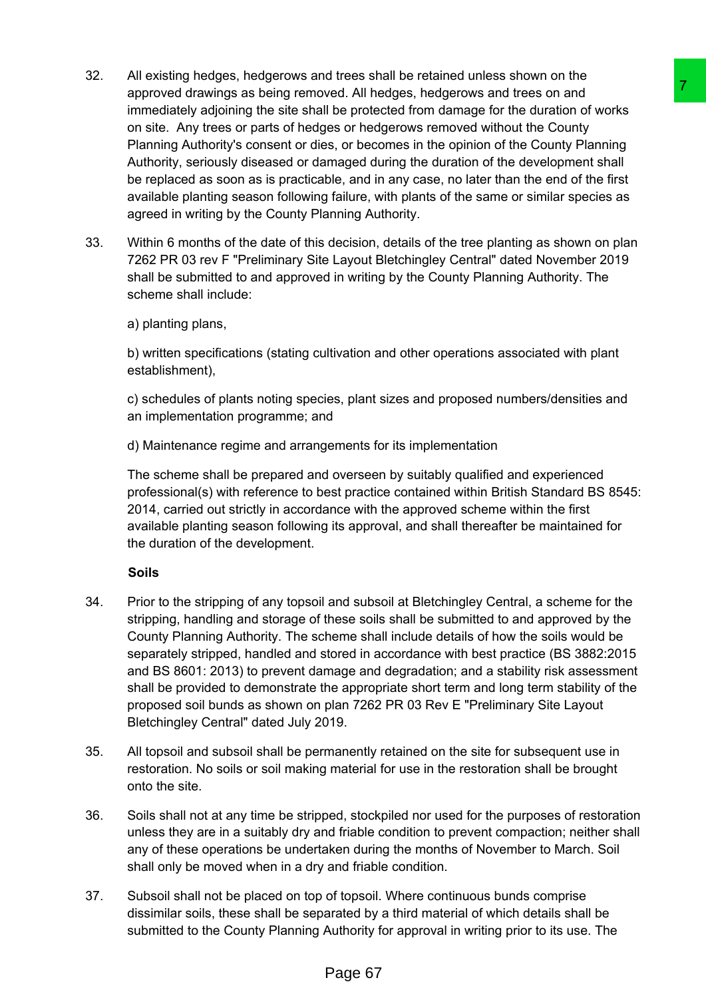- 32. All existing hedges, hedgerows and trees shall be retained unless shown on the approved drawings as being removed. All hedges, hedgerows and trees on and immediately adjoining the site shall be protected from damage for the duration of works on site. Any trees or parts of hedges or hedgerows removed without the County Planning Authority's consent or dies, or becomes in the opinion of the County Planning Authority, seriously diseased or damaged during the duration of the development shall be replaced as soon as is practicable, and in any case, no later than the end of the first available planting season following failure, with plants of the same or similar species as agreed in writing by the County Planning Authority. ved. All nedges. hedgerows and trees on and<br>wed. All nedges. hedgerows and trees on and<br>the protected from damage for the duritor of tworks<br>is or or hedgerows removed without the County Planning<br>as, or becomes in the opini
- 33. Within 6 months of the date of this decision, details of the tree planting as shown on plan 7262 PR 03 rev F "Preliminary Site Layout Bletchingley Central" dated November 2019 shall be submitted to and approved in writing by the County Planning Authority. The scheme shall include:

a) planting plans,

b) written specifications (stating cultivation and other operations associated with plant establishment),

c) schedules of plants noting species, plant sizes and proposed numbers/densities and an implementation programme; and

d) Maintenance regime and arrangements for its implementation

The scheme shall be prepared and overseen by suitably qualified and experienced professional(s) with reference to best practice contained within British Standard BS 8545: 2014, carried out strictly in accordance with the approved scheme within the first available planting season following its approval, and shall thereafter be maintained for the duration of the development.

# **Soils**

- 34. Prior to the stripping of any topsoil and subsoil at Bletchingley Central, a scheme for the stripping, handling and storage of these soils shall be submitted to and approved by the County Planning Authority. The scheme shall include details of how the soils would be separately stripped, handled and stored in accordance with best practice (BS 3882:2015 and BS 8601: 2013) to prevent damage and degradation; and a stability risk assessment shall be provided to demonstrate the appropriate short term and long term stability of the proposed soil bunds as shown on plan 7262 PR 03 Rev E "Preliminary Site Layout Bletchingley Central" dated July 2019.
- 35. All topsoil and subsoil shall be permanently retained on the site for subsequent use in restoration. No soils or soil making material for use in the restoration shall be brought onto the site.
- 36. Soils shall not at any time be stripped, stockpiled nor used for the purposes of restoration unless they are in a suitably dry and friable condition to prevent compaction; neither shall any of these operations be undertaken during the months of November to March. Soil shall only be moved when in a dry and friable condition.
- 37. Subsoil shall not be placed on top of topsoil. Where continuous bunds comprise dissimilar soils, these shall be separated by a third material of which details shall be submitted to the County Planning Authority for approval in writing prior to its use. The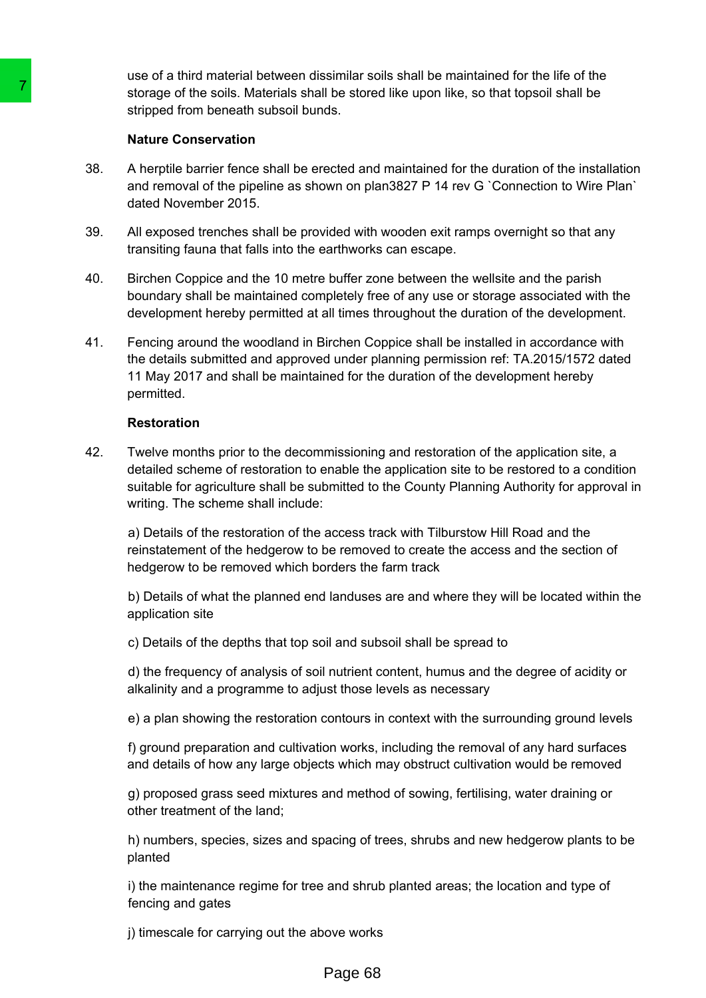use of a third material between dissimilar soils shall be maintained for the life of the storage of the soils. Materials shall be stored like upon like, so that topsoil shall be stripped from beneath subsoil bunds.

### **Nature Conservation**

- 38. A herptile barrier fence shall be erected and maintained for the duration of the installation and removal of the pipeline as shown on plan3827 P 14 rev G `Connection to Wire Plan` dated November 2015.
- 39. All exposed trenches shall be provided with wooden exit ramps overnight so that any transiting fauna that falls into the earthworks can escape.
- 40. Birchen Coppice and the 10 metre buffer zone between the wellsite and the parish boundary shall be maintained completely free of any use or storage associated with the development hereby permitted at all times throughout the duration of the development.
- 41. Fencing around the woodland in Birchen Coppice shall be installed in accordance with the details submitted and approved under planning permission ref: TA.2015/1572 dated 11 May 2017 and shall be maintained for the duration of the development hereby permitted. Storage of the solis. Materials shall be store<br>storage of the solis. Materials shall be store<br>stripped from beneath subsoli bunds.<br>
Natura Conservation<br>
20.<br>
A herptile barrier fence shall be erected and<br>
and removal of th

### **Restoration**

42. Twelve months prior to the decommissioning and restoration of the application site, a detailed scheme of restoration to enable the application site to be restored to a condition suitable for agriculture shall be submitted to the County Planning Authority for approval in writing. The scheme shall include:

a) Details of the restoration of the access track with Tilburstow Hill Road and the reinstatement of the hedgerow to be removed to create the access and the section of hedgerow to be removed which borders the farm track

b) Details of what the planned end landuses are and where they will be located within the application site

c) Details of the depths that top soil and subsoil shall be spread to

d) the frequency of analysis of soil nutrient content, humus and the degree of acidity or alkalinity and a programme to adjust those levels as necessary

e) a plan showing the restoration contours in context with the surrounding ground levels

f) ground preparation and cultivation works, including the removal of any hard surfaces and details of how any large objects which may obstruct cultivation would be removed

g) proposed grass seed mixtures and method of sowing, fertilising, water draining or other treatment of the land;

h) numbers, species, sizes and spacing of trees, shrubs and new hedgerow plants to be planted

i) the maintenance regime for tree and shrub planted areas; the location and type of fencing and gates

j) timescale for carrying out the above works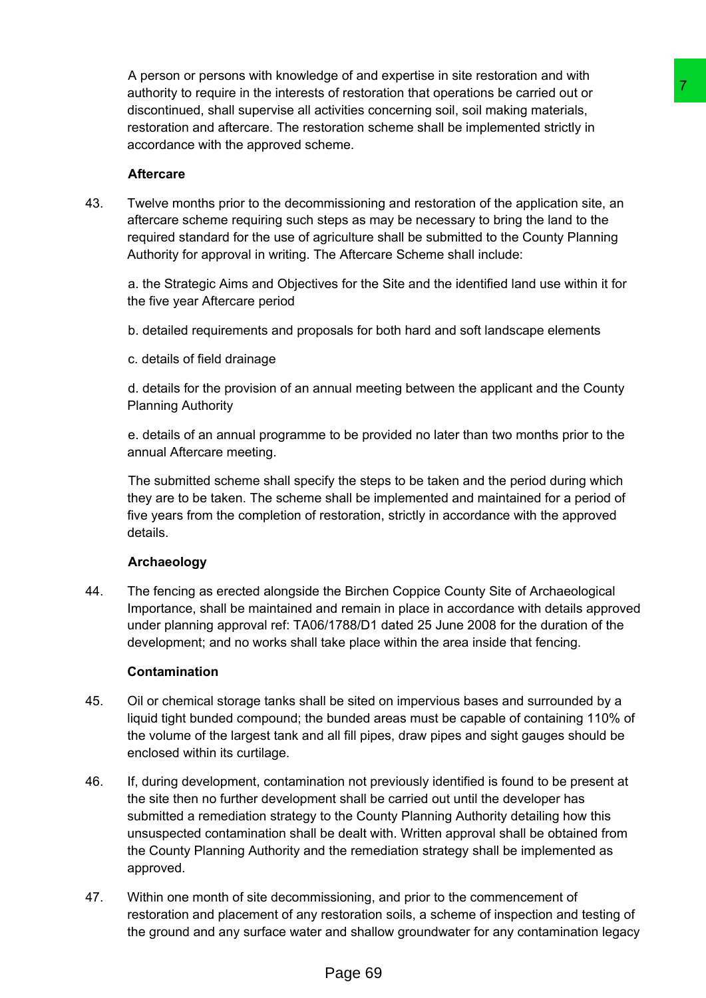A person or persons with knowledge of and expertise in site restoration and with authority to require in the interests of restoration that operations be carried out or discontinued, shall supervise all activities concerning soil, soil making materials, restoration and aftercare. The restoration scheme shall be implemented strictly in accordance with the approved scheme.

### **Aftercare**

43. Twelve months prior to the decommissioning and restoration of the application site, an aftercare scheme requiring such steps as may be necessary to bring the land to the required standard for the use of agriculture shall be submitted to the County Planning Authority for approval in writing. The Aftercare Scheme shall include:

a. the Strategic Aims and Objectives for the Site and the identified land use within it for the five year Aftercare period

- b. detailed requirements and proposals for both hard and soft landscape elements
- c. details of field drainage

d. details for the provision of an annual meeting between the applicant and the County Planning Authority

e. details of an annual programme to be provided no later than two months prior to the annual Aftercare meeting.

The submitted scheme shall specify the steps to be taken and the period during which they are to be taken. The scheme shall be implemented and maintained for a period of five years from the completion of restoration, strictly in accordance with the approved details.

# **Archaeology**

44. The fencing as erected alongside the Birchen Coppice County Site of Archaeological Importance, shall be maintained and remain in place in accordance with details approved under planning approval ref: TA06/1788/D1 dated 25 June 2008 for the duration of the development; and no works shall take place within the area inside that fencing.

### **Contamination**

- 45. Oil or chemical storage tanks shall be sited on impervious bases and surrounded by a liquid tight bunded compound; the bunded areas must be capable of containing 110% of the volume of the largest tank and all fill pipes, draw pipes and sight gauges should be enclosed within its curtilage.
- 46. If, during development, contamination not previously identified is found to be present at the site then no further development shall be carried out until the developer has submitted a remediation strategy to the County Planning Authority detailing how this unsuspected contamination shall be dealt with. Written approval shall be obtained from the County Planning Authority and the remediation strategy shall be implemented as approved. of restoration that operations be carried out or<br>of restoration that operations be carried out or<br>activities concerning soli, soil making materials,<br>coration scheme shall be implemented sincity in<br>emergency and restoration
- 47. Within one month of site decommissioning, and prior to the commencement of restoration and placement of any restoration soils, a scheme of inspection and testing of the ground and any surface water and shallow groundwater for any contamination legacy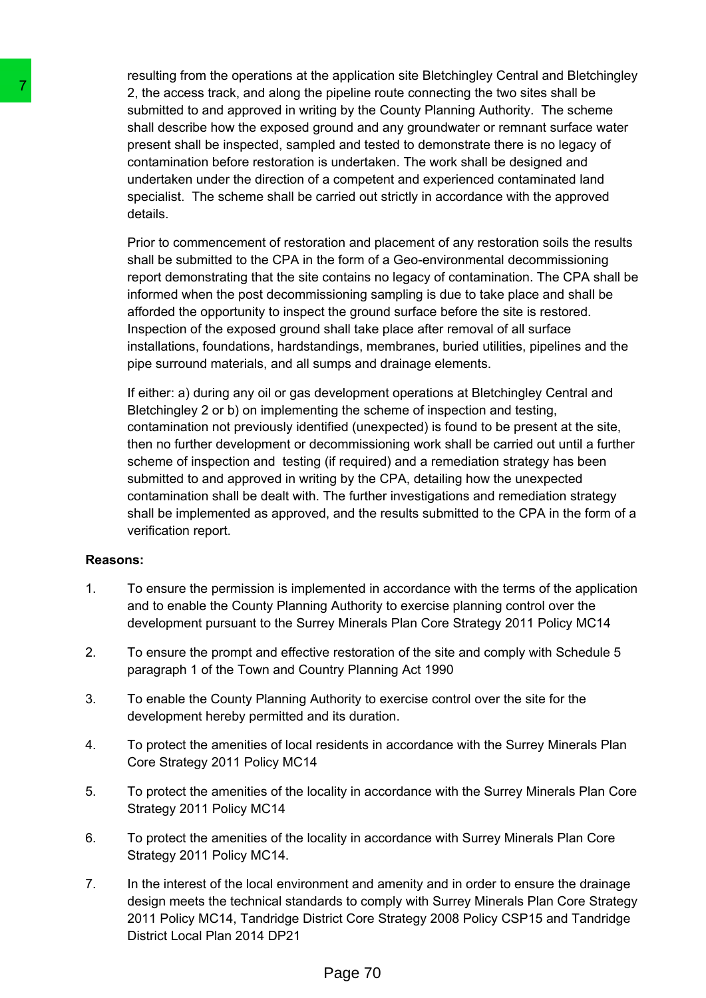resulting from the operations at the application site Bletchingley Central and Bletchingley 2, the access track, and along the pipeline route connecting the two sites shall be submitted to and approved in writing by the County Planning Authority. The scheme shall describe how the exposed ground and any groundwater or remnant surface water present shall be inspected, sampled and tested to demonstrate there is no legacy of contamination before restoration is undertaken. The work shall be designed and undertaken under the direction of a competent and experienced contaminated land specialist. The scheme shall be carried out strictly in accordance with the approved details.

Prior to commencement of restoration and placement of any restoration soils the results shall be submitted to the CPA in the form of a Geo-environmental decommissioning report demonstrating that the site contains no legacy of contamination. The CPA shall be informed when the post decommissioning sampling is due to take place and shall be afforded the opportunity to inspect the ground surface before the site is restored. Inspection of the exposed ground shall take place after removal of all surface installations, foundations, hardstandings, membranes, buried utilities, pipelines and the pipe surround materials, and all sumps and drainage elements.

If either: a) during any oil or gas development operations at Bletchingley Central and Bletchingley 2 or b) on implementing the scheme of inspection and testing, contamination not previously identified (unexpected) is found to be present at the site, then no further development or decommissioning work shall be carried out until a further scheme of inspection and testing (if required) and a remediation strategy has been submitted to and approved in writing by the CPA, detailing how the unexpected contamination shall be dealt with. The further investigations and remediation strategy shall be implemented as approved, and the results submitted to the CPA in the form of a verification report. 2. the access track, and along the pileline resubmitted to and approved in witting to the control in the system shall describe how the exposed ground and present shall be inspected, sampled and test or contramination befo

### **Reasons:**

- 1. To ensure the permission is implemented in accordance with the terms of the application and to enable the County Planning Authority to exercise planning control over the development pursuant to the Surrey Minerals Plan Core Strategy 2011 Policy MC14
- 2. To ensure the prompt and effective restoration of the site and comply with Schedule 5 paragraph 1 of the Town and Country Planning Act 1990
- 3. To enable the County Planning Authority to exercise control over the site for the development hereby permitted and its duration.
- 4. To protect the amenities of local residents in accordance with the Surrey Minerals Plan Core Strategy 2011 Policy MC14
- 5. To protect the amenities of the locality in accordance with the Surrey Minerals Plan Core Strategy 2011 Policy MC14
- 6. To protect the amenities of the locality in accordance with Surrey Minerals Plan Core Strategy 2011 Policy MC14.
- 7. In the interest of the local environment and amenity and in order to ensure the drainage design meets the technical standards to comply with Surrey Minerals Plan Core Strategy 2011 Policy MC14, Tandridge District Core Strategy 2008 Policy CSP15 and Tandridge District Local Plan 2014 DP21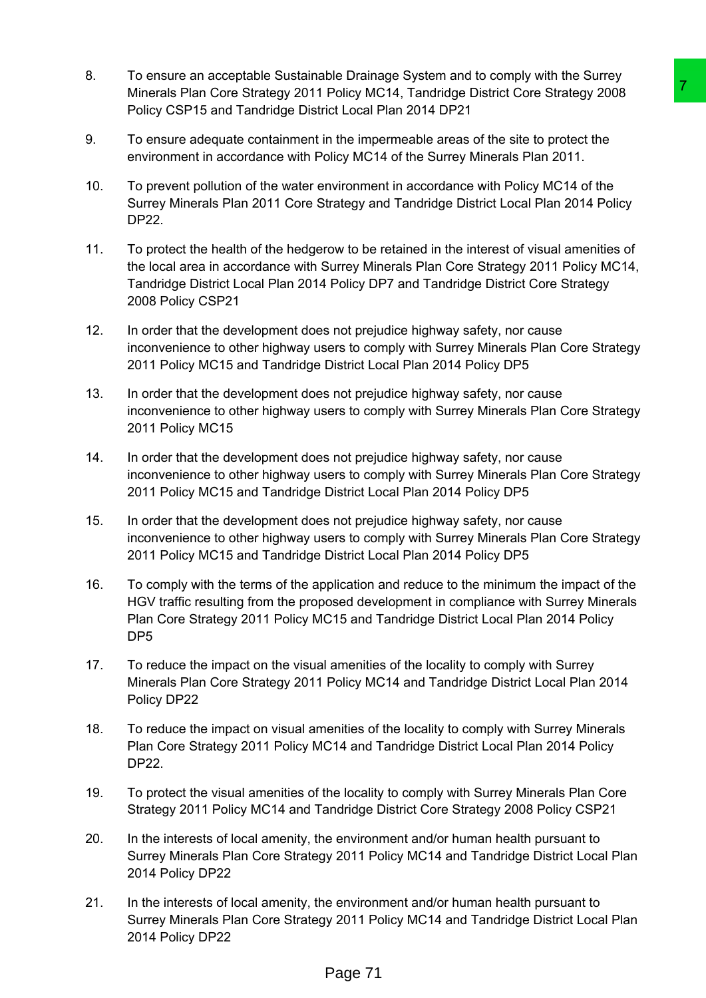- 8. To ensure an acceptable Sustainable Drainage System and to comply with the Surrey Minerals Plan Core Strategy 2011 Policy MC14, Tandridge District Core Strategy 2008 Policy CSP15 and Tandridge District Local Plan 2014 DP21
- 9. To ensure adequate containment in the impermeable areas of the site to protect the environment in accordance with Policy MC14 of the Surrey Minerals Plan 2011.
- 10. To prevent pollution of the water environment in accordance with Policy MC14 of the Surrey Minerals Plan 2011 Core Strategy and Tandridge District Local Plan 2014 Policy DP22.
- 11. To protect the health of the hedgerow to be retained in the interest of visual amenities of the local area in accordance with Surrey Minerals Plan Core Strategy 2011 Policy MC14, Tandridge District Local Plan 2014 Policy DP7 and Tandridge District Core Strategy 2008 Policy CSP21 Policy MC14, Tandridge District Core Strategy 2008<br>
The local Plan 2014 DP21<br>
In the impermeable areas of the site to protect the<br>
In the impermeable areas of the site to protect the<br>
In the impermeable areas of the site t
- 12. In order that the development does not prejudice highway safety, nor cause inconvenience to other highway users to comply with Surrey Minerals Plan Core Strategy 2011 Policy MC15 and Tandridge District Local Plan 2014 Policy DP5
- 13. In order that the development does not prejudice highway safety, nor cause inconvenience to other highway users to comply with Surrey Minerals Plan Core Strategy 2011 Policy MC15
- 14. In order that the development does not prejudice highway safety, nor cause inconvenience to other highway users to comply with Surrey Minerals Plan Core Strategy 2011 Policy MC15 and Tandridge District Local Plan 2014 Policy DP5
- 15. In order that the development does not prejudice highway safety, nor cause inconvenience to other highway users to comply with Surrey Minerals Plan Core Strategy 2011 Policy MC15 and Tandridge District Local Plan 2014 Policy DP5
- 16. To comply with the terms of the application and reduce to the minimum the impact of the HGV traffic resulting from the proposed development in compliance with Surrey Minerals Plan Core Strategy 2011 Policy MC15 and Tandridge District Local Plan 2014 Policy DP5
- 17. To reduce the impact on the visual amenities of the locality to comply with Surrey Minerals Plan Core Strategy 2011 Policy MC14 and Tandridge District Local Plan 2014 Policy DP22
- 18. To reduce the impact on visual amenities of the locality to comply with Surrey Minerals Plan Core Strategy 2011 Policy MC14 and Tandridge District Local Plan 2014 Policy DP22.
- 19. To protect the visual amenities of the locality to comply with Surrey Minerals Plan Core Strategy 2011 Policy MC14 and Tandridge District Core Strategy 2008 Policy CSP21
- 20. In the interests of local amenity, the environment and/or human health pursuant to Surrey Minerals Plan Core Strategy 2011 Policy MC14 and Tandridge District Local Plan 2014 Policy DP22
- 21. In the interests of local amenity, the environment and/or human health pursuant to Surrey Minerals Plan Core Strategy 2011 Policy MC14 and Tandridge District Local Plan 2014 Policy DP22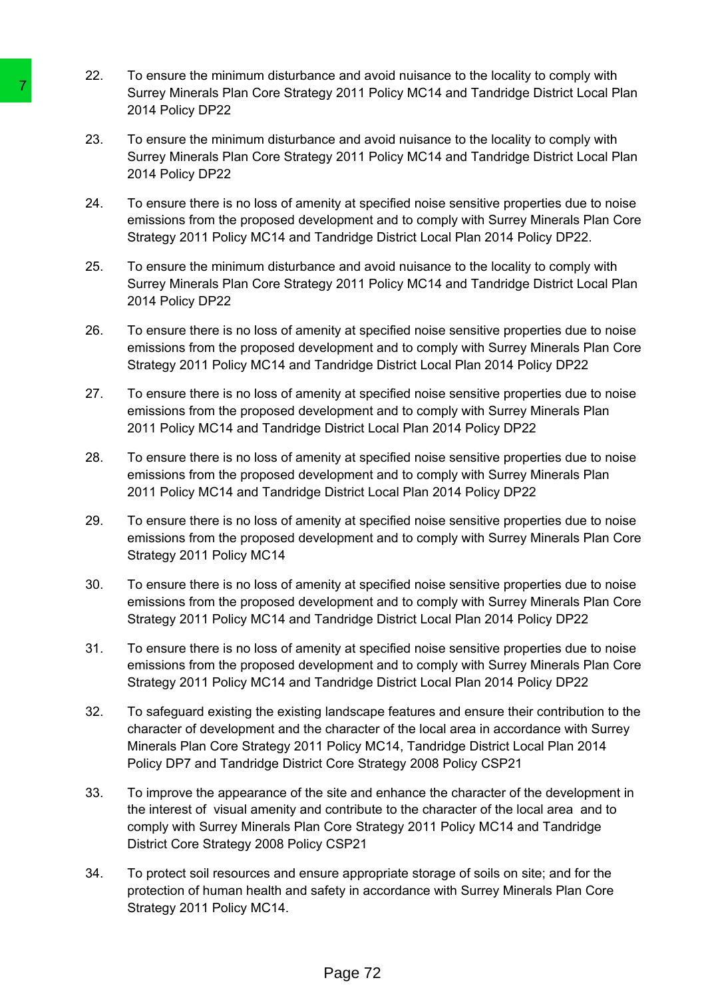- 22. To ensure the minimum disturbance and avoid nuisance to the locality to comply with Surrey Minerals Plan Core Strategy 2011 Policy MC14 and Tandridge District Local Plan 2014 Policy DP22
- 23. To ensure the minimum disturbance and avoid nuisance to the locality to comply with Surrey Minerals Plan Core Strategy 2011 Policy MC14 and Tandridge District Local Plan 2014 Policy DP22
- 24. To ensure there is no loss of amenity at specified noise sensitive properties due to noise emissions from the proposed development and to comply with Surrey Minerals Plan Core Strategy 2011 Policy MC14 and Tandridge District Local Plan 2014 Policy DP22.
- 25. To ensure the minimum disturbance and avoid nuisance to the locality to comply with Surrey Minerals Plan Core Strategy 2011 Policy MC14 and Tandridge District Local Plan 2014 Policy DP22
- 26. To ensure there is no loss of amenity at specified noise sensitive properties due to noise emissions from the proposed development and to comply with Surrey Minerals Plan Core Strategy 2011 Policy MC14 and Tandridge District Local Plan 2014 Policy DP22
- 27. To ensure there is no loss of amenity at specified noise sensitive properties due to noise emissions from the proposed development and to comply with Surrey Minerals Plan 2011 Policy MC14 and Tandridge District Local Plan 2014 Policy DP22
- 28. To ensure there is no loss of amenity at specified noise sensitive properties due to noise emissions from the proposed development and to comply with Surrey Minerals Plan 2011 Policy MC14 and Tandridge District Local Plan 2014 Policy DP22
- 29. To ensure there is no loss of amenity at specified noise sensitive properties due to noise emissions from the proposed development and to comply with Surrey Minerals Plan Core Strategy 2011 Policy MC14
- 30. To ensure there is no loss of amenity at specified noise sensitive properties due to noise emissions from the proposed development and to comply with Surrey Minerals Plan Core Strategy 2011 Policy MC14 and Tandridge District Local Plan 2014 Policy DP22
- 31. To ensure there is no loss of amenity at specified noise sensitive properties due to noise emissions from the proposed development and to comply with Surrey Minerals Plan Core Strategy 2011 Policy MC14 and Tandridge District Local Plan 2014 Policy DP22
- 32. To safeguard existing the existing landscape features and ensure their contribution to the character of development and the character of the local area in accordance with Surrey Minerals Plan Core Strategy 2011 Policy MC14, Tandridge District Local Plan 2014 Policy DP7 and Tandridge District Core Strategy 2008 Policy CSP21 Surrey Minerals Plan Core Strategy 2011 P<br>
2014 Policy DP22<br>
21 To resure the minimum disturbance and av<br>
5 Surrey Minerals Plan Core Strategy 2011 P<br>
2014 Policy DP22<br>
24. To ensure there is no loss of armenity at specifi
	- 33. To improve the appearance of the site and enhance the character of the development in the interest of visual amenity and contribute to the character of the local area and to comply with Surrey Minerals Plan Core Strategy 2011 Policy MC14 and Tandridge District Core Strategy 2008 Policy CSP21
	- 34. To protect soil resources and ensure appropriate storage of soils on site; and for the protection of human health and safety in accordance with Surrey Minerals Plan Core Strategy 2011 Policy MC14.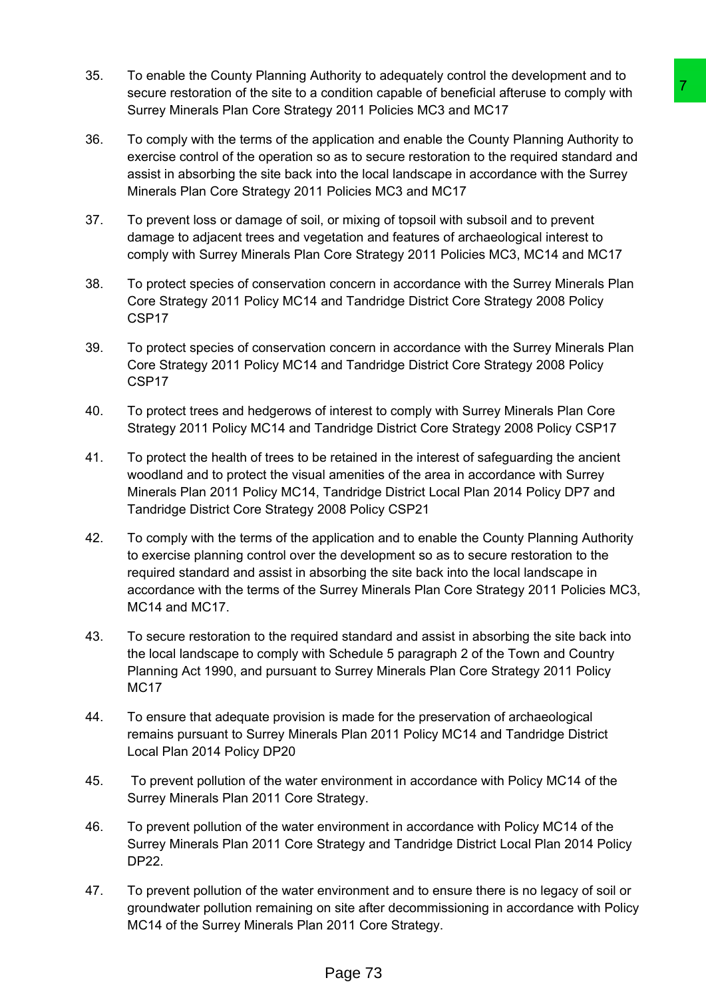- 35. To enable the County Planning Authority to adequately control the development and to secure restoration of the site to a condition capable of beneficial afteruse to comply with Surrey Minerals Plan Core Strategy 2011 Policies MC3 and MC17
- 36. To comply with the terms of the application and enable the County Planning Authority to exercise control of the operation so as to secure restoration to the required standard and assist in absorbing the site back into the local landscape in accordance with the Surrey Minerals Plan Core Strategy 2011 Policies MC3 and MC17
- 37. To prevent loss or damage of soil, or mixing of topsoil with subsoil and to prevent damage to adjacent trees and vegetation and features of archaeological interest to comply with Surrey Minerals Plan Core Strategy 2011 Policies MC3, MC14 and MC17
- 38. To protect species of conservation concern in accordance with the Surrey Minerals Plan Core Strategy 2011 Policy MC14 and Tandridge District Core Strategy 2008 Policy CSP17
- 39. To protect species of conservation concern in accordance with the Surrey Minerals Plan Core Strategy 2011 Policy MC14 and Tandridge District Core Strategy 2008 Policy CSP17
- 40. To protect trees and hedgerows of interest to comply with Surrey Minerals Plan Core Strategy 2011 Policy MC14 and Tandridge District Core Strategy 2008 Policy CSP17
- 41. To protect the health of trees to be retained in the interest of safeguarding the ancient woodland and to protect the visual amenities of the area in accordance with Surrey Minerals Plan 2011 Policy MC14, Tandridge District Local Plan 2014 Policy DP7 and Tandridge District Core Strategy 2008 Policy CSP21
- 42. To comply with the terms of the application and to enable the County Planning Authority to exercise planning control over the development so as to secure restoration to the required standard and assist in absorbing the site back into the local landscape in accordance with the terms of the Surrey Minerals Plan Core Strategy 2011 Policies MC3, MC<sub>14</sub> and MC<sub>17</sub> condition capable of beneficial afteruse to comply with<br>
Y 2011 Policies MC3 and MC17<br>
Y 2011 Policies MC3 and MC17<br>
plyinction and meable the County Planning Authority to<br>
basis to secure restoration to the required stand
- 43. To secure restoration to the required standard and assist in absorbing the site back into the local landscape to comply with Schedule 5 paragraph 2 of the Town and Country Planning Act 1990, and pursuant to Surrey Minerals Plan Core Strategy 2011 Policy M<sub>C</sub>17
- 44. To ensure that adequate provision is made for the preservation of archaeological remains pursuant to Surrey Minerals Plan 2011 Policy MC14 and Tandridge District Local Plan 2014 Policy DP20
- 45. To prevent pollution of the water environment in accordance with Policy MC14 of the Surrey Minerals Plan 2011 Core Strategy.
- 46. To prevent pollution of the water environment in accordance with Policy MC14 of the Surrey Minerals Plan 2011 Core Strategy and Tandridge District Local Plan 2014 Policy DP22.
- 47. To prevent pollution of the water environment and to ensure there is no legacy of soil or groundwater pollution remaining on site after decommissioning in accordance with Policy MC14 of the Surrey Minerals Plan 2011 Core Strategy.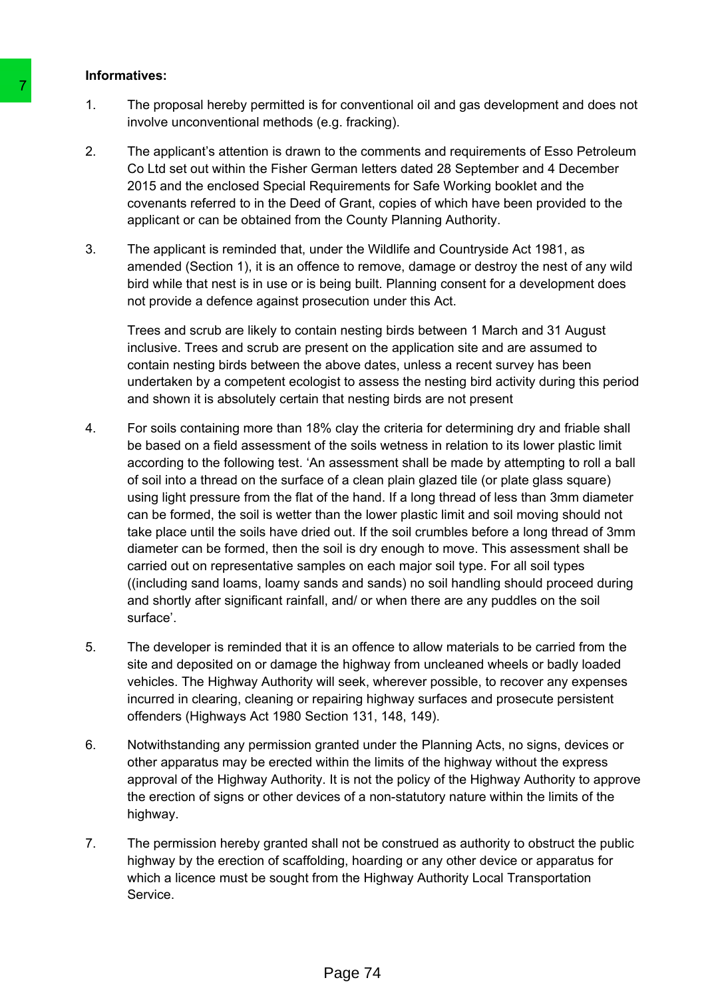### **Informatives:**

- 1. The proposal hereby permitted is for conventional oil and gas development and does not involve unconventional methods (e.g. fracking).
- 2. The applicant's attention is drawn to the comments and requirements of Esso Petroleum Co Ltd set out within the Fisher German letters dated 28 September and 4 December 2015 and the enclosed Special Requirements for Safe Working booklet and the covenants referred to in the Deed of Grant, copies of which have been provided to the applicant or can be obtained from the County Planning Authority.
- 3. The applicant is reminded that, under the Wildlife and Countryside Act 1981, as amended (Section 1), it is an offence to remove, damage or destroy the nest of any wild bird while that nest is in use or is being built. Planning consent for a development does not provide a defence against prosecution under this Act.

Trees and scrub are likely to contain nesting birds between 1 March and 31 August inclusive. Trees and scrub are present on the application site and are assumed to contain nesting birds between the above dates, unless a recent survey has been undertaken by a competent ecologist to assess the nesting bird activity during this period and shown it is absolutely certain that nesting birds are not present

- 4. For soils containing more than 18% clay the criteria for determining dry and friable shall be based on a field assessment of the soils wetness in relation to its lower plastic limit according to the following test. 'An assessment shall be made by attempting to roll a ball of soil into a thread on the surface of a clean plain glazed tile (or plate glass square) using light pressure from the flat of the hand. If a long thread of less than 3mm diameter can be formed, the soil is wetter than the lower plastic limit and soil moving should not take place until the soils have dried out. If the soil crumbles before a long thread of 3mm diameter can be formed, then the soil is dry enough to move. This assessment shall be carried out on representative samples on each major soil type. For all soil types ((including sand loams, loamy sands and sands) no soil handling should proceed during and shortly after significant rainfall, and/ or when there are any puddles on the soil surface'. 1. The proposal hereby permitted is for conver<br>
1. The proposal hereby permitted is for conver-<br>
2. The applicant's attention is drawn to the conce<br>
2. CLU set out within the Fisher German lett<br>
2015 and the enclosed Speci
	- 5. The developer is reminded that it is an offence to allow materials to be carried from the site and deposited on or damage the highway from uncleaned wheels or badly loaded vehicles. The Highway Authority will seek, wherever possible, to recover any expenses incurred in clearing, cleaning or repairing highway surfaces and prosecute persistent offenders (Highways Act 1980 Section 131, 148, 149).
	- 6. Notwithstanding any permission granted under the Planning Acts, no signs, devices or other apparatus may be erected within the limits of the highway without the express approval of the Highway Authority. It is not the policy of the Highway Authority to approve the erection of signs or other devices of a non-statutory nature within the limits of the highway.
	- 7. The permission hereby granted shall not be construed as authority to obstruct the public highway by the erection of scaffolding, hoarding or any other device or apparatus for which a licence must be sought from the Highway Authority Local Transportation Service.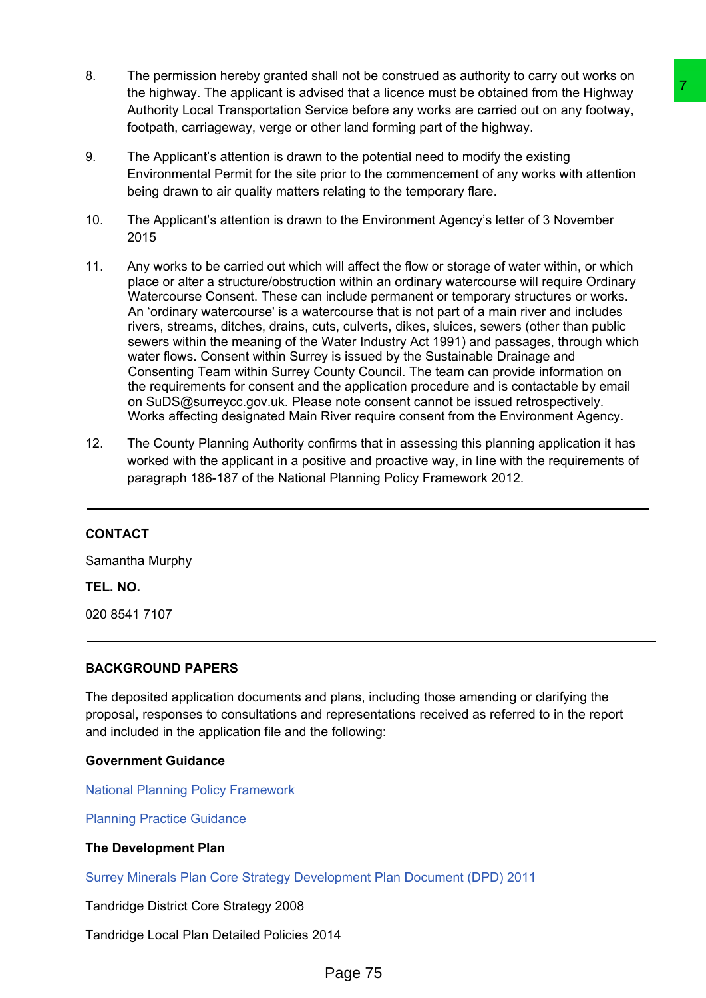- 8. The permission hereby granted shall not be construed as authority to carry out works on the highway. The applicant is advised that a licence must be obtained from the Highway Authority Local Transportation Service before any works are carried out on any footway, footpath, carriageway, verge or other land forming part of the highway.
- 9. The Applicant's attention is drawn to the potential need to modify the existing Environmental Permit for the site prior to the commencement of any works with attention being drawn to air quality matters relating to the temporary flare.
- 10. The Applicant's attention is drawn to the Environment Agency's letter of 3 November 2015
- 11. Any works to be carried out which will affect the flow or storage of water within, or which place or alter a structure/obstruction within an ordinary watercourse will require Ordinary Watercourse Consent. These can include permanent or temporary structures or works. An 'ordinary watercourse' is a watercourse that is not part of a main river and includes rivers, streams, ditches, drains, cuts, culverts, dikes, sluices, sewers (other than public sewers within the meaning of the Water Industry Act 1991) and passages, through which water flows. Consent within Surrey is issued by the Sustainable Drainage and Consenting Team within Surrey County Council. The team can provide information on the requirements for consent and the application procedure and is contactable by email on SuDS@surreycc.gov.uk. Please note consent cannot be issued retrospectively. Works affecting designated Main River require consent from the Environment Agency. ead that alleence must be obtained from the Highway<br>sivice before any works are carried out on any footway,<br>wite before any works are carried out on any footway,<br>we held forming part of the highway.<br>To the potential need t
- 12. The County Planning Authority confirms that in assessing this planning application it has worked with the applicant in a positive and proactive way, in line with the requirements of paragraph 186-187 of the National Planning Policy Framework 2012.

# **CONTACT**

Samantha Murphy

#### **TEL. NO.**

020 8541 7107

### **BACKGROUND PAPERS**

The deposited application documents and plans, including those amending or clarifying the proposal, responses to consultations and representations received as referred to in the report and included in the application file and the following:

### **Government Guidance**

National Planning Policy [Framework](https://www.gov.uk/government/collections/revised-national-planning-policy-framework)

Planning Practice [Guidance](http://planningguidance.communities.gov.uk/)

### **The Development Plan**

Surrey Minerals Plan Core Strategy [Development](http://www.surreycc.gov.uk/environment-housing-and-planning/minerals-and-waste-policies-and-plans/surrey-minerals-plan-core-strategy-development-plan-document) Plan Document (DPD) 2011

Tandridge District Core Strategy 2008

Tandridge Local Plan Detailed Policies 2014